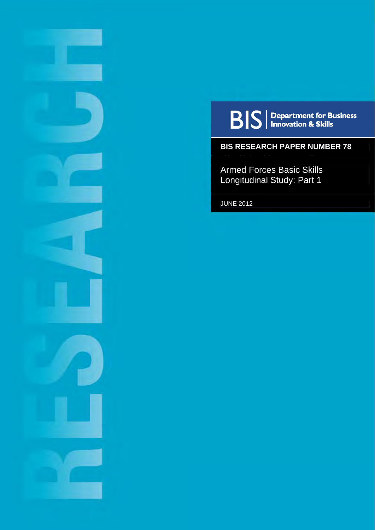

**BIS** | Department for Business<br> **BIS** | Innovation & Skills

## **BIS RESEARCH PAPER NUMBER 78**

Armed Forces Basic Skills Longitudinal Study: Part 1

JUNE 2012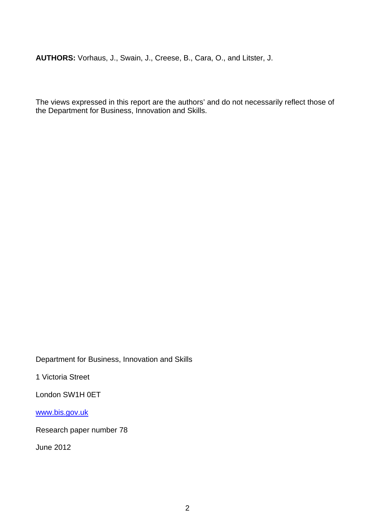**AUTHORS:** Vorhaus, J., Swain, J., Creese, B., Cara, O., and Litster, J.

The views expressed in this report are the authors' and do not necessarily reflect those of the Department for Business, Innovation and Skills.

Department for Business, Innovation and Skills

1 Victoria Street

London SW1H 0ET

[www.bis.gov.uk](http://www.bis.gov.uk/)

Research paper number 78

June 2012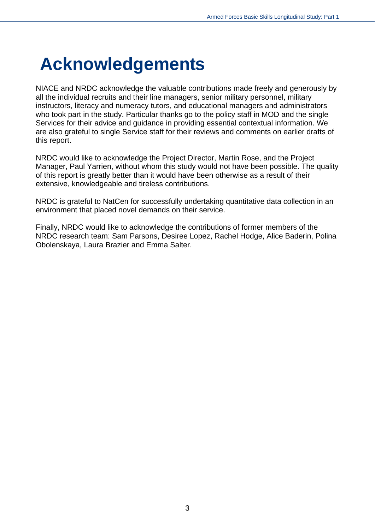# <span id="page-2-0"></span>**Acknowledgements**

NIACE and NRDC acknowledge the valuable contributions made freely and generously by all the individual recruits and their line managers, senior military personnel, military instructors, literacy and numeracy tutors, and educational managers and administrators who took part in the study. Particular thanks go to the policy staff in MOD and the single Services for their advice and guidance in providing essential contextual information. We are also grateful to single Service staff for their reviews and comments on earlier drafts of this report.

NRDC would like to acknowledge the Project Director, Martin Rose, and the Project Manager, Paul Yarrien, without whom this study would not have been possible. The quality of this report is greatly better than it would have been otherwise as a result of their extensive, knowledgeable and tireless contributions.

NRDC is grateful to NatCen for successfully undertaking quantitative data collection in an environment that placed novel demands on their service.

Finally, NRDC would like to acknowledge the contributions of former members of the NRDC research team: Sam Parsons, Desiree Lopez, Rachel Hodge, Alice Baderin, Polina Obolenskaya, Laura Brazier and Emma Salter.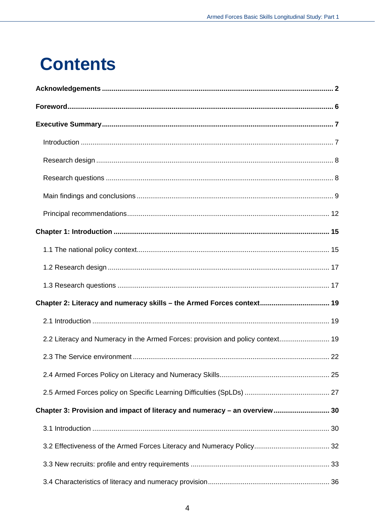# **Contents**

| Chapter 2: Literacy and numeracy skills - the Armed Forces context 19          |  |
|--------------------------------------------------------------------------------|--|
|                                                                                |  |
| 2.2 Literacy and Numeracy in the Armed Forces: provision and policy context 19 |  |
|                                                                                |  |
|                                                                                |  |
|                                                                                |  |
| Chapter 3: Provision and impact of literacy and numeracy - an overview 30      |  |
|                                                                                |  |
|                                                                                |  |
|                                                                                |  |
|                                                                                |  |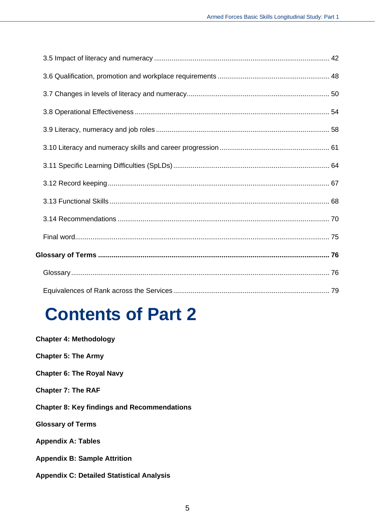# **Contents of Part 2**

| <b>Chapter 4: Methodology</b>                      |
|----------------------------------------------------|
| <b>Chapter 5: The Army</b>                         |
| <b>Chapter 6: The Royal Navy</b>                   |
| <b>Chapter 7: The RAF</b>                          |
| <b>Chapter 8: Key findings and Recommendations</b> |
| <b>Glossary of Terms</b>                           |
| <b>Appendix A: Tables</b>                          |
| <b>Appendix B: Sample Attrition</b>                |
| <b>Appendix C: Detailed Statistical Analysis</b>   |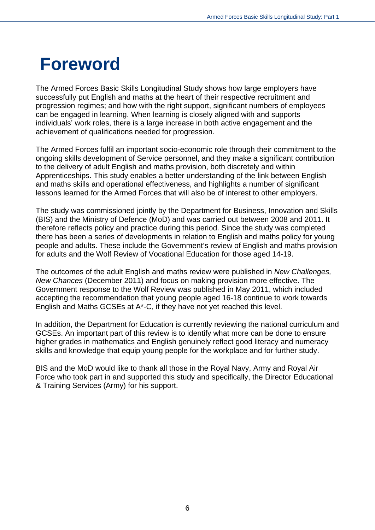## <span id="page-5-0"></span>**Foreword**

The Armed Forces Basic Skills Longitudinal Study shows how large employers have successfully put English and maths at the heart of their respective recruitment and progression regimes; and how with the right support, significant numbers of employees can be engaged in learning. When learning is closely aligned with and supports individuals' work roles, there is a large increase in both active engagement and the achievement of qualifications needed for progression.

The Armed Forces fulfil an important socio-economic role through their commitment to the ongoing skills development of Service personnel, and they make a significant contribution to the delivery of adult English and maths provision, both discretely and within Apprenticeships. This study enables a better understanding of the link between English and maths skills and operational effectiveness, and highlights a number of significant lessons learned for the Armed Forces that will also be of interest to other employers.

The study was commissioned jointly by the Department for Business, Innovation and Skills (BIS) and the Ministry of Defence (MoD) and was carried out between 2008 and 2011. It therefore reflects policy and practice during this period. Since the study was completed there has been a series of developments in relation to English and maths policy for young people and adults. These include the Government's review of English and maths provision for adults and the Wolf Review of Vocational Education for those aged 14-19.

The outcomes of the adult English and maths review were published in *New Challenges, New Chances* (December 2011) and focus on making provision more effective. The Government response to the Wolf Review was published in May 2011, which included accepting the recommendation that young people aged 16-18 continue to work towards English and Maths GCSEs at A\*-C, if they have not yet reached this level.

In addition, the Department for Education is currently reviewing the national curriculum and GCSEs. An important part of this review is to identify what more can be done to ensure higher grades in mathematics and English genuinely reflect good literacy and numeracy skills and knowledge that equip young people for the workplace and for further study.

BIS and the MoD would like to thank all those in the Royal Navy, Army and Royal Air Force who took part in and supported this study and specifically, the Director Educational & Training Services (Army) for his support.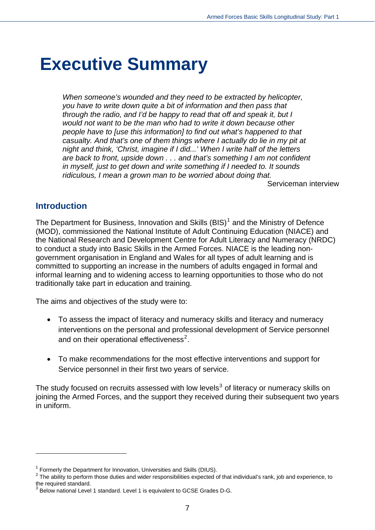## <span id="page-6-0"></span>**Executive Summary**

*When someone's wounded and they need to be extracted by helicopter, you have to write down quite a bit of information and then pass that through the radio, and I'd be happy to read that off and speak it, but I would not want to be the man who had to write it down because other people have to [use this information] to find out what's happened to that casualty. And that's one of them things where I actually do lie in my pit at night and think, 'Christ, imagine if I did...' When I write half of the letters are back to front, upside down . . . and that's something I am not confident in myself, just to get down and write something if I needed to. It sounds ridiculous, I mean a grown man to be worried about doing that.* 

Serviceman interview

#### **Introduction**

 $\overline{a}$ 

<span id="page-6-1"></span>The Department for Business, Innovation and Skills  $(BIS)^1$  $(BIS)^1$  and the Ministry of Defence (MOD), commissioned the National Institute of Adult Continuing Education (NIACE) and the National Research and Development Centre for Adult Literacy and Numeracy (NRDC) to conduct a study into Basic Skills in the Armed Forces. NIACE is the leading nongovernment organisation in England and Wales for all types of adult learning and is committed to supporting an increase in the numbers of adults engaged in formal and informal learning and to widening access to learning opportunities to those who do not traditionally take part in education and training.

The aims and objectives of the study were to:

- To assess the impact of literacy and numeracy skills and literacy and numeracy interventions on the personal and professional development of Service personnel and on their operational effectiveness<sup>[2](#page-6-3)</sup>.
- To make recommendations for the most effective interventions and support for Service personnel in their first two years of service.

The study focused on recruits assessed with low levels<sup>[3](#page-6-4)</sup> of literacy or numeracy skills on joining the Armed Forces, and the support they received during their subsequent two years in uniform.

<span id="page-6-2"></span><sup>&</sup>lt;sup>1</sup> Formerly the Department for Innovation, Universities and Skills (DIUS).

<span id="page-6-3"></span> $2$  The ability to perform those duties and wider responsibilities expected of that individual's rank, job and experience, to the required standard.

<span id="page-6-4"></span> $^3$  Below national Level 1 standard. Level 1 is equivalent to GCSE Grades D-G.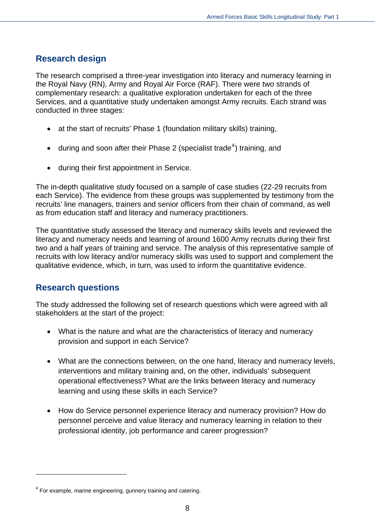#### <span id="page-7-0"></span>**Research design**

The research comprised a three-year investigation into literacy and numeracy learning in the Royal Navy (RN), Army and Royal Air Force (RAF). There were two strands of complementary research: a qualitative exploration undertaken for each of the three Services, and a quantitative study undertaken amongst Army recruits. Each strand was conducted in three stages:

- at the start of recruits' Phase 1 (foundation military skills) training,
- $\bullet$  during and soon after their Phase 2 (specialist trade<sup>[4](#page-7-2)</sup>) training, and
- during their first appointment in Service.

The in-depth qualitative study focused on a sample of case studies (22-29 recruits from each Service). The evidence from these groups was supplemented by testimony from the recruits' line managers, trainers and senior officers from their chain of command, as well as from education staff and literacy and numeracy practitioners.

The quantitative study assessed the literacy and numeracy skills levels and reviewed the literacy and numeracy needs and learning of around 1600 Army recruits during their first two and a half years of training and service. The analysis of this representative sample of recruits with low literacy and/or numeracy skills was used to support and complement the qualitative evidence, which, in turn, was used to inform the quantitative evidence.

#### <span id="page-7-1"></span>**Research questions**

 $\overline{a}$ 

The study addressed the following set of research questions which were agreed with all stakeholders at the start of the project:

- What is the nature and what are the characteristics of literacy and numeracy provision and support in each Service?
- What are the connections between, on the one hand, literacy and numeracy levels, interventions and military training and, on the other, individuals' subsequent operational effectiveness? What are the links between literacy and numeracy learning and using these skills in each Service?
- How do Service personnel experience literacy and numeracy provision? How do personnel perceive and value literacy and numeracy learning in relation to their professional identity, job performance and career progression?

<span id="page-7-2"></span> $4$  For example, marine engineering, gunnery training and catering.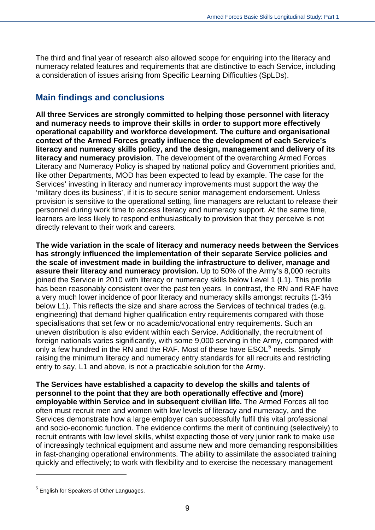The third and final year of research also allowed scope for enquiring into the literacy and numeracy related features and requirements that are distinctive to each Service, including a consideration of issues arising from Specific Learning Difficulties (SpLDs).

## <span id="page-8-0"></span>**Main findings and conclusions**

**All three Services are strongly committed to helping those personnel with literacy and numeracy needs to improve their skills in order to support more effectively operational capability and workforce development. The culture and organisational context of the Armed Forces greatly influence the development of each Service's literacy and numeracy skills policy, and the design, management and delivery of its literacy and numeracy provision**. The development of the overarching Armed Forces Literacy and Numeracy Policy is shaped by national policy and Government priorities and, like other Departments, MOD has been expected to lead by example. The case for the Services' investing in literacy and numeracy improvements must support the way the 'military does its business', if it is to secure senior management endorsement. Unless provision is sensitive to the operational setting, line managers are reluctant to release their personnel during work time to access literacy and numeracy support. At the same time, learners are less likely to respond enthusiastically to provision that they perceive is not directly relevant to their work and careers.

**The wide variation in the scale of literacy and numeracy needs between the Services has strongly influenced the implementation of their separate Service policies and the scale of investment made in building the infrastructure to deliver, manage and assure their literacy and numeracy provision.** Up to 50% of the Army's 8,000 recruits joined the Service in 2010 with literacy or numeracy skills below Level 1 (L1). This profile has been reasonably consistent over the past ten years. In contrast, the RN and RAF have a very much lower incidence of poor literacy and numeracy skills amongst recruits (1-3% below L1). This reflects the size and share across the Services of technical trades (e.g. engineering) that demand higher qualification entry requirements compared with those specialisations that set few or no academic/vocational entry requirements. Such an uneven distribution is also evident within each Service. Additionally, the recruitment of foreign nationals varies significantly, with some 9,000 serving in the Army, compared with only a few hundred in the  $\overline{RN}$  and the RAF. Most of these have  $\text{ESOL}^5$  $\text{ESOL}^5$  needs. Simply raising the minimum literacy and numeracy entry standards for all recruits and restricting entry to say, L1 and above, is not a practicable solution for the Army.

**The Services have established a capacity to develop the skills and talents of personnel to the point that they are both operationally effective and (more) employable within Service and in subsequent civilian life.** The Armed Forces all too often must recruit men and women with low levels of literacy and numeracy, and the Services demonstrate how a large employer can successfully fulfil this vital professional and socio-economic function. The evidence confirms the merit of continuing (selectively) to recruit entrants with low level skills, whilst expecting those of very junior rank to make use of increasingly technical equipment and assume new and more demanding responsibilities in fast-changing operational environments. The ability to assimilate the associated training quickly and effectively; to work with flexibility and to exercise the necessary management

<span id="page-8-1"></span> $^5$  English for Speakers of Other Languages.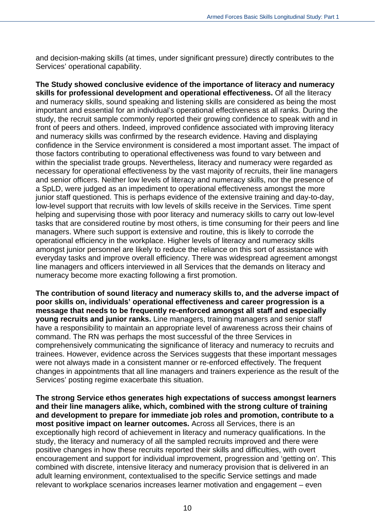and decision-making skills (at times, under significant pressure) directly contributes to the Services' operational capability.

**The Study showed conclusive evidence of the importance of literacy and numeracy skills for professional development and operational effectiveness.** Of all the literacy and numeracy skills, sound speaking and listening skills are considered as being the most important and essential for an individual's operational effectiveness at all ranks. During the study, the recruit sample commonly reported their growing confidence to speak with and in front of peers and others. Indeed, improved confidence associated with improving literacy and numeracy skills was confirmed by the research evidence. Having and displaying confidence in the Service environment is considered a most important asset. The impact of those factors contributing to operational effectiveness was found to vary between and within the specialist trade groups. Nevertheless, literacy and numeracy were regarded as necessary for operational effectiveness by the vast majority of recruits, their line managers and senior officers. Neither low levels of literacy and numeracy skills, nor the presence of a SpLD, were judged as an impediment to operational effectiveness amongst the more junior staff questioned. This is perhaps evidence of the extensive training and day-to-day, low-level support that recruits with low levels of skills receive in the Services. Time spent helping and supervising those with poor literacy and numeracy skills to carry out low-level tasks that are considered routine by most others, is time consuming for their peers and line managers. Where such support is extensive and routine, this is likely to corrode the operational efficiency in the workplace. Higher levels of literacy and numeracy skills amongst junior personnel are likely to reduce the reliance on this sort of assistance with everyday tasks and improve overall efficiency. There was widespread agreement amongst line managers and officers interviewed in all Services that the demands on literacy and numeracy become more exacting following a first promotion.

**The contribution of sound literacy and numeracy skills to, and the adverse impact of poor skills on, individuals' operational effectiveness and career progression is a message that needs to be frequently re-enforced amongst all staff and especially young recruits and junior ranks.** Line managers, training managers and senior staff have a responsibility to maintain an appropriate level of awareness across their chains of command. The RN was perhaps the most successful of the three Services in comprehensively communicating the significance of literacy and numeracy to recruits and trainees. However, evidence across the Services suggests that these important messages were not always made in a consistent manner or re-enforced effectively. The frequent changes in appointments that all line managers and trainers experience as the result of the Services' posting regime exacerbate this situation.

**The strong Service ethos generates high expectations of success amongst learners and their line managers alike, which, combined with the strong culture of training and development to prepare for immediate job roles and promotion, contribute to a most positive impact on learner outcomes.** Across all Services, there is an exceptionally high record of achievement in literacy and numeracy qualifications. In the study, the literacy and numeracy of all the sampled recruits improved and there were positive changes in how these recruits reported their skills and difficulties, with overt encouragement and support for individual improvement, progression and 'getting on'. This combined with discrete, intensive literacy and numeracy provision that is delivered in an adult learning environment, contextualised to the specific Service settings and made relevant to workplace scenarios increases learner motivation and engagement – even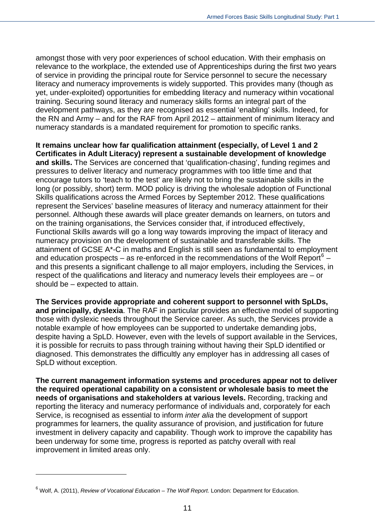amongst those with very poor experiences of school education. With their emphasis on relevance to the workplace, the extended use of Apprenticeships during the first two years of service in providing the principal route for Service personnel to secure the necessary literacy and numeracy improvements is widely supported. This provides many (though as yet, under-exploited) opportunities for embedding literacy and numeracy within vocational training. Securing sound literacy and numeracy skills forms an integral part of the development pathways, as they are recognised as essential 'enabling' skills. Indeed, for the RN and Army – and for the RAF from April 2012 – attainment of minimum literacy and numeracy standards is a mandated requirement for promotion to specific ranks.

**It remains unclear how far qualification attainment (especially, of Level 1 and 2 Certificates in Adult Literacy) represent a sustainable development of knowledge and skills.** The Services are concerned that 'qualification-chasing', funding regimes and pressures to deliver literacy and numeracy programmes with too little time and that encourage tutors to 'teach to the test' are likely not to bring the sustainable skills in the long (or possibly, short) term. MOD policy is driving the wholesale adoption of Functional Skills qualifications across the Armed Forces by September 2012. These qualifications represent the Services' baseline measures of literacy and numeracy attainment for their personnel. Although these awards will place greater demands on learners, on tutors and on the training organisations, the Services consider that, if introduced effectively, Functional Skills awards will go a long way towards improving the impact of literacy and numeracy provision on the development of sustainable and transferable skills. The attainment of GCSE A\*-C in maths and English is still seen as fundamental to employment and education prospects – as re-enforced in the recommendations of the Wolf Report<sup>[6](#page-10-0)</sup> – and this presents a significant challenge to all major employers, including the Services, in respect of the qualifications and literacy and numeracy levels their employees are – or should be – expected to attain.

**The Services provide appropriate and coherent support to personnel with SpLDs, and principally, dyslexia**. The RAF in particular provides an effective model of supporting those with dyslexic needs throughout the Service career. As such, the Services provide a notable example of how employees can be supported to undertake demanding jobs, despite having a SpLD. However, even with the levels of support available in the Services, it is possible for recruits to pass through training without having their SpLD identified or diagnosed. This demonstrates the difficultly any employer has in addressing all cases of SpLD without exception.

**The current management information systems and procedures appear not to deliver the required operational capability on a consistent or wholesale basis to meet the needs of organisations and stakeholders at various levels.** Recording, tracking and reporting the literacy and numeracy performance of individuals and, corporately for each Service, is recognised as essential to inform *inter alia* the development of support programmes for learners, the quality assurance of provision, and justification for future investment in delivery capacity and capability. Though work to improve the capability has been underway for some time, progress is reported as patchy overall with real improvement in limited areas only.

<span id="page-10-0"></span><sup>6</sup> Wolf, A. (2011), *Review of Vocational Education – The Wolf Report*. London: Department for Education.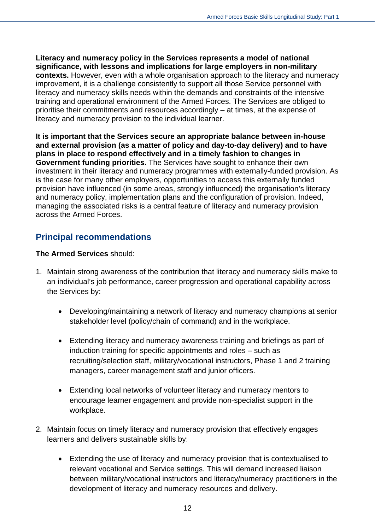**Literacy and numeracy policy in the Services represents a model of national significance, with lessons and implications for large employers in non-military contexts.** However, even with a whole organisation approach to the literacy and numeracy improvement, it is a challenge consistently to support all those Service personnel with literacy and numeracy skills needs within the demands and constraints of the intensive training and operational environment of the Armed Forces. The Services are obliged to prioritise their commitments and resources accordingly – at times, at the expense of literacy and numeracy provision to the individual learner.

**It is important that the Services secure an appropriate balance between in-house and external provision (as a matter of policy and day-to-day delivery) and to have plans in place to respond effectively and in a timely fashion to changes in Government funding priorities.** The Services have sought to enhance their own investment in their literacy and numeracy programmes with externally-funded provision. As is the case for many other employers, opportunities to access this externally funded provision have influenced (in some areas, strongly influenced) the organisation's literacy and numeracy policy, implementation plans and the configuration of provision. Indeed, managing the associated risks is a central feature of literacy and numeracy provision across the Armed Forces.

## <span id="page-11-0"></span>**Principal recommendations**

#### **The Armed Services** should:

- 1. Maintain strong awareness of the contribution that literacy and numeracy skills make to an individual's job performance, career progression and operational capability across the Services by:
	- Developing/maintaining a network of literacy and numeracy champions at senior stakeholder level (policy/chain of command) and in the workplace.
	- Extending literacy and numeracy awareness training and briefings as part of induction training for specific appointments and roles – such as recruiting/selection staff, military/vocational instructors, Phase 1 and 2 training managers, career management staff and junior officers.
	- Extending local networks of volunteer literacy and numeracy mentors to encourage learner engagement and provide non-specialist support in the workplace.
- 2. Maintain focus on timely literacy and numeracy provision that effectively engages learners and delivers sustainable skills by:
	- Extending the use of literacy and numeracy provision that is contextualised to relevant vocational and Service settings. This will demand increased liaison between military/vocational instructors and literacy/numeracy practitioners in the development of literacy and numeracy resources and delivery.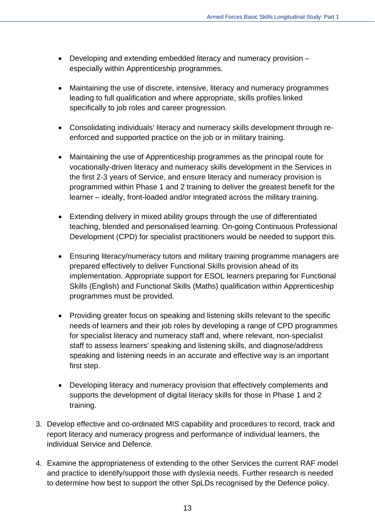- Developing and extending embedded literacy and numeracy provision especially within Apprenticeship programmes.
- Maintaining the use of discrete, intensive, literacy and numeracy programmes leading to full qualification and where appropriate, skills profiles linked specifically to job roles and career progression.
- Consolidating individuals' literacy and numeracy skills development through reenforced and supported practice on the job or in military training.
- Maintaining the use of Apprenticeship programmes as the principal route for vocationally-driven literacy and numeracy skills development in the Services in the first 2-3 years of Service, and ensure literacy and numeracy provision is programmed within Phase 1 and 2 training to deliver the greatest benefit for the learner – ideally, front-loaded and/or integrated across the military training.
- Extending delivery in mixed ability groups through the use of differentiated teaching, blended and personalised learning. On-going Continuous Professional Development (CPD) for specialist practitioners would be needed to support this.
- Ensuring literacy/numeracy tutors and military training programme managers are prepared effectively to deliver Functional Skills provision ahead of its implementation. Appropriate support for ESOL learners preparing for Functional Skills (English) and Functional Skills (Maths) qualification within Apprenticeship programmes must be provided.
- Providing greater focus on speaking and listening skills relevant to the specific needs of learners and their job roles by developing a range of CPD programmes for specialist literacy and numeracy staff and, where relevant, non-specialist staff to assess learners' speaking and listening skills, and diagnose/address speaking and listening needs in an accurate and effective way is an important first step.
- Developing literacy and numeracy provision that effectively complements and supports the development of digital literacy skills for those in Phase 1 and 2 training.
- 3. Develop effective and co-ordinated MIS capability and procedures to record, track and report literacy and numeracy progress and performance of individual learners, the individual Service and Defence.
- 4. Examine the appropriateness of extending to the other Services the current RAF model and practice to identify/support those with dyslexia needs. Further research is needed to determine how best to support the other SpLDs recognised by the Defence policy.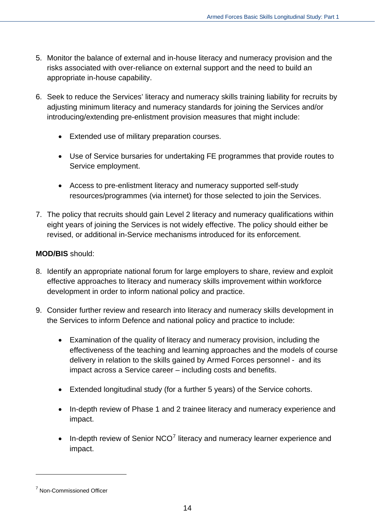- 5. Monitor the balance of external and in-house literacy and numeracy provision and the risks associated with over-reliance on external support and the need to build an appropriate in-house capability.
- 6. Seek to reduce the Services' literacy and numeracy skills training liability for recruits by adjusting minimum literacy and numeracy standards for joining the Services and/or introducing/extending pre-enlistment provision measures that might include:
	- Extended use of military preparation courses.
	- Use of Service bursaries for undertaking FE programmes that provide routes to Service employment.
	- Access to pre-enlistment literacy and numeracy supported self-study resources/programmes (via internet) for those selected to join the Services.
- 7. The policy that recruits should gain Level 2 literacy and numeracy qualifications within eight years of joining the Services is not widely effective. The policy should either be revised, or additional in-Service mechanisms introduced for its enforcement.

#### **MOD/BIS** should:

- 8. Identify an appropriate national forum for large employers to share, review and exploit effective approaches to literacy and numeracy skills improvement within workforce development in order to inform national policy and practice.
- 9. Consider further review and research into literacy and numeracy skills development in the Services to inform Defence and national policy and practice to include:
	- Examination of the quality of literacy and numeracy provision, including the effectiveness of the teaching and learning approaches and the models of course delivery in relation to the skills gained by Armed Forces personnel - and its impact across a Service career – including costs and benefits.
	- Extended longitudinal study (for a further 5 years) of the Service cohorts.
	- In-depth review of Phase 1 and 2 trainee literacy and numeracy experience and impact.
	- $\bullet$  In-depth review of Senior NCO<sup>[7](#page-13-0)</sup> literacy and numeracy learner experience and impact.

<span id="page-13-0"></span><sup>&</sup>lt;sup>7</sup> Non-Commissioned Officer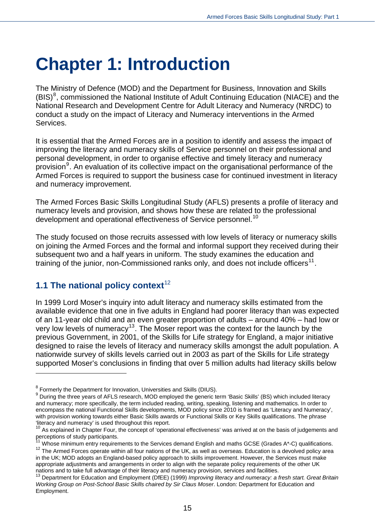## <span id="page-14-0"></span>**Chapter 1: Introduction**

The Ministry of Defence (MOD) and the Department for Business, Innovation and Skills  $(BIS)^8$  $(BIS)^8$ , commissioned the National Institute of Adult Continuing Education (NIACE) and the National Research and Development Centre for Adult Literacy and Numeracy (NRDC) to conduct a study on the impact of Literacy and Numeracy interventions in the Armed Services.

It is essential that the Armed Forces are in a position to identify and assess the impact of improving the literacy and numeracy skills of Service personnel on their professional and personal development, in order to organise effective and timely literacy and numeracy provision<sup>[9](#page-14-3)</sup>. An evaluation of its collective impact on the organisational performance of the Armed Forces is required to support the business case for continued investment in literacy and numeracy improvement.

The Armed Forces Basic Skills Longitudinal Study (AFLS) presents a profile of literacy and numeracy levels and provision, and shows how these are related to the professional development and operational effectiveness of Service personnel.<sup>[10](#page-14-4)</sup>

The study focused on those recruits assessed with low levels of literacy or numeracy skills on joining the Armed Forces and the formal and informal support they received during their subsequent two and a half years in uniform. The study examines the education and training of the junior, non-Commissioned ranks only, and does not include officers<sup>[11](#page-14-5)</sup>.

#### <span id="page-14-1"></span>**1.1 The national policy context**<sup>[12](#page-14-6)</sup>

 $\overline{a}$ 

In 1999 Lord Moser's inquiry into adult literacy and numeracy skills estimated from the available evidence that one in five adults in England had poorer literacy than was expected of an 11-year old child and an even greater proportion of adults – around 40% – had low or very low levels of numeracy[13](#page-14-7). The Moser report was the context for the launch by the previous Government, in 2001, of the Skills for Life strategy for England, a major initiative designed to raise the levels of literacy and numeracy skills amongst the adult population. A nationwide survey of skills levels carried out in 2003 as part of the Skills for Life strategy supported Moser's conclusions in finding that over 5 million adults had literacy skills below

<span id="page-14-6"></span><span id="page-14-5"></span> $12$  The Armed Forces operate within all four nations of the UK, as well as overseas. Education is a devolved policy area in the UK; MOD adopts an England-based policy approach to skills improvement. However, the Services must make appropriate adjustments and arrangements in order to align with the separate policy requirements of the other UK

<sup>&</sup>lt;sup>8</sup> Formerly the Department for Innovation, Universities and Skills (DIUS).

<span id="page-14-3"></span><span id="page-14-2"></span><sup>&</sup>lt;sup>9</sup> During the three years of AFLS research, MOD employed the generic term 'Basic Skills' (BS) which included literacy and numeracy; more specifically, the term included reading, writing, speaking, listening and mathematics. In order to encompass the national Functional Skills developments, MOD policy since 2010 is framed as 'Literacy and Numeracy', with provision working towards either Basic Skills awards or Functional Skills or Key Skills qualifications. The phrase 'literacy and numeracy' is used throughout this report.

<span id="page-14-4"></span> $10$  As explained in Chapter Four, the concept of 'operational effectiveness' was arrived at on the basis of judgements and perceptions of study participants.

Whose minimum entry requirements to the Services demand English and maths GCSE (Grades A\*-C) qualifications.

<span id="page-14-7"></span>nations and to take full advantage of their literacy and numeracy provision, services and facilities.<br><sup>13</sup> Department for Education and Employment (DfEE) (1999) *Improving literacy and numeracy: a fresh start. Great Britai Working Group on Post-School Basic Skills chaired by Sir Claus Moser*. London: Department for Education and Employment.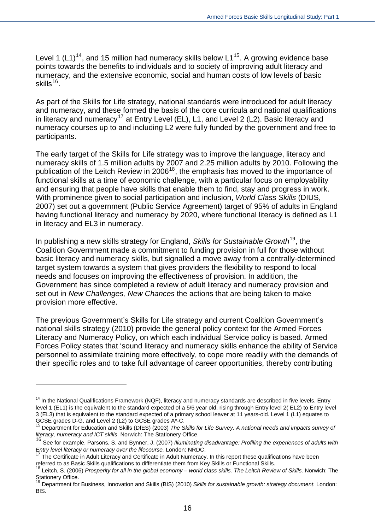Level 1  $(L1)^{14}$  $(L1)^{14}$  $(L1)^{14}$ , and [15](#page-15-1) million had numeracy skills below L1<sup>15</sup>. A growing evidence base points towards the benefits to individuals and to society of improving adult literacy and numeracy, and the extensive economic, social and human costs of low levels of basic skills $^{16}$  $^{16}$  $^{16}$ .

As part of the Skills for Life strategy, national standards were introduced for adult literacy and numeracy, and these formed the basis of the core curricula and national qualifications in literacy and numeracy<sup>[17](#page-15-3)</sup> at Entry Level (EL), L1, and Level 2 (L2). Basic literacy and numeracy courses up to and including L2 were fully funded by the government and free to participants.

The early target of the Skills for Life strategy was to improve the language, literacy and numeracy skills of 1.5 million adults by 2007 and 2.25 million adults by 2010. Following the publication of the Leitch Review in 2006<sup>[18](#page-15-4)</sup>, the emphasis has moved to the importance of functional skills at a time of economic challenge, with a particular focus on employability and ensuring that people have skills that enable them to find, stay and progress in work. With prominence given to social participation and inclusion, *World Class Skills* (DIUS, 2007) set out a government (Public Service Agreement) target of 95% of adults in England having functional literacy and numeracy by 2020, where functional literacy is defined as L1 in literacy and EL3 in numeracy.

In publishing a new skills strategy for England, *Skills for Sustainable Growth*[19](#page-15-5), the Coalition Government made a commitment to funding provision in full for those without basic literacy and numeracy skills, but signalled a move away from a centrally-determined target system towards a system that gives providers the flexibility to respond to local needs and focuses on improving the effectiveness of provision. In addition, the Government has since completed a review of adult literacy and numeracy provision and set out in *New Challenges, New Chances* the actions that are being taken to make provision more effective.

The previous Government's Skills for Life strategy and current Coalition Government's national skills strategy (2010) provide the general policy context for the Armed Forces Literacy and Numeracy Policy, on which each individual Service policy is based. Armed Forces Policy states that 'sound literacy and numeracy skills enhance the ability of Service personnel to assimilate training more effectively, to cope more readily with the demands of their specific roles and to take full advantage of career opportunities, thereby contributing

<span id="page-15-0"></span> $14$  In the National Qualifications Framework (NQF), literacy and numeracy standards are described in five levels. Entry level 1 (EL1) is the equivalent to the standard expected of a 5/6 year old, rising through Entry level 2( EL2) to Entry level 3 (EL3) that is equivalent to the standard expected of a primary school leaver at 11 years-old. Level 1 (L1) equates to GCSE grades D-G, and Level 2 (L2) to GCSE grades A\*-C.

<span id="page-15-1"></span><sup>15</sup> Department for Education and Skills (DfES) (2003) *The Skills for Life Survey. A national needs and impacts survey of literacy, numeracy and ICT skills*. Norwich: The Stationery Office.

<span id="page-15-2"></span><sup>16</sup> See for example, Parsons, S. and Bynner, J. (2007) *Illuminating disadvantage: Profiling the experiences of adults with Entry level literacy or numeracy over the lifecourse.* London: NRDC.

<span id="page-15-3"></span>The Certificate in Adult Literacy and Certificate in Adult Numeracy. In this report these qualifications have been referred to as Basic Skills qualifications to differentiate them from Key Skills or Functional Skills.<br><sup>18</sup> Leitch, S. (2006) Prosperity for all in the global economy – world class skills. The Leitch Review of Skills. Norw

<span id="page-15-4"></span>Stationery Office.

<span id="page-15-5"></span><sup>19</sup> Department for Business, Innovation and Skills (BIS) (2010) *Skills for sustainable growth: strategy document*. London: BIS.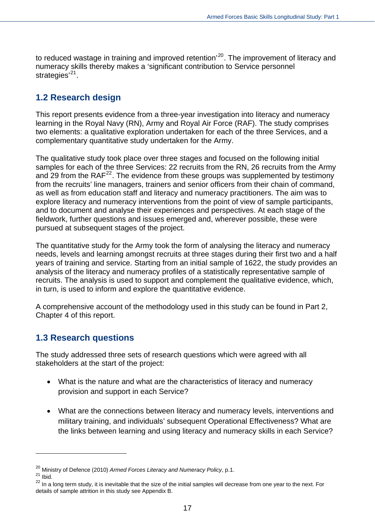to reduced wastage in training and improved retention<sup>'[20](#page-16-2)</sup>. The improvement of literacy and numeracy skills thereby makes a 'significant contribution to Service personnel strategies $^{21}$ .

## <span id="page-16-0"></span>**1.2 Research design**

two elements: a qualitative exploration undertaken for each of the three Services, and a complementary quantitative study undertaken for the Army. This report presents evidence from a three-year investigation into literacy and numeracy learning in the Royal Navy (RN), Army and Royal Air Force (RAF). The study comprises

from the recruits' line managers, trainers and senior officers from their chain of command, explore literacy and numeracy interventions from the point of view of sample participants, and to document and analyse their experiences and perspectives. At each stage of the fieldwork, further questions and issues emerged and, wherever possible, these were pursued at subsequent stages of the project. The qualitative study took place over three stages and focused on the following initial samples for each of the three Services: 22 recruits from the RN, 26 recruits from the Army and 29 from the  $RAF<sup>22</sup>$  $RAF<sup>22</sup>$  $RAF<sup>22</sup>$ . The evidence from these groups was supplemented by testimony as well as from education staff and literacy and numeracy practitioners. The aim was to

recruits. The analysis is used to support and complement the qualitative evidence, which, in turn, is used to inform and explore the quantitative evidence. The quantitative study for the Army took the form of analysing the literacy and numeracy needs, levels and learning amongst recruits at three stages during their first two and a half years of training and service. Starting from an initial sample of 1622, the study provides an analysis of the literacy and numeracy profiles of a statistically representative sample of

A comprehensive account of the methodology used in this study can be found in Part 2, Chapter 4 of this report.

## <span id="page-16-1"></span>**1.3 Research questions**

The study addressed three sets of research questions which were agreed with all stakeholders at the start of the project:

- What is the nature and what are the characteristics of literacy and numeracy provision and support in each Service?
- the links between learning and using literacy and numeracy skills in each Service? What are the connections between literacy and numeracy levels, interventions and military training, and individuals' subsequent Operational Effectiveness? What are

<sup>20</sup> Ministry of Defence (2010) *Armed Forces Literacy and Numeracy Policy*, p.1.

<span id="page-16-2"></span> $21$  Ibid.

<span id="page-16-3"></span><sup>&</sup>lt;sup>22</sup> In a long term study, it is inevitable that the size of the initial samples will decrease from one year to the next. For details of sample attrition in this study see Appendix B.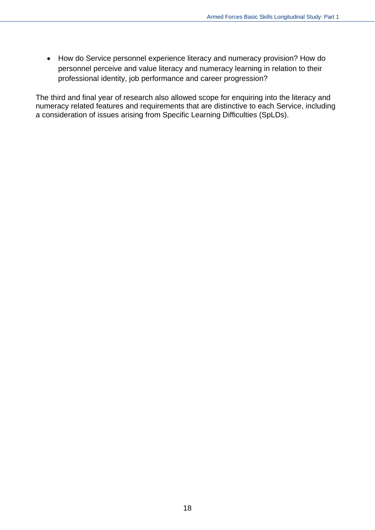How do Service personnel experience literacy and numeracy provision? How do personnel perceive and value literacy and numeracy learning in relation to their professional identity, job performance and career progression?

The third and final year of research also allowed scope for enquiring into the literacy and numeracy related features and requirements that are distinctive to each Service, including a consideration of issues arising from Specific Learning Difficulties (SpLDs).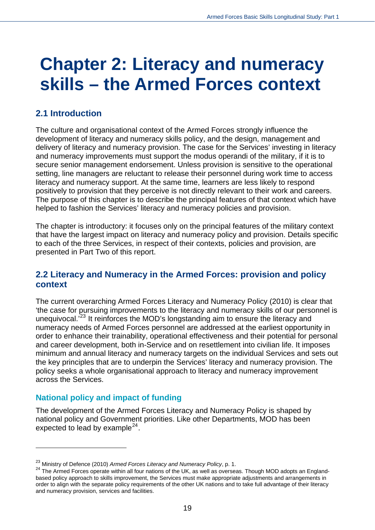## <span id="page-18-0"></span>**Chapter 2: Literacy and numeracy skills – the Armed Forces context**

## <span id="page-18-1"></span>**2.1 Introduction**

The culture and organisational context of the Armed Forces strongly influence the development of literacy and numeracy skills policy, and the design, management and delivery of literacy and numeracy provision. The case for the Services' investing in literacy and numeracy improvements must support the modus operandi of the military, if it is to secure senior management endorsement. Unless provision is sensitive to the operational setting, line managers are reluctant to release their personnel during work time to access literacy and numeracy support. At the same time, learners are less likely to respond positively to provision that they perceive is not directly relevant to their work and careers. The purpose of this chapter is to describe the principal features of that context which have helped to fashion the Services' literacy and numeracy policies and provision.

The chapter is introductory: it focuses only on the principal features of the military context that have the largest impact on literacy and numeracy policy and provision. Details specific to each of the three Services, in respect of their contexts, policies and provision, are presented in Part Two of this report.

#### <span id="page-18-2"></span>**2.2 Literacy and Numeracy in the Armed Forces: provision and policy context**

The current overarching Armed Forces Literacy and Numeracy Policy (2010) is clear that 'the case for pursuing improvements to the literacy and numeracy skills of our personnel is unequivocal.<sup>'[23](#page-18-3)</sup> It reinforces the MOD's longstanding aim to ensure the literacy and numeracy needs of Armed Forces personnel are addressed at the earliest opportunity in order to enhance their trainability, operational effectiveness and their potential for personal and career development, both in-Service and on resettlement into civilian life. It imposes minimum and annual literacy and numeracy targets on the individual Services and sets out the key principles that are to underpin the Services' literacy and numeracy provision. The policy seeks a whole organisational approach to literacy and numeracy improvement across the Services.

#### **National policy and impact of funding**

 $\overline{a}$ 

The development of the Armed Forces Literacy and Numeracy Policy is shaped by national policy and Government priorities. Like other Departments, MOD has been expected to lead by example<sup>[24](#page-18-4)</sup>.

<span id="page-18-3"></span><sup>23</sup> Ministry of Defence (2010) *Armed Forces Literacy and Numeracy Policy*, p. 1.

<span id="page-18-4"></span><sup>&</sup>lt;sup>24</sup> The Armed Forces operate within all four nations of the UK, as well as overseas. Though MOD adopts an Englandbased policy approach to skills improvement, the Services must make appropriate adjustments and arrangements in order to align with the separate policy requirements of the other UK nations and to take full advantage of their literacy and numeracy provision, services and facilities.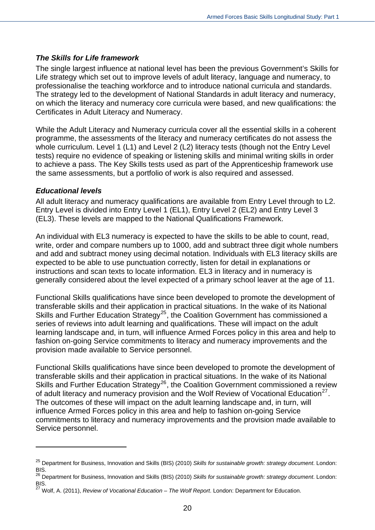#### *The Skills for Life framework*

The single largest influence at national level has been the previous Government's Skills for Life strategy which set out to improve levels of adult literacy, language and numeracy, to professionalise the teaching workforce and to introduce national curricula and standards. The strategy led to the development of National Standards in adult literacy and numeracy, on which the literacy and numeracy core curricula were based, and new qualifications: the Certificates in Adult Literacy and Numeracy.

While the Adult Literacy and Numeracy curricula cover all the essential skills in a coherent programme, the assessments of the literacy and numeracy certificates do not assess the whole curriculum. Level 1 (L1) and Level 2 (L2) literacy tests (though not the Entry Level tests) require no evidence of speaking or listening skills and minimal writing skills in order to achieve a pass. The Key Skills tests used as part of the Apprenticeship framework use the same assessments, but a portfolio of work is also required and assessed.

#### *Educational levels*

 $\overline{a}$ 

All adult literacy and numeracy qualifications are available from Entry Level through to L2. Entry Level is divided into Entry Level 1 (EL1), Entry Level 2 (EL2) and Entry Level 3 (EL3). These levels are mapped to the National Qualifications Framework.

An individual with EL3 numeracy is expected to have the skills to be able to count, read, write, order and compare numbers up to 1000, add and subtract three digit whole numbers and add and subtract money using decimal notation. Individuals with EL3 literacy skills are expected to be able to use punctuation correctly, listen for detail in explanations or instructions and scan texts to locate information. EL3 in literacy and in numeracy is generally considered about the level expected of a primary school leaver at the age of 11.

Functional Skills qualifications have since been developed to promote the development of transferable skills and their application in practical situations. In the wake of its National Skills and Further Education Strategy<sup>[25](#page-19-0)</sup>, the Coalition Government has commissioned a series of reviews into adult learning and qualifications. These will impact on the adult learning landscape and, in turn, will influence Armed Forces policy in this area and help to fashion on-going Service commitments to literacy and numeracy improvements and the provision made available to Service personnel.

Functional Skills qualifications have since been developed to promote the development of transferable skills and their application in practical situations. In the wake of its National Skills and Further Education Strategy<sup>[26](#page-19-1)</sup>, the Coalition Government commissioned a review of adult literacy and numeracy provision and the Wolf Review of Vocational Education<sup>[27](#page-19-2)</sup>. The outcomes of these will impact on the adult learning landscape and, in turn, will influence Armed Forces policy in this area and help to fashion on-going Service commitments to literacy and numeracy improvements and the provision made available to Service personnel.

<span id="page-19-0"></span><sup>25</sup> Department for Business, Innovation and Skills (BIS) (2010) *Skills for sustainable growth: strategy document*. London: BIS.

<span id="page-19-1"></span><sup>26</sup> Department for Business, Innovation and Skills (BIS) (2010) *Skills for sustainable growth: strategy document*. London: BIS.

<span id="page-19-2"></span><sup>27</sup> Wolf, A. (2011), *Review of Vocational Education – The Wolf Report*. London: Department for Education.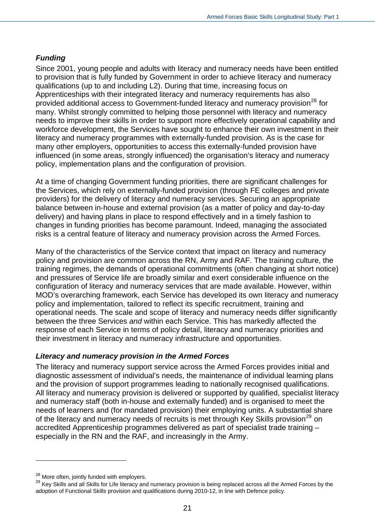#### *Funding*

Since 2001, young people and adults with literacy and numeracy needs have been entitled to provision that is fully funded by Government in order to achieve literacy and numeracy qualifications (up to and including L2). During that time, increasing focus on Apprenticeships with their integrated literacy and numeracy requirements has also provided additional access to Government-funded literacy and numeracy provision<sup>[28](#page-20-0)</sup> for many. Whilst strongly committed to helping those personnel with literacy and numeracy needs to improve their skills in order to support more effectively operational capability and workforce development, the Services have sought to enhance their own investment in their literacy and numeracy programmes with externally-funded provision. As is the case for many other employers, opportunities to access this externally-funded provision have influenced (in some areas, strongly influenced) the organisation's literacy and numeracy policy, implementation plans and the configuration of provision.

At a time of changing Government funding priorities, there are significant challenges for the Services, which rely on externally-funded provision (through FE colleges and private providers) for the delivery of literacy and numeracy services. Securing an appropriate balance between in-house and external provision (as a matter of policy and day-to-day delivery) and having plans in place to respond effectively and in a timely fashion to changes in funding priorities has become paramount. Indeed, managing the associated risks is a central feature of literacy and numeracy provision across the Armed Forces.

Many of the characteristics of the Service context that impact on literacy and numeracy policy and provision are common across the RN, Army and RAF. The training culture, the training regimes, the demands of operational commitments (often changing at short notice) and pressures of Service life are broadly similar and exert considerable influence on the configuration of literacy and numeracy services that are made available. However, within MOD's overarching framework, each Service has developed its own literacy and numeracy policy and implementation, tailored to reflect its specific recruitment, training and operational needs. The scale and scope of literacy and numeracy needs differ significantly between the three Services *and* within each Service. This has markedly affected the response of each Service in terms of policy detail, literacy and numeracy priorities and their investment in literacy and numeracy infrastructure and opportunities.

#### *Literacy and numeracy provision in the Armed Forces*

The literacy and numeracy support service across the Armed Forces provides initial and diagnostic assessment of individual's needs, the maintenance of individual learning plans and the provision of support programmes leading to nationally recognised qualifications. All literacy and numeracy provision is delivered or supported by qualified, specialist literacy and numeracy staff (both in-house and externally funded) and is organised to meet the needs of learners and (for mandated provision) their employing units. A substantial share of the literacy and numeracy needs of recruits is met through Key Skills provision<sup>[29](#page-20-1)</sup> on accredited Apprenticeship programmes delivered as part of specialist trade training – especially in the RN and the RAF, and increasingly in the Army.

<span id="page-20-0"></span><sup>&</sup>lt;sup>28</sup> More often, jointly funded with employers.

<span id="page-20-1"></span><sup>&</sup>lt;sup>29</sup> Key Skills and all Skills for Life literacy and numeracy provision is being replaced across all the Armed Forces by the adoption of Functional Skills provision and qualifications during 2010-12, in line with Defence policy.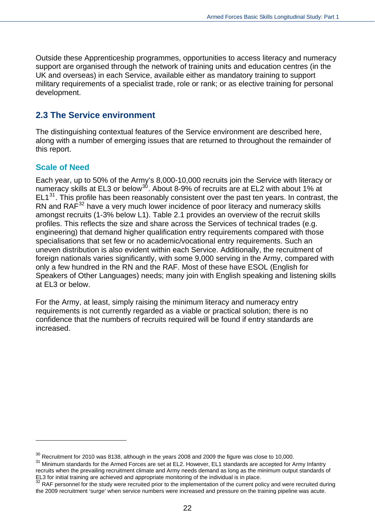Outside these Apprenticeship programmes, opportunities to access literacy and numeracy support are organised through the network of training units and education centres (in the UK and overseas) in each Service, available either as mandatory training to support military requirements of a specialist trade, role or rank; or as elective training for personal development.

#### <span id="page-21-0"></span>**2.3 The Service environment**

The distinguishing contextual features of the Service environment are described here, along with a number of emerging issues that are returned to throughout the remainder of this report.

#### **Scale of Need**

 $\overline{a}$ 

Each year, up to 50% of the Army's 8,000-10,000 recruits join the Service with literacy or numeracy skills at EL3 or below<sup>[30](#page-21-1)</sup>. About 8-9% of recruits are at EL2 with about 1% at  $EL1<sup>31</sup>$  $EL1<sup>31</sup>$  $EL1<sup>31</sup>$ . This profile has been reasonably consistent over the past ten years. In contrast, the RN and RAF<sup>[32](#page-21-3)</sup> have a very much lower incidence of poor literacy and numeracy skills amongst recruits (1-3% below L1). Table 2.1 provides an overview of the recruit skills profiles. This reflects the size and share across the Services of technical trades (e.g. engineering) that demand higher qualification entry requirements compared with those specialisations that set few or no academic/vocational entry requirements. Such an uneven distribution is also evident within each Service. Additionally, the recruitment of foreign nationals varies significantly, with some 9,000 serving in the Army, compared with only a few hundred in the RN and the RAF. Most of these have ESOL (English for Speakers of Other Languages) needs; many join with English speaking and listening skills at EL3 or below.

For the Army, at least, simply raising the minimum literacy and numeracy entry requirements is not currently regarded as a viable or practical solution; there is no confidence that the numbers of recruits required will be found if entry standards are increased.

<span id="page-21-1"></span> $30$  Recruitment for 2010 was 8138, although in the years 2008 and 2009 the figure was close to 10,000.

<span id="page-21-2"></span><sup>&</sup>lt;sup>31</sup> Minimum standards for the Armed Forces are set at EL2. However, EL1 standards are accepted for Army Infantry recruits when the prevailing recruitment climate and Army needs demand as long as the minimum output standards of EL3 for initial training are achieved and appropriate monitoring of the individual is in place.

<span id="page-21-3"></span> $32$  RAF personnel for the study were recruited prior to the implementation of the current policy and were recruited during the 2009 recruitment 'surge' when service numbers were increased and pressure on the training pipeline was acute.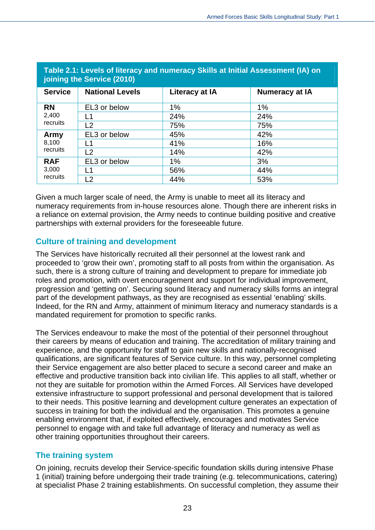| Table 2.1: Levels of literacy and numeracy Skills at Initial Assessment (IA) on<br>joining the Service (2010) |                        |                |                       |  |  |  |  |
|---------------------------------------------------------------------------------------------------------------|------------------------|----------------|-----------------------|--|--|--|--|
| <b>Service</b>                                                                                                | <b>National Levels</b> | Literacy at IA | <b>Numeracy at IA</b> |  |  |  |  |
| <b>RN</b>                                                                                                     | EL3 or below           | 1%             | 1%                    |  |  |  |  |
| 2,400                                                                                                         | l 1                    | 24%            | 24%                   |  |  |  |  |
| recruits                                                                                                      | L2                     | 75%            | 75%                   |  |  |  |  |
| Army                                                                                                          | EL3 or below           | 45%            | 42%                   |  |  |  |  |
| 8,100                                                                                                         | l 1                    | 41%            | 16%                   |  |  |  |  |
| recruits                                                                                                      | L2                     | 14%            | 42%                   |  |  |  |  |
| <b>RAF</b>                                                                                                    | EL3 or below           | $1\%$          | 3%                    |  |  |  |  |
| 3,000                                                                                                         | l 1                    | 56%            | 44%                   |  |  |  |  |
| recruits                                                                                                      | L2                     | 44%            | 53%                   |  |  |  |  |

Given a much larger scale of need, the Army is unable to meet all its literacy and numeracy requirements from in-house resources alone. Though there are inherent risks in a reliance on external provision, the Army needs to continue building positive and creative

#### **Culture of training and development**

partnerships with external providers for the foreseeable future.

The Services have historically recruited all their personnel at the lowest rank and proceeded to 'grow their own', promoting staff to all posts from within the organisation. As such, there is a strong culture of training and development to prepare for immediate job roles and promotion, with overt encouragement and support for individual improvement, progression and 'getting on'. Securing sound literacy and numeracy skills forms an integral part of the development pathways, as they are recognised as essential 'enabling' skills. Indeed, for the RN and Army, attainment of minimum literacy and numeracy standards is a mandated requirement for promotion to specific ranks.

The Services endeavour to make the most of the potential of their personnel throughout their careers by means of education and training. The accreditation of military training and experience, and the opportunity for staff to gain new skills and nationally-recognised qualifications, are significant features of Service culture. In this way, personnel completing their Service engagement are also better placed to secure a second career and make an effective and productive transition back into civilian life. This applies to all staff, whether or not they are suitable for promotion within the Armed Forces. All Services have developed extensive infrastructure to support professional and personal development that is tailored to their needs. This positive learning and development culture generates an expectation of success in training for both the individual and the organisation. This promotes a genuine enabling environment that, if exploited effectively, encourages and motivates Service personnel to engage with and take full advantage of literacy and numeracy as well as other training opportunities throughout their careers.

#### **The training system**

On joining, recruits develop their Service-specific foundation skills during intensive Phase 1 (initial) training before undergoing their trade training (e.g. telecommunications, catering) at specialist Phase 2 training establishments. On successful completion, they assume their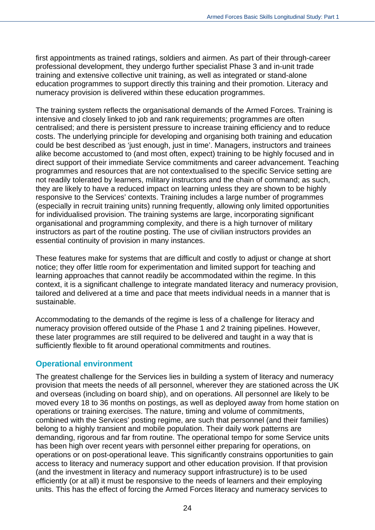first appointments as trained ratings, soldiers and airmen. As part of their through-career professional development, they undergo further specialist Phase 3 and in-unit trade training and extensive collective unit training, as well as integrated or stand-alone education programmes to support directly this training and their promotion. Literacy and numeracy provision is delivered within these education programmes.

The training system reflects the organisational demands of the Armed Forces. Training is intensive and closely linked to job and rank requirements; programmes are often centralised; and there is persistent pressure to increase training efficiency and to reduce costs. The underlying principle for developing and organising both training and education could be best described as 'just enough, just in time'. Managers, instructors and trainees alike become accustomed to (and most often, expect) training to be highly focused and in direct support of their immediate Service commitments and career advancement. Teaching programmes and resources that are not contextualised to the specific Service setting are not readily tolerated by learners, military instructors and the chain of command; as such, they are likely to have a reduced impact on learning unless they are shown to be highly responsive to the Services' contexts. Training includes a large number of programmes (especially in recruit training units) running frequently, allowing only limited opportunities for individualised provision. The training systems are large, incorporating significant organisational and programming complexity, and there is a high turnover of military instructors as part of the routine posting. The use of civilian instructors provides an essential continuity of provision in many instances.

These features make for systems that are difficult and costly to adjust or change at short notice; they offer little room for experimentation and limited support for teaching and learning approaches that cannot readily be accommodated within the regime. In this context, it is a significant challenge to integrate mandated literacy and numeracy provision, tailored and delivered at a time and pace that meets individual needs in a manner that is sustainable.

Accommodating to the demands of the regime is less of a challenge for literacy and numeracy provision offered outside of the Phase 1 and 2 training pipelines. However, these later programmes are still required to be delivered and taught in a way that is sufficiently flexible to fit around operational commitments and routines.

#### **Operational environment**

The greatest challenge for the Services lies in building a system of literacy and numeracy provision that meets the needs of all personnel, wherever they are stationed across the UK and overseas (including on board ship), and on operations. All personnel are likely to be moved every 18 to 36 months on postings, as well as deployed away from home station on operations or training exercises. The nature, timing and volume of commitments, combined with the Services' posting regime, are such that personnel (and their families) belong to a highly transient and mobile population. Their daily work patterns are demanding, rigorous and far from routine. The operational tempo for some Service units has been high over recent years with personnel either preparing for operations, on operations or on post-operational leave. This significantly constrains opportunities to gain access to literacy and numeracy support and other education provision. If that provision (and the investment in literacy and numeracy support infrastructure) is to be used efficiently (or at all) it must be responsive to the needs of learners and their employing units. This has the effect of forcing the Armed Forces literacy and numeracy services to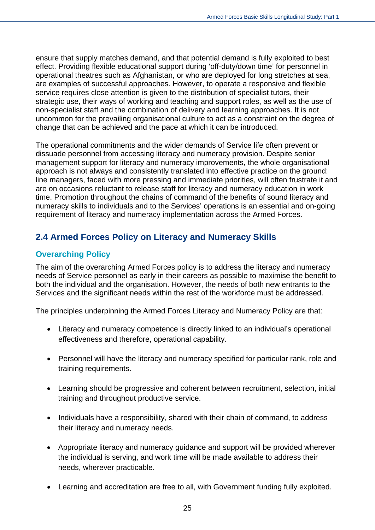ensure that supply matches demand, and that potential demand is fully exploited to best effect. Providing flexible educational support during 'off-duty/down time' for personnel in operational theatres such as Afghanistan, or who are deployed for long stretches at sea, are examples of successful approaches. However, to operate a responsive and flexible service requires close attention is given to the distribution of specialist tutors, their strategic use, their ways of working and teaching and support roles, as well as the use of non-specialist staff and the combination of delivery and learning approaches. It is not uncommon for the prevailing organisational culture to act as a constraint on the degree of change that can be achieved and the pace at which it can be introduced.

The operational commitments and the wider demands of Service life often prevent or dissuade personnel from accessing literacy and numeracy provision. Despite senior management support for literacy and numeracy improvements, the whole organisational approach is not always and consistently translated into effective practice on the ground: line managers, faced with more pressing and immediate priorities, will often frustrate it and are on occasions reluctant to release staff for literacy and numeracy education in work time. Promotion throughout the chains of command of the benefits of sound literacy and numeracy skills to individuals and to the Services' operations is an essential and on-going requirement of literacy and numeracy implementation across the Armed Forces.

## <span id="page-24-0"></span>**2.4 Armed Forces Policy on Literacy and Numeracy Skills**

#### **Overarching Policy**

The aim of the overarching Armed Forces policy is to address the literacy and numeracy needs of Service personnel as early in their careers as possible to maximise the benefit to both the individual and the organisation. However, the needs of both new entrants to the Services and the significant needs within the rest of the workforce must be addressed.

The principles underpinning the Armed Forces Literacy and Numeracy Policy are that:

- Literacy and numeracy competence is directly linked to an individual's operational effectiveness and therefore, operational capability.
- Personnel will have the literacy and numeracy specified for particular rank, role and training requirements.
- Learning should be progressive and coherent between recruitment, selection, initial training and throughout productive service.
- Individuals have a responsibility, shared with their chain of command, to address their literacy and numeracy needs.
- Appropriate literacy and numeracy guidance and support will be provided wherever the individual is serving, and work time will be made available to address their needs, wherever practicable.
- Learning and accreditation are free to all, with Government funding fully exploited.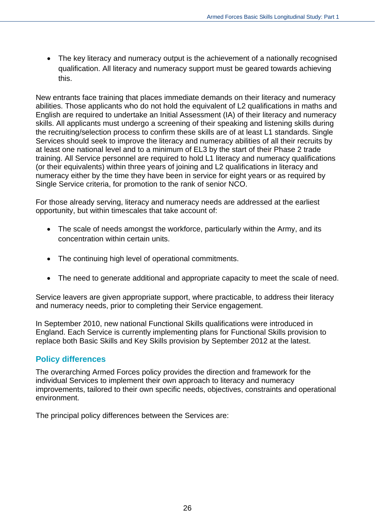• The key literacy and numeracy output is the achievement of a nationally recognised qualification. All literacy and numeracy support must be geared towards achieving this.

New entrants face training that places immediate demands on their literacy and numeracy abilities. Those applicants who do not hold the equivalent of L2 qualifications in maths and English are required to undertake an Initial Assessment (IA) of their literacy and numeracy skills. All applicants must undergo a screening of their speaking and listening skills during the recruiting/selection process to confirm these skills are of at least L1 standards. Single Services should seek to improve the literacy and numeracy abilities of all their recruits by at least one national level and to a minimum of EL3 by the start of their Phase 2 trade training. All Service personnel are required to hold L1 literacy and numeracy qualifications (or their equivalents) within three years of joining and L2 qualifications in literacy and numeracy either by the time they have been in service for eight years or as required by Single Service criteria, for promotion to the rank of senior NCO.

For those already serving, literacy and numeracy needs are addressed at the earliest opportunity, but within timescales that take account of:

- The scale of needs amongst the workforce, particularly within the Army, and its concentration within certain units.
- The continuing high level of operational commitments.
- The need to generate additional and appropriate capacity to meet the scale of need.

Service leavers are given appropriate support, where practicable, to address their literacy and numeracy needs, prior to completing their Service engagement.

In September 2010, new national Functional Skills qualifications were introduced in England. Each Service is currently implementing plans for Functional Skills provision to replace both Basic Skills and Key Skills provision by September 2012 at the latest.

#### **Policy differences**

The overarching Armed Forces policy provides the direction and framework for the individual Services to implement their own approach to literacy and numeracy improvements, tailored to their own specific needs, objectives, constraints and operational environment.

The principal policy differences between the Services are: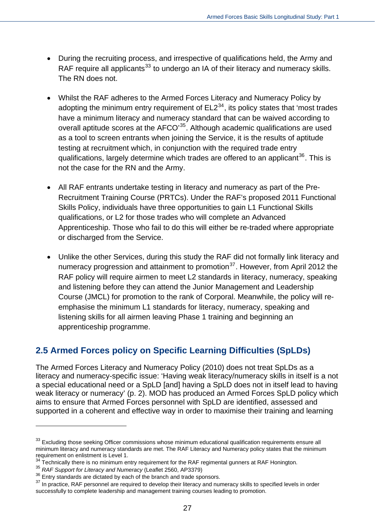- During the recruiting process, and irrespective of qualifications held, the Army and RAF require all applicants<sup>[33](#page-26-1)</sup> to undergo an IA of their literacy and numeracy skills. The RN does not.
- Whilst the RAF adheres to the Armed Forces Literacy and Numeracy Policy by adopting the minimum entry requirement of  $E L2^{34}$  $E L2^{34}$  $E L2^{34}$ , its policy states that 'most trades have a minimum literacy and numeracy standard that can be waived according to overall aptitude scores at the AFCO<sup>[35](#page-26-3)</sup>. Although academic qualifications are used as a tool to screen entrants when joining the Service, it is the results of aptitude testing at recruitment which, in conjunction with the required trade entry qualifications, largely determine which trades are offered to an applicant<sup>[36](#page-26-4)</sup>. This is not the case for the RN and the Army.
- All RAF entrants undertake testing in literacy and numeracy as part of the Pre-Recruitment Training Course (PRTCs). Under the RAF's proposed 2011 Functional Skills Policy, individuals have three opportunities to gain L1 Functional Skills qualifications, or L2 for those trades who will complete an Advanced Apprenticeship. Those who fail to do this will either be re-traded where appropriate or discharged from the Service.
- Unlike the other Services, during this study the RAF did not formally link literacy and numeracy progression and attainment to promotion<sup>[37](#page-26-5)</sup>. However, from April 2012 the RAF policy will require airmen to meet L2 standards in literacy, numeracy, speaking and listening before they can attend the Junior Management and Leadership Course (JMCL) for promotion to the rank of Corporal. Meanwhile, the policy will reemphasise the minimum L1 standards for literacy, numeracy, speaking and listening skills for all airmen leaving Phase 1 training and beginning an apprenticeship programme.

## <span id="page-26-0"></span>**2.5 Armed Forces policy on Specific Learning Difficulties (SpLDs)**

The Armed Forces Literacy and Numeracy Policy (2010) does not treat SpLDs as a literacy and numeracy-specific issue: 'Having weak literacy/numeracy skills in itself is a not a special educational need or a SpLD [and] having a SpLD does not in itself lead to having weak literacy or numeracy' (p. 2). MOD has produced an Armed Forces SpLD policy which aims to ensure that Armed Forces personnel with SpLD are identified, assessed and supported in a coherent and effective way in order to maximise their training and learning

<span id="page-26-1"></span><sup>&</sup>lt;sup>33</sup> Excluding those seeking Officer commissions whose minimum educational qualification requirements ensure all minimum literacy and numeracy standards are met. The RAF Literacy and Numeracy policy states that the minimum requirement on enlistment is Level 1.

<span id="page-26-2"></span><sup>&</sup>lt;sup>34</sup> Technically there is no minimum entry requirement for the RAF regimental gunners at RAF Honington.<br><sup>35</sup> *RAF Support for Literacy and Numeracy* (Leaflet 2560, AP3379)

<span id="page-26-4"></span><span id="page-26-3"></span><sup>&</sup>lt;sup>36</sup> Entry standards are dictated by each of the branch and trade sponsors.

<span id="page-26-5"></span> $37$  In practice, RAF personnel are required to develop their literacy and numeracy skills to specified levels in order successfully to complete leadership and management training courses leading to promotion.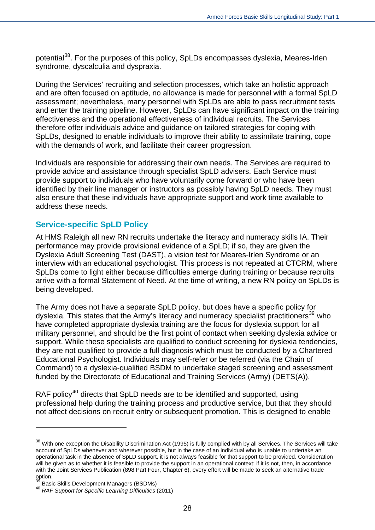potential<sup>[38](#page-27-0)</sup>. For the purposes of this policy, SpLDs encompasses dyslexia, Meares-Irlen syndrome, dyscalculia and dyspraxia.

During the Services' recruiting and selection processes, which take an holistic approach and are often focused on aptitude, no allowance is made for personnel with a formal SpLD assessment; nevertheless, many personnel with SpLDs are able to pass recruitment tests and enter the training pipeline. However, SpLDs can have significant impact on the training effectiveness and the operational effectiveness of individual recruits. The Services therefore offer individuals advice and guidance on tailored strategies for coping with SpLDs, designed to enable individuals to improve their ability to assimilate training, cope with the demands of work, and facilitate their career progression.

Individuals are responsible for addressing their own needs. The Services are required to provide advice and assistance through specialist SpLD advisers. Each Service must provide support to individuals who have voluntarily come forward or who have been identified by their line manager or instructors as possibly having SpLD needs. They must also ensure that these individuals have appropriate support and work time available to address these needs.

#### **Service-specific SpLD Policy**

At HMS Raleigh all new RN recruits undertake the literacy and numeracy skills IA. Their performance may provide provisional evidence of a SpLD; if so, they are given the Dyslexia Adult Screening Test (DAST), a vision test for Meares-Irlen Syndrome or an interview with an educational psychologist. This process is not repeated at CTCRM, where SpLDs come to light either because difficulties emerge during training or because recruits arrive with a formal Statement of Need. At the time of writing, a new RN policy on SpLDs is being developed.

The Army does not have a separate SpLD policy, but does have a specific policy for dyslexia. This states that the Army's literacy and numeracy specialist practitioners<sup>[39](#page-27-1)</sup> who have completed appropriate dyslexia training are the focus for dyslexia support for all military personnel, and should be the first point of contact when seeking dyslexia advice or support. While these specialists are qualified to conduct screening for dyslexia tendencies, they are not qualified to provide a full diagnosis which must be conducted by a Chartered Educational Psychologist. Individuals may self-refer or be referred (via the Chain of Command) to a dyslexia-qualified BSDM to undertake staged screening and assessment funded by the Directorate of Educational and Training Services (Army) (DETS(A)).

RAF policy<sup>[40](#page-27-2)</sup> directs that SpLD needs are to be identified and supported, using professional help during the training process and productive service, but that they should not affect decisions on recruit entry or subsequent promotion. This is designed to enable

<span id="page-27-0"></span><sup>&</sup>lt;sup>38</sup> With one exception the Disability Discrimination Act (1995) is fully complied with by all Services. The Services will take account of SpLDs whenever and wherever possible, but in the case of an individual who is unable to undertake an operational task in the absence of SpLD support, it is not always feasible for that support to be provided. Consideration will be given as to whether it is feasible to provide the support in an operational context; if it is not, then, in accordance with the Joint Services Publication (898 Part Four, Chapter 6), every effort will be made to seek an alternative trade option.

<span id="page-27-1"></span>Basic Skills Development Managers (BSDMs)

<span id="page-27-2"></span><sup>40</sup> *RAF Support for Specific Learning Difficulties* (2011)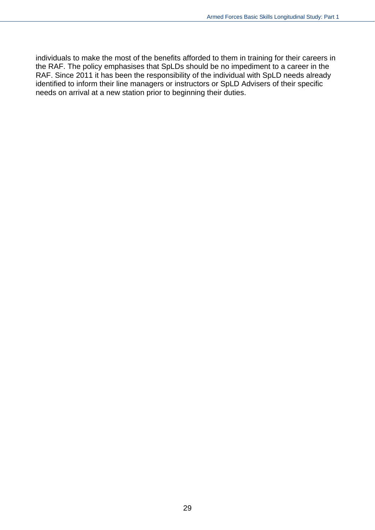individuals to make the most of the benefits afforded to them in training for their careers in the RAF. The policy emphasises that SpLDs should be no impediment to a career in the RAF. Since 2011 it has been the responsibility of the individual with SpLD needs already identified to inform their line managers or instructors or SpLD Advisers of their specific needs on arrival at a new station prior to beginning their duties.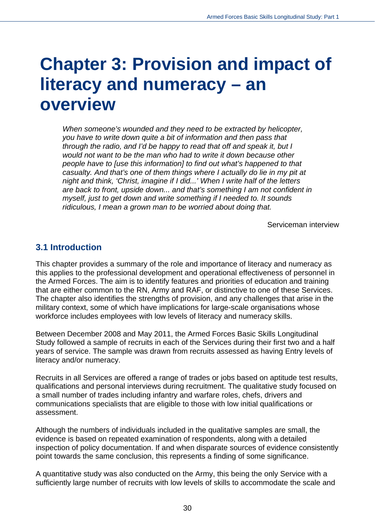## <span id="page-29-0"></span>**Chapter 3: Provision and impact of literacy and numeracy – an overview**

*When someone's wounded and they need to be extracted by helicopter, you have to write down quite a bit of information and then pass that through the radio, and I'd be happy to read that off and speak it, but I would not want to be the man who had to write it down because other people have to [use this information] to find out what's happened to that casualty. And that's one of them things where I actually do lie in my pit at night and think, 'Christ, imagine if I did...' When I write half of the letters are back to front, upside down... and that's something I am not confident in myself, just to get down and write something if I needed to. It sounds ridiculous, I mean a grown man to be worried about doing that.* 

Serviceman interview

#### <span id="page-29-1"></span>**3.1 Introduction**

This chapter provides a summary of the role and importance of literacy and numeracy as this applies to the professional development and operational effectiveness of personnel in the Armed Forces. The aim is to identify features and priorities of education and training that are either common to the RN, Army and RAF, or distinctive to one of these Services. The chapter also identifies the strengths of provision, and any challenges that arise in the military context, some of which have implications for large-scale organisations whose workforce includes employees with low levels of literacy and numeracy skills.

Between December 2008 and May 2011, the Armed Forces Basic Skills Longitudinal Study followed a sample of recruits in each of the Services during their first two and a half years of service. The sample was drawn from recruits assessed as having Entry levels of literacy and/or numeracy.

Recruits in all Services are offered a range of trades or jobs based on aptitude test results, qualifications and personal interviews during recruitment. The qualitative study focused on a small number of trades including infantry and warfare roles, chefs, drivers and communications specialists that are eligible to those with low initial qualifications or assessment.

Although the numbers of individuals included in the qualitative samples are small, the evidence is based on repeated examination of respondents, along with a detailed inspection of policy documentation. If and when disparate sources of evidence consistently point towards the same conclusion, this represents a finding of some significance.

A quantitative study was also conducted on the Army, this being the only Service with a sufficiently large number of recruits with low levels of skills to accommodate the scale and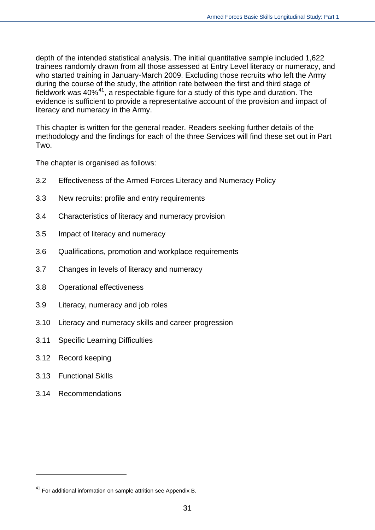depth of the intended statistical analysis. The initial quantitative sample included 1,622 trainees randomly drawn from all those assessed at Entry Level literacy or numeracy, and who started training in January-March 2009. Excluding those recruits who left the Army during the course of the study, the attrition rate between the first and third stage of fieldwork was 40%[41](#page-30-0), a respectable figure for a study of this type and duration. The evidence is sufficient to provide a representative account of the provision and impact of literacy and numeracy in the Army.

This chapter is written for the general reader. Readers seeking further details of the methodology and the findings for each of the three Services will find these set out in Part Two.

The chapter is organised as follows:

- 3.2 Effectiveness of the Armed Forces Literacy and Numeracy Policy
- 3.3 New recruits: profile and entry requirements
- 3.4 Characteristics of literacy and numeracy provision
- 3.5 Impact of literacy and numeracy
- 3.6 Qualifications, promotion and workplace requirements
- 3.7 Changes in levels of literacy and numeracy
- 3.8 Operational effectiveness
- 3.9 Literacy, numeracy and job roles
- 3.10 Literacy and numeracy skills and career progression
- 3.11 Specific Learning Difficulties
- 3.12 Record keeping
- 3.13 Functional Skills

 $\overline{a}$ 

3.14 Recommendations

<span id="page-30-0"></span><sup>&</sup>lt;sup>41</sup> For additional information on sample attrition see Appendix B.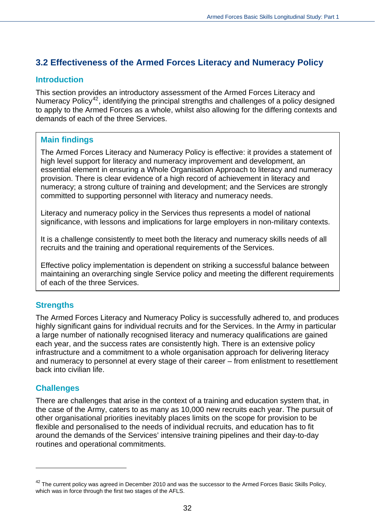## <span id="page-31-0"></span>**3.2 Effectiveness of the Armed Forces Literacy and Numeracy Policy**

#### **Introduction**

This section provides an introductory assessment of the Armed Forces Literacy and Numeracy Policy<sup>[42](#page-31-1)</sup>, identifying the principal strengths and challenges of a policy designed to apply to the Armed Forces as a whole, whilst also allowing for the differing contexts and demands of each of the three Services.

#### **Main findings**

The Armed Forces Literacy and Numeracy Policy is effective: it provides a statement of high level support for literacy and numeracy improvement and development, an essential element in ensuring a Whole Organisation Approach to literacy and numeracy provision. There is clear evidence of a high record of achievement in literacy and numeracy; a strong culture of training and development; and the Services are strongly committed to supporting personnel with literacy and numeracy needs.

Literacy and numeracy policy in the Services thus represents a model of national significance, with lessons and implications for large employers in non-military contexts.

It is a challenge consistently to meet both the literacy and numeracy skills needs of all recruits and the training and operational requirements of the Services.

Effective policy implementation is dependent on striking a successful balance between maintaining an overarching single Service policy and meeting the different requirements of each of the three Services.

#### **Strengths**

The Armed Forces Literacy and Numeracy Policy is successfully adhered to, and produces highly significant gains for individual recruits and for the Services. In the Army in particular a large number of nationally recognised literacy and numeracy qualifications are gained each year, and the success rates are consistently high. There is an extensive policy infrastructure and a commitment to a whole organisation approach for delivering literacy and numeracy to personnel at every stage of their career – from enlistment to resettlement back into civilian life.

#### **Challenges**

 $\overline{a}$ 

There are challenges that arise in the context of a training and education system that, in the case of the Army, caters to as many as 10,000 new recruits each year. The pursuit of other organisational priorities inevitably places limits on the scope for provision to be flexible and personalised to the needs of individual recruits, and education has to fit around the demands of the Services' intensive training pipelines and their day-to-day routines and operational commitments.

<span id="page-31-1"></span> $42$  The current policy was agreed in December 2010 and was the successor to the Armed Forces Basic Skills Policy, which was in force through the first two stages of the AFLS.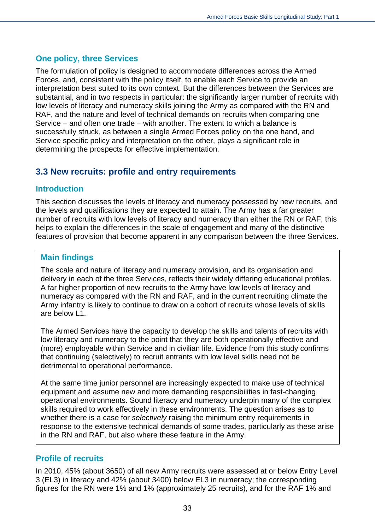#### **One policy, three Services**

The formulation of policy is designed to accommodate differences across the Armed Forces, and, consistent with the policy itself, to enable each Service to provide an interpretation best suited to its own context. But the differences between the Services are substantial, and in two respects in particular: the significantly larger number of recruits with low levels of literacy and numeracy skills joining the Army as compared with the RN and RAF, and the nature and level of technical demands on recruits when comparing one Service – and often one trade – with another. The extent to which a balance is successfully struck, as between a single Armed Forces policy on the one hand, and Service specific policy and interpretation on the other, plays a significant role in determining the prospects for effective implementation.

## <span id="page-32-0"></span>**3.3 New recruits: profile and entry requirements**

#### **Introduction**

This section discusses the levels of literacy and numeracy possessed by new recruits, and the levels and qualifications they are expected to attain. The Army has a far greater number of recruits with low levels of literacy and numeracy than either the RN or RAF; this helps to explain the differences in the scale of engagement and many of the distinctive features of provision that become apparent in any comparison between the three Services.

#### **Main findings**

The scale and nature of literacy and numeracy provision, and its organisation and delivery in each of the three Services, reflects their widely differing educational profiles. A far higher proportion of new recruits to the Army have low levels of literacy and numeracy as compared with the RN and RAF, and in the current recruiting climate the Army infantry is likely to continue to draw on a cohort of recruits whose levels of skills are below L1.

The Armed Services have the capacity to develop the skills and talents of recruits with low literacy and numeracy to the point that they are both operationally effective and (more) employable within Service and in civilian life. Evidence from this study confirms that continuing (selectively) to recruit entrants with low level skills need not be detrimental to operational performance.

At the same time junior personnel are increasingly expected to make use of technical equipment and assume new and more demanding responsibilities in fast-changing operational environments. Sound literacy and numeracy underpin many of the complex skills required to work effectively in these environments. The question arises as to whether there is a case for *selectively* raising the minimum entry requirements in response to the extensive technical demands of some trades, particularly as these arise in the RN and RAF, but also where these feature in the Army.

#### **Profile of recruits**

In 2010, 45% (about 3650) of all new Army recruits were assessed at or below Entry Level 3 (EL3) in literacy and 42% (about 3400) below EL3 in numeracy; the corresponding figures for the RN were 1% and 1% (approximately 25 recruits), and for the RAF 1% and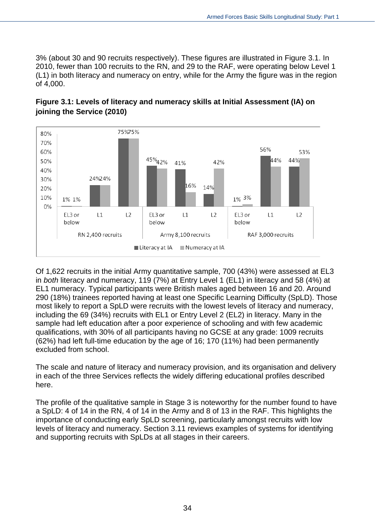3% (about 30 and 90 recruits respectively). These figures are illustrated in Figure 3.1. In 2010, fewer than 100 recruits to the RN, and 29 to the RAF, were operating below Level 1 (L1) in both literacy and numeracy on entry, while for the Army the figure was in the region of 4,000.



#### **Figure 3.1: Levels of literacy and numeracy skills at Initial Assessment (IA) on joining the Service (2010)**

Of 1,622 recruits in the initial Army quantitative sample, 700 (43%) were assessed at EL3 in *both* literacy and numeracy, 119 (7%) at Entry Level 1 (EL1) in literacy and 58 (4%) at EL1 numeracy. Typical participants were British males aged between 16 and 20. Around 290 (18%) trainees reported having at least one Specific Learning Difficulty (SpLD). Those most likely to report a SpLD were recruits with the lowest levels of literacy and numeracy, including the 69 (34%) recruits with EL1 or Entry Level 2 (EL2) in literacy. Many in the sample had left education after a poor experience of schooling and with few academic qualifications, with 30% of all participants having no GCSE at any grade: 1009 recruits (62%) had left full-time education by the age of 16; 170 (11%) had been permanently excluded from school.

The scale and nature of literacy and numeracy provision, and its organisation and delivery in each of the three Services reflects the widely differing educational profiles described here.

The profile of the qualitative sample in Stage 3 is noteworthy for the number found to have a SpLD: 4 of 14 in the RN, 4 of 14 in the Army and 8 of 13 in the RAF. This highlights the importance of conducting early SpLD screening, particularly amongst recruits with low levels of literacy and numeracy. Section 3.11 reviews examples of systems for identifying and supporting recruits with SpLDs at all stages in their careers.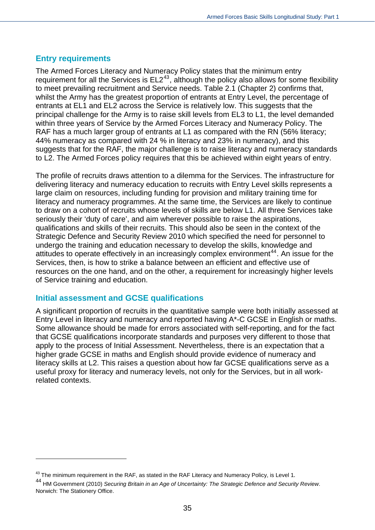#### **Entry requirements**

The Armed Forces Literacy and Numeracy Policy states that the minimum entry requirement for all the Services is  $EL2^{43}$  $EL2^{43}$  $EL2^{43}$ , although the policy also allows for some flexibility to meet prevailing recruitment and Service needs. Table 2.1 (Chapter 2) confirms that, whilst the Army has the greatest proportion of entrants at Entry Level, the percentage of entrants at EL1 and EL2 across the Service is relatively low. This suggests that the principal challenge for the Army is to raise skill levels from EL3 to L1, the level demanded within three years of Service by the Armed Forces Literacy and Numeracy Policy. The RAF has a much larger group of entrants at L1 as compared with the RN (56% literacy; 44% numeracy as compared with 24 % in literacy and 23% in numeracy), and this suggests that for the RAF, the major challenge is to raise literacy and numeracy standards to L2. The Armed Forces policy requires that this be achieved within eight years of entry.

The profile of recruits draws attention to a dilemma for the Services. The infrastructure for delivering literacy and numeracy education to recruits with Entry Level skills represents a large claim on resources, including funding for provision and military training time for literacy and numeracy programmes. At the same time, the Services are likely to continue to draw on a cohort of recruits whose levels of skills are below L1. All three Services take seriously their 'duty of care', and aim wherever possible to raise the aspirations, qualifications and skills of their recruits. This should also be seen in the context of the Strategic Defence and Security Review 2010 which specified the need for personnel to undergo the training and education necessary to develop the skills, knowledge and attitudes to operate effectively in an increasingly complex environment<sup>[44](#page-34-1)</sup>. An issue for the Services, then, is how to strike a balance between an efficient and effective use of resources on the one hand, and on the other, a requirement for increasingly higher levels of Service training and education.

#### **Initial assessment and GCSE qualifications**

 $\overline{a}$ 

A significant proportion of recruits in the quantitative sample were both initially assessed at Entry Level in literacy and numeracy and reported having A\*-C GCSE in English or maths. Some allowance should be made for errors associated with self-reporting, and for the fact that GCSE qualifications incorporate standards and purposes very different to those that apply to the process of Initial Assessment. Nevertheless, there is an expectation that a higher grade GCSE in maths and English should provide evidence of numeracy and literacy skills at L2. This raises a question about how far GCSE qualifications serve as a useful proxy for literacy and numeracy levels, not only for the Services, but in all workrelated contexts.

<span id="page-34-1"></span><span id="page-34-0"></span><sup>&</sup>lt;sup>43</sup> The minimum requirement in the RAF, as stated in the RAF Literacy and Numeracy Policy, is Level 1.<br><sup>44</sup> HM Government (2010) *Securing Britain in an Age of Uncertainty: The Strategic Defence and Security Review.* Norwich: The Stationery Office.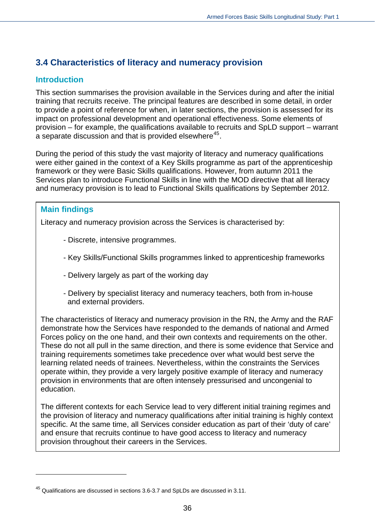## <span id="page-35-0"></span>**3.4 Characteristics of literacy and numeracy provision**

#### **Introduction**

This section summarises the provision available in the Services during and after the initial training that recruits receive. The principal features are described in some detail, in order to provide a point of reference for when, in later sections, the provision is assessed for its impact on professional development and operational effectiveness. Some elements of provision – for example, the qualifications available to recruits and SpLD support – warrant a separate discussion and that is provided elsewhere<sup>[45](#page-35-1)</sup>.

During the period of this study the vast majority of literacy and numeracy qualifications were either gained in the context of a Key Skills programme as part of the apprenticeship framework or they were Basic Skills qualifications. However, from autumn 2011 the Services plan to introduce Functional Skills in line with the MOD directive that all literacy and numeracy provision is to lead to Functional Skills qualifications by September 2012.

#### **Main findings**

 $\overline{a}$ 

Literacy and numeracy provision across the Services is characterised by:

- Discrete, intensive programmes.
- Key Skills/Functional Skills programmes linked to apprenticeship frameworks
- Delivery largely as part of the working day
- Delivery by specialist literacy and numeracy teachers, both from in-house and external providers.

The characteristics of literacy and numeracy provision in the RN, the Army and the RAF demonstrate how the Services have responded to the demands of national and Armed Forces policy on the one hand, and their own contexts and requirements on the other. These do not all pull in the same direction, and there is some evidence that Service and training requirements sometimes take precedence over what would best serve the learning related needs of trainees. Nevertheless, within the constraints the Services operate within, they provide a very largely positive example of literacy and numeracy provision in environments that are often intensely pressurised and uncongenial to education.

The different contexts for each Service lead to very different initial training regimes and the provision of literacy and numeracy qualifications after initial training is highly context specific. At the same time, all Services consider education as part of their 'duty of care' and ensure that recruits continue to have good access to literacy and numeracy provision throughout their careers in the Services.

<span id="page-35-1"></span> $45$  Qualifications are discussed in sections 3.6-3.7 and SpLDs are discussed in 3.11.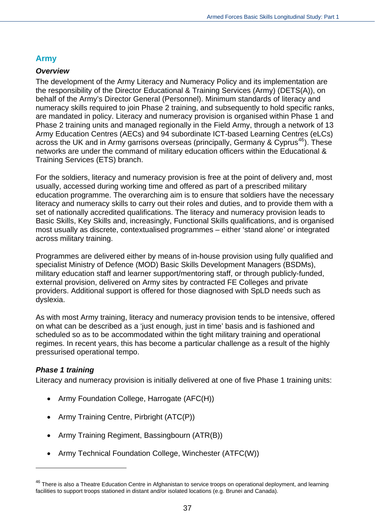## **Army**

#### *Overview*

The development of the Army Literacy and Numeracy Policy and its implementation are the responsibility of the Director Educational & Training Services (Army) (DETS(A)), on behalf of the Army's Director General (Personnel). Minimum standards of literacy and numeracy skills required to join Phase 2 training, and subsequently to hold specific ranks, are mandated in policy. Literacy and numeracy provision is organised within Phase 1 and Phase 2 training units and managed regionally in the Field Army, through a network of 13 Army Education Centres (AECs) and 94 subordinate ICT-based Learning Centres (eLCs) across the UK and in Army garrisons overseas (principally, Germany & Cyprus<sup>[46](#page-36-0)</sup>). These networks are under the command of military education officers within the Educational & Training Services (ETS) branch.

For the soldiers, literacy and numeracy provision is free at the point of delivery and, most usually, accessed during working time and offered as part of a prescribed military education programme. The overarching aim is to ensure that soldiers have the necessary literacy and numeracy skills to carry out their roles and duties, and to provide them with a set of nationally accredited qualifications. The literacy and numeracy provision leads to Basic Skills, Key Skills and, increasingly, Functional Skills qualifications, and is organised most usually as discrete, contextualised programmes – either 'stand alone' or integrated across military training.

Programmes are delivered either by means of in-house provision using fully qualified and specialist Ministry of Defence (MOD) Basic Skills Development Managers (BSDMs), military education staff and learner support/mentoring staff, or through publicly-funded, external provision, delivered on Army sites by contracted FE Colleges and private providers. Additional support is offered for those diagnosed with SpLD needs such as dyslexia.

As with most Army training, literacy and numeracy provision tends to be intensive, offered on what can be described as a 'just enough, just in time' basis and is fashioned and scheduled so as to be accommodated within the tight military training and operational regimes. In recent years, this has become a particular challenge as a result of the highly pressurised operational tempo.

#### *Phase 1 training*

 $\overline{a}$ 

Literacy and numeracy provision is initially delivered at one of five Phase 1 training units:

- Army Foundation College, Harrogate (AFC(H))
- Army Training Centre, Pirbright (ATC(P))
- Army Training Regiment, Bassingbourn (ATR(B))
- Army Technical Foundation College, Winchester (ATFC(W))

<span id="page-36-0"></span><sup>&</sup>lt;sup>46</sup> There is also a Theatre Education Centre in Afghanistan to service troops on operational deployment, and learning facilities to support troops stationed in distant and/or isolated locations (e.g. Brunei and Canada).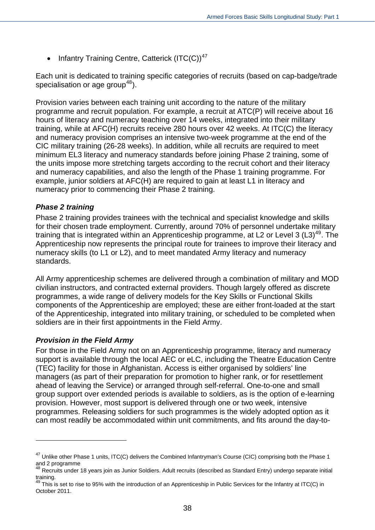• Infantry Training Centre, Catterick  $(ITC(C))^{47}$  $(ITC(C))^{47}$  $(ITC(C))^{47}$ 

Each unit is dedicated to training specific categories of recruits (based on cap-badge/trade specialisation or age group<sup>[48](#page-37-1)</sup>).

Provision varies between each training unit according to the nature of the military programme and recruit population. For example, a recruit at ATC(P) will receive about 16 hours of literacy and numeracy teaching over 14 weeks, integrated into their military training, while at AFC(H) recruits receive 280 hours over 42 weeks. At ITC(C) the literacy and numeracy provision comprises an intensive two-week programme at the end of the CIC military training (26-28 weeks). In addition, while all recruits are required to meet minimum EL3 literacy and numeracy standards before joining Phase 2 training, some of the units impose more stretching targets according to the recruit cohort and their literacy and numeracy capabilities, and also the length of the Phase 1 training programme. For example, junior soldiers at AFC(H) are required to gain at least L1 in literacy and numeracy prior to commencing their Phase 2 training.

#### *Phase 2 training*

Phase 2 training provides trainees with the technical and specialist knowledge and skills for their chosen trade employment. Currently, around 70% of personnel undertake military training that is integrated within an Apprenticeship programme, at L2 or Level 3  $(L3)$ <sup>[49](#page-37-2)</sup>. The Apprenticeship now represents the principal route for trainees to improve their literacy and numeracy skills (to L1 or L2), and to meet mandated Army literacy and numeracy standards.

All Army apprenticeship schemes are delivered through a combination of military and MOD civilian instructors, and contracted external providers. Though largely offered as discrete programmes, a wide range of delivery models for the Key Skills or Functional Skills components of the Apprenticeship are employed; these are either front-loaded at the start of the Apprenticeship, integrated into military training, or scheduled to be completed when soldiers are in their first appointments in the Field Army.

#### *Provision in the Field Army*

 $\overline{a}$ 

For those in the Field Army not on an Apprenticeship programme, literacy and numeracy support is available through the local AEC or eLC, including the Theatre Education Centre (TEC) facility for those in Afghanistan. Access is either organised by soldiers' line managers (as part of their preparation for promotion to higher rank, or for resettlement ahead of leaving the Service) or arranged through self-referral. One-to-one and small group support over extended periods is available to soldiers, as is the option of e-learning provision. However, most support is delivered through one or two week, intensive programmes. Releasing soldiers for such programmes is the widely adopted option as it can most readily be accommodated within unit commitments, and fits around the day-to-

<span id="page-37-0"></span><sup>&</sup>lt;sup>47</sup> Unlike other Phase 1 units, ITC(C) delivers the Combined Infantryman's Course (CIC) comprising both the Phase 1 and 2 programme

<span id="page-37-1"></span> $^{48}$  Recruits under 18 years join as Junior Soldiers. Adult recruits (described as Standard Entry) undergo separate initial training.

<span id="page-37-2"></span> $49$  This is set to rise to 95% with the introduction of an Apprenticeship in Public Services for the Infantry at ITC(C) in October 2011.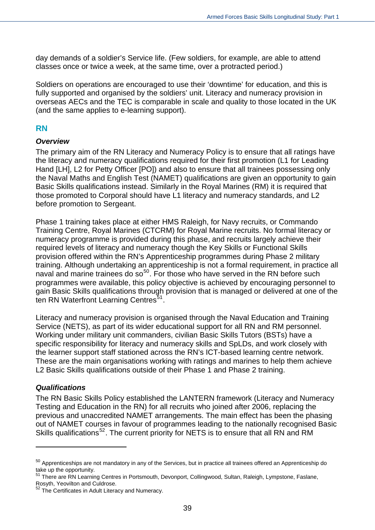day demands of a soldier's Service life. (Few soldiers, for example, are able to attend classes once or twice a week, at the same time, over a protracted period.)

Soldiers on operations are encouraged to use their 'downtime' for education, and this is fully supported and organised by the soldiers' unit. Literacy and numeracy provision in overseas AECs and the TEC is comparable in scale and quality to those located in the UK (and the same applies to e-learning support).

#### **RN**

#### *Overview*

The primary aim of the RN Literacy and Numeracy Policy is to ensure that all ratings have the literacy and numeracy qualifications required for their first promotion (L1 for Leading Hand [LH], L2 for Petty Officer [PO]) and also to ensure that all trainees possessing only the Naval Maths and English Test (NAMET) qualifications are given an opportunity to gain Basic Skills qualifications instead. Similarly in the Royal Marines (RM) it is required that those promoted to Corporal should have L1 literacy and numeracy standards, and L2 before promotion to Sergeant.

Phase 1 training takes place at either HMS Raleigh, for Navy recruits, or Commando Training Centre, Royal Marines (CTCRM) for Royal Marine recruits. No formal literacy or numeracy programme is provided during this phase, and recruits largely achieve their required levels of literacy and numeracy though the Key Skills or Functional Skills provision offered within the RN's Apprenticeship programmes during Phase 2 military training. Although undertaking an apprenticeship is not a formal requirement, in practice all naval and marine trainees do so<sup>[50](#page-38-0)</sup>. For those who have served in the RN before such programmes were available, this policy objective is achieved by encouraging personnel to gain Basic Skills qualifications through provision that is managed or delivered at one of the ten RN Waterfront Learning Centres<sup>[51](#page-38-1)</sup>.

Literacy and numeracy provision is organised through the Naval Education and Training Service (NETS), as part of its wider educational support for all RN and RM personnel. Working under military unit commanders, civilian Basic Skills Tutors (BSTs) have a specific responsibility for literacy and numeracy skills and SpLDs, and work closely with the learner support staff stationed across the RN's ICT-based learning centre network. These are the main organisations working with ratings and marines to help them achieve L2 Basic Skills qualifications outside of their Phase 1 and Phase 2 training.

#### *Qualifications*

 $\overline{a}$ 

The RN Basic Skills Policy established the LANTERN framework (Literacy and Numeracy Testing and Education in the RN) for all recruits who joined after 2006, replacing the previous and unaccredited NAMET arrangements. The main effect has been the phasing out of NAMET courses in favour of programmes leading to the nationally recognised Basic Skills qualifications<sup>[52](#page-38-2)</sup>. The current priority for NETS is to ensure that all RN and RM

<span id="page-38-0"></span><sup>&</sup>lt;sup>50</sup> Apprenticeships are not mandatory in any of the Services, but in practice all trainees offered an Apprenticeship do take up the opportunity.

<span id="page-38-1"></span><sup>&</sup>lt;sup>51</sup> There are RN Learning Centres in Portsmouth, Devonport, Collingwood, Sultan, Raleigh, Lympstone, Faslane, Rosyth, Yeovilton and Culdrose.

<span id="page-38-2"></span><sup>&</sup>lt;sup>52</sup> The Certificates in Adult Literacy and Numeracy.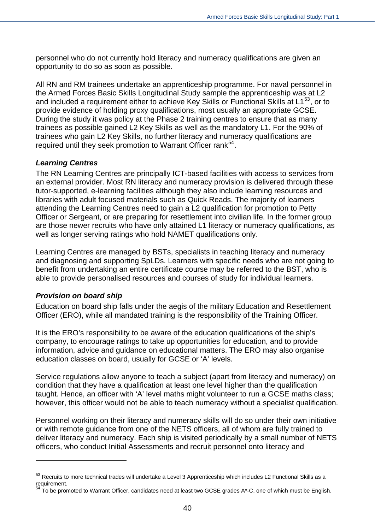personnel who do not currently hold literacy and numeracy qualifications are given an opportunity to do so as soon as possible.

All RN and RM trainees undertake an apprenticeship programme. For naval personnel in the Armed Forces Basic Skills Longitudinal Study sample the apprenticeship was at L2 and included a requirement either to achieve Key Skills or Functional Skills at  $L1^{53}$  $L1^{53}$  $L1^{53}$ , or to provide evidence of holding proxy qualifications, most usually an appropriate GCSE. During the study it was policy at the Phase 2 training centres to ensure that as many trainees as possible gained L2 Key Skills as well as the mandatory L1. For the 90% of trainees who gain L2 Key Skills, no further literacy and numeracy qualifications are required until they seek promotion to Warrant Officer rank<sup>[54](#page-39-1)</sup>.

#### *Learning Centres*

The RN Learning Centres are principally ICT-based facilities with access to services from an external provider. Most RN literacy and numeracy provision is delivered through these tutor-supported, e-learning facilities although they also include learning resources and libraries with adult focused materials such as Quick Reads. The majority of learners attending the Learning Centres need to gain a L2 qualification for promotion to Petty Officer or Sergeant, or are preparing for resettlement into civilian life. In the former group are those newer recruits who have only attained L1 literacy or numeracy qualifications, as well as longer serving ratings who hold NAMET qualifications only.

Learning Centres are managed by BSTs, specialists in teaching literacy and numeracy and diagnosing and supporting SpLDs. Learners with specific needs who are not going to benefit from undertaking an entire certificate course may be referred to the BST, who is able to provide personalised resources and courses of study for individual learners.

#### *Provision on board ship*

 $\overline{a}$ 

Education on board ship falls under the aegis of the military Education and Resettlement Officer (ERO), while all mandated training is the responsibility of the Training Officer.

It is the ERO's responsibility to be aware of the education qualifications of the ship's company, to encourage ratings to take up opportunities for education, and to provide information, advice and guidance on educational matters. The ERO may also organise education classes on board, usually for GCSE or 'A' levels.

Service regulations allow anyone to teach a subject (apart from literacy and numeracy) on condition that they have a qualification at least one level higher than the qualification taught. Hence, an officer with 'A' level maths might volunteer to run a GCSE maths class; however, this officer would not be able to teach numeracy without a specialist qualification.

Personnel working on their literacy and numeracy skills will do so under their own initiative or with remote guidance from one of the NETS officers, all of whom are fully trained to deliver literacy and numeracy. Each ship is visited periodically by a small number of NETS officers, who conduct Initial Assessments and recruit personnel onto literacy and

<span id="page-39-0"></span><sup>53</sup> Recruits to more technical trades will undertake a Level 3 Apprenticeship which includes L2 Functional Skills as a requirement.

<span id="page-39-1"></span> $54$  To be promoted to Warrant Officer, candidates need at least two GCSE grades A\*-C, one of which must be English.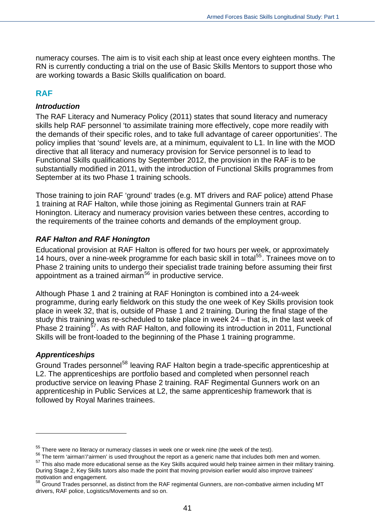numeracy courses. The aim is to visit each ship at least once every eighteen months. The RN is currently conducting a trial on the use of Basic Skills Mentors to support those who are working towards a Basic Skills qualification on board.

## **RAF**

#### *Introduction*

The RAF Literacy and Numeracy Policy (2011) states that sound literacy and numeracy skills help RAF personnel 'to assimilate training more effectively, cope more readily with the demands of their specific roles, and to take full advantage of career opportunities'. The policy implies that 'sound' levels are, at a minimum, equivalent to L1. In line with the MOD directive that all literacy and numeracy provision for Service personnel is to lead to Functional Skills qualifications by September 2012, the provision in the RAF is to be substantially modified in 2011, with the introduction of Functional Skills programmes from September at its two Phase 1 training schools.

Those training to join RAF 'ground' trades (e.g. MT drivers and RAF police) attend Phase 1 training at RAF Halton, while those joining as Regimental Gunners train at RAF Honington. Literacy and numeracy provision varies between these centres, according to the requirements of the trainee cohorts and demands of the employment group.

#### *RAF Halton and RAF Honington*

Educational provision at RAF Halton is offered for two hours per week, or approximately 14 hours, over a nine-week programme for each basic skill in total<sup>[55](#page-40-0)</sup>. Trainees move on to Phase 2 training units to undergo their specialist trade training before assuming their first appointment as a trained airman<sup>[56](#page-40-1)</sup> in productive service.

Although Phase 1 and 2 training at RAF Honington is combined into a 24-week programme, during early fieldwork on this study the one week of Key Skills provision took place in week 32, that is, outside of Phase 1 and 2 training. During the final stage of the study this training was re-scheduled to take place in week 24 – that is, in the last week of Phase 2 training<sup>[57](#page-40-2)</sup>. As with RAF Halton, and following its introduction in 2011, Functional Skills will be front-loaded to the beginning of the Phase 1 training programme.

#### *Apprenticeships*

 $\overline{a}$ 

Ground Trades personnel<sup>[58](#page-40-3)</sup> leaving RAF Halton begin a trade-specific apprenticeship at L2. The apprenticeships are portfolio based and completed when personnel reach productive service on leaving Phase 2 training. RAF Regimental Gunners work on an apprenticeship in Public Services at L2, the same apprenticeship framework that is followed by Royal Marines trainees.

 $55$  There were no literacy or numeracy classes in week one or week nine (the week of the test).

<span id="page-40-1"></span><span id="page-40-0"></span><sup>&</sup>lt;sup>56</sup> The term 'airman'/'airmen' is used throughout the report as a generic name that includes both men and women.

<span id="page-40-2"></span> $57$  This also made more educational sense as the Key Skills acquired would help trainee airmen in their military training. During Stage 2, Key Skills tutors also made the point that moving provision earlier would also improve trainees' motivation and engagement.

<span id="page-40-3"></span><sup>58</sup> Ground Trades personnel, as distinct from the RAF regimental Gunners, are non-combative airmen including MT drivers, RAF police, Logistics/Movements and so on.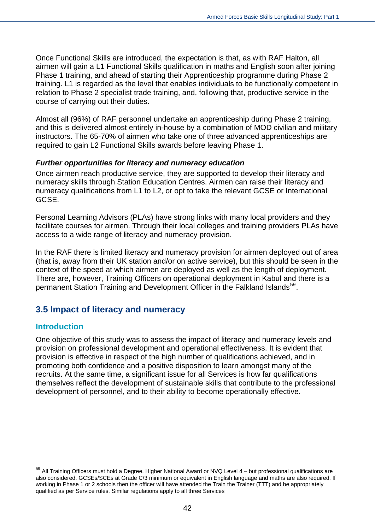Once Functional Skills are introduced, the expectation is that, as with RAF Halton, all airmen will gain a L1 Functional Skills qualification in maths and English soon after joining Phase 1 training, and ahead of starting their Apprenticeship programme during Phase 2 training. L1 is regarded as the level that enables individuals to be functionally competent in relation to Phase 2 specialist trade training, and, following that, productive service in the course of carrying out their duties.

Almost all (96%) of RAF personnel undertake an apprenticeship during Phase 2 training, and this is delivered almost entirely in-house by a combination of MOD civilian and military instructors. The 65-70% of airmen who take one of three advanced apprenticeships are required to gain L2 Functional Skills awards before leaving Phase 1.

#### *Further opportunities for literacy and numeracy education*

Once airmen reach productive service, they are supported to develop their literacy and numeracy skills through Station Education Centres. Airmen can raise their literacy and numeracy qualifications from L1 to L2, or opt to take the relevant GCSE or International GCSE.

Personal Learning Advisors (PLAs) have strong links with many local providers and they facilitate courses for airmen. Through their local colleges and training providers PLAs have access to a wide range of literacy and numeracy provision.

In the RAF there is limited literacy and numeracy provision for airmen deployed out of area (that is, away from their UK station and/or on active service), but this should be seen in the context of the speed at which airmen are deployed as well as the length of deployment. There are, however, Training Officers on operational deployment in Kabul and there is a permanent Station Training and Development Officer in the Falkland Islands<sup>[59](#page-41-0)</sup>.

## **3.5 Impact of literacy and numeracy**

#### **Introduction**

 $\overline{a}$ 

One objective of this study was to assess the impact of literacy and numeracy levels and provision on professional development and operational effectiveness. It is evident that provision is effective in respect of the high number of qualifications achieved, and in promoting both confidence and a positive disposition to learn amongst many of the recruits. At the same time, a significant issue for all Services is how far qualifications themselves reflect the development of sustainable skills that contribute to the professional development of personnel, and to their ability to become operationally effective.

<span id="page-41-0"></span><sup>&</sup>lt;sup>59</sup> All Training Officers must hold a Degree, Higher National Award or NVQ Level 4 – but professional qualifications are also considered. GCSEs/SCEs at Grade C/3 minimum or equivalent in English language and maths are also required. If working in Phase 1 or 2 schools then the officer will have attended the Train the Trainer (TTT) and be appropriately qualified as per Service rules. Similar regulations apply to all three Services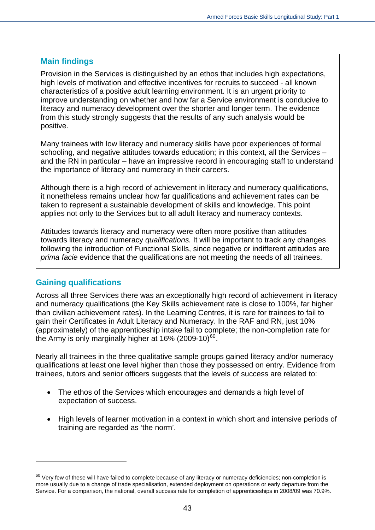#### **Main findings**

Provision in the Services is distinguished by an ethos that includes high expectations, high levels of motivation and effective incentives for recruits to succeed - all known characteristics of a positive adult learning environment. It is an urgent priority to improve understanding on whether and how far a Service environment is conducive to literacy and numeracy development over the shorter and longer term. The evidence from this study strongly suggests that the results of any such analysis would be positive.

Many trainees with low literacy and numeracy skills have poor experiences of formal schooling, and negative attitudes towards education; in this context, all the Services – and the RN in particular – have an impressive record in encouraging staff to understand the importance of literacy and numeracy in their careers.

Although there is a high record of achievement in literacy and numeracy qualifications, it nonetheless remains unclear how far qualifications and achievement rates can be taken to represent a sustainable development of skills and knowledge. This point applies not only to the Services but to all adult literacy and numeracy contexts.

Attitudes towards literacy and numeracy were often more positive than attitudes towards literacy and numeracy *qualifications.* It will be important to track any changes following the introduction of Functional Skills, since negative or indifferent attitudes are *prima facie* evidence that the qualifications are not meeting the needs of all trainees.

## **Gaining qualifications**

 $\overline{a}$ 

Across all three Services there was an exceptionally high record of achievement in literacy and numeracy qualifications (the Key Skills achievement rate is close to 100%, far higher than civilian achievement rates). In the Learning Centres, it is rare for trainees to fail to gain their Certificates in Adult Literacy and Numeracy. In the RAF and RN, just 10% (approximately) of the apprenticeship intake fail to complete; the non-completion rate for the Army is only marginally higher at  $16\%$  (2009-10)<sup>[60](#page-42-0)</sup>.

Nearly all trainees in the three qualitative sample groups gained literacy and/or numeracy qualifications at least one level higher than those they possessed on entry. Evidence from trainees, tutors and senior officers suggests that the levels of success are related to:

- The ethos of the Services which encourages and demands a high level of expectation of success.
- High levels of learner motivation in a context in which short and intensive periods of training are regarded as 'the norm'.

<span id="page-42-0"></span> $60$  Very few of these will have failed to complete because of any literacy or numeracy deficiencies; non-completion is more usually due to a change of trade specialisation, extended deployment on operations or early departure from the Service. For a comparison, the national, overall success rate for completion of apprenticeships in 2008/09 was 70.9%.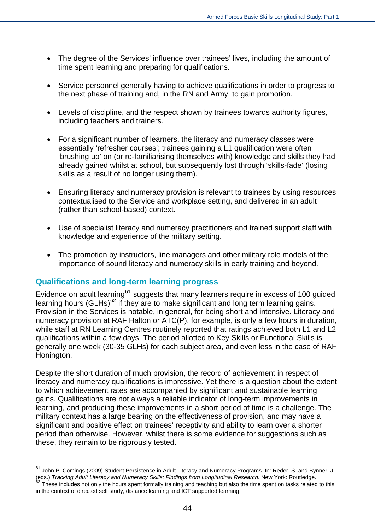- The degree of the Services' influence over trainees' lives, including the amount of time spent learning and preparing for qualifications.
- Service personnel generally having to achieve qualifications in order to progress to the next phase of training and, in the RN and Army, to gain promotion.
- Levels of discipline, and the respect shown by trainees towards authority figures, including teachers and trainers.
- For a significant number of learners, the literacy and numeracy classes were essentially 'refresher courses'; trainees gaining a L1 qualification were often 'brushing up' on (or re-familiarising themselves with) knowledge and skills they had already gained whilst at school, but subsequently lost through 'skills-fade' (losing skills as a result of no longer using them).
- Ensuring literacy and numeracy provision is relevant to trainees by using resources contextualised to the Service and workplace setting, and delivered in an adult (rather than school-based) context.
- Use of specialist literacy and numeracy practitioners and trained support staff with knowledge and experience of the military setting.
- The promotion by instructors, line managers and other military role models of the importance of sound literacy and numeracy skills in early training and beyond.

#### **Qualifications and long-term learning progress**

 $\overline{a}$ 

Evidence on adult learning<sup>[61](#page-43-0)</sup> suggests that many learners require in excess of 100 quided learning hours (GLHs) $62$  if they are to make significant and long term learning gains. Provision in the Services is notable, in general, for being short and intensive. Literacy and numeracy provision at RAF Halton or ATC(P), for example, is only a few hours in duration, while staff at RN Learning Centres routinely reported that ratings achieved both L1 and L2 qualifications within a few days. The period allotted to Key Skills or Functional Skills is generally one week (30-35 GLHs) for each subject area, and even less in the case of RAF Honington.

Despite the short duration of much provision, the record of achievement in respect of literacy and numeracy qualifications is impressive. Yet there is a question about the extent to which achievement rates are accompanied by significant and sustainable learning gains. Qualifications are not always a reliable indicator of long-term improvements in learning, and producing these improvements in a short period of time is a challenge. The military context has a large bearing on the effectiveness of provision, and may have a significant and positive effect on trainees' receptivity and ability to learn over a shorter period than otherwise. However, whilst there is some evidence for suggestions such as these, they remain to be rigorously tested.

<span id="page-43-1"></span><span id="page-43-0"></span><sup>&</sup>lt;sup>61</sup> John P. Comings (2009) Student Persistence in Adult Literacy and Numeracy Programs. In: Reder, S. and Bynner, J. eds.) Tracking Adult Literacy and Numeracy Skills: Findings from Longitudinal Research. New York: Routledge.<br><sup>62</sup> These includes not only the hours spent formally training and teaching but also the time spent on tasks rela in the context of directed self study, distance learning and ICT supported learning.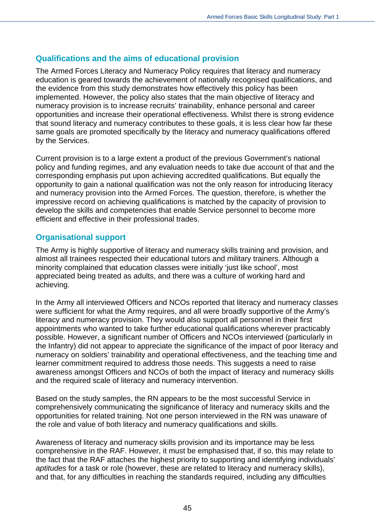## **Qualifications and the aims of educational provision**

The Armed Forces Literacy and Numeracy Policy requires that literacy and numeracy education is geared towards the achievement of nationally recognised qualifications, and the evidence from this study demonstrates how effectively this policy has been implemented. However, the policy also states that the main objective of literacy and numeracy provision is to increase recruits' trainability, enhance personal and career opportunities and increase their operational effectiveness. Whilst there is strong evidence that sound literacy and numeracy contributes to these goals, it is less clear how far these same goals are promoted specifically by the literacy and numeracy qualifications offered by the Services.

Current provision is to a large extent a product of the previous Government's national policy and funding regimes, and any evaluation needs to take due account of that and the corresponding emphasis put upon achieving accredited qualifications. But equally the opportunity to gain a national qualification was not the only reason for introducing literacy and numeracy provision into the Armed Forces. The question, therefore, is whether the impressive record on achieving qualifications is matched by the capacity of provision to develop the skills and competencies that enable Service personnel to become more efficient and effective in their professional trades.

## **Organisational support**

The Army is highly supportive of literacy and numeracy skills training and provision, and almost all trainees respected their educational tutors and military trainers. Although a minority complained that education classes were initially 'just like school', most appreciated being treated as adults, and there was a culture of working hard and achieving.

In the Army all interviewed Officers and NCOs reported that literacy and numeracy classes were sufficient for what the Army requires, and all were broadly supportive of the Army's literacy and numeracy provision. They would also support all personnel in their first appointments who wanted to take further educational qualifications wherever practicably possible. However, a significant number of Officers and NCOs interviewed (particularly in the Infantry) did not appear to appreciate the significance of the impact of poor literacy and numeracy on soldiers' trainability and operational effectiveness, and the teaching time and learner commitment required to address those needs. This suggests a need to raise awareness amongst Officers and NCOs of both the impact of literacy and numeracy skills and the required scale of literacy and numeracy intervention.

Based on the study samples, the RN appears to be the most successful Service in comprehensively communicating the significance of literacy and numeracy skills and the opportunities for related training. Not one person interviewed in the RN was unaware of the role and value of both literacy and numeracy qualifications and skills.

Awareness of literacy and numeracy skills provision and its importance may be less comprehensive in the RAF. However, it must be emphasised that, if so, this may relate to the fact that the RAF attaches the highest priority to supporting and identifying individuals' *aptitudes* for a task or role (however, these are related to literacy and numeracy skills), and that, for any difficulties in reaching the standards required, including any difficulties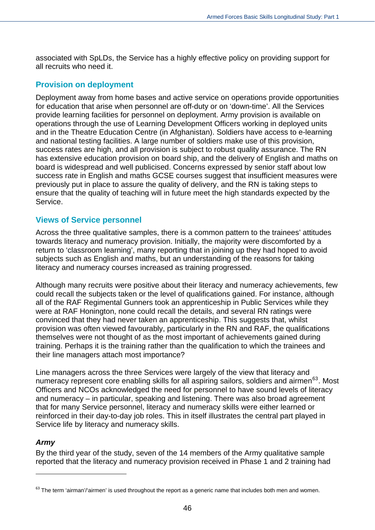associated with SpLDs, the Service has a highly effective policy on providing support for all recruits who need it.

## **Provision on deployment**

Deployment away from home bases and active service on operations provide opportunities for education that arise when personnel are off-duty or on 'down-time'. All the Services provide learning facilities for personnel on deployment. Army provision is available on operations through the use of Learning Development Officers working in deployed units and in the Theatre Education Centre (in Afghanistan). Soldiers have access to e-learning and national testing facilities. A large number of soldiers make use of this provision, success rates are high, and all provision is subject to robust quality assurance. The RN has extensive education provision on board ship, and the delivery of English and maths on board is widespread and well publicised. Concerns expressed by senior staff about low success rate in English and maths GCSE courses suggest that insufficient measures were previously put in place to assure the quality of delivery, and the RN is taking steps to ensure that the quality of teaching will in future meet the high standards expected by the Service.

## **Views of Service personnel**

Across the three qualitative samples, there is a common pattern to the trainees' attitudes towards literacy and numeracy provision. Initially, the majority were discomforted by a return to 'classroom learning', many reporting that in joining up they had hoped to avoid subjects such as English and maths, but an understanding of the reasons for taking literacy and numeracy courses increased as training progressed.

Although many recruits were positive about their literacy and numeracy achievements, few could recall the subjects taken or the level of qualifications gained. For instance, although all of the RAF Regimental Gunners took an apprenticeship in Public Services while they were at RAF Honington, none could recall the details, and several RN ratings were convinced that they had never taken an apprenticeship. This suggests that, whilst provision was often viewed favourably, particularly in the RN and RAF, the qualifications themselves were not thought of as the most important of achievements gained during training. Perhaps it is the training rather than the qualification to which the trainees and their line managers attach most importance?

Line managers across the three Services were largely of the view that literacy and numeracy represent core enabling skills for all aspiring sailors, soldiers and airmen<sup>[63](#page-45-0)</sup>. Most Officers and NCOs acknowledged the need for personnel to have sound levels of literacy and numeracy – in particular, speaking and listening. There was also broad agreement that for many Service personnel, literacy and numeracy skills were either learned or reinforced in their day-to-day job roles. This in itself illustrates the central part played in Service life by literacy and numeracy skills.

#### *Army*

 $\overline{a}$ 

By the third year of the study, seven of the 14 members of the Army qualitative sample reported that the literacy and numeracy provision received in Phase 1 and 2 training had

<span id="page-45-0"></span> $63$  The term 'airman'/'airmen' is used throughout the report as a generic name that includes both men and women.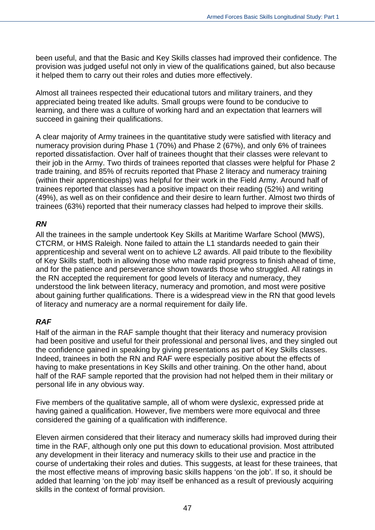been useful, and that the Basic and Key Skills classes had improved their confidence. The provision was judged useful not only in view of the qualifications gained, but also because it helped them to carry out their roles and duties more effectively.

Almost all trainees respected their educational tutors and military trainers, and they appreciated being treated like adults. Small groups were found to be conducive to learning, and there was a culture of working hard and an expectation that learners will succeed in gaining their qualifications.

A clear majority of Army trainees in the quantitative study were satisfied with literacy and numeracy provision during Phase 1 (70%) and Phase 2 (67%), and only 6% of trainees reported dissatisfaction. Over half of trainees thought that their classes were relevant to their job in the Army. Two thirds of trainees reported that classes were helpful for Phase 2 trade training, and 85% of recruits reported that Phase 2 literacy and numeracy training (within their apprenticeships) was helpful for their work in the Field Army. Around half of trainees reported that classes had a positive impact on their reading (52%) and writing (49%), as well as on their confidence and their desire to learn further. Almost two thirds of trainees (63%) reported that their numeracy classes had helped to improve their skills.

#### *RN*

All the trainees in the sample undertook Key Skills at Maritime Warfare School (MWS), CTCRM, or HMS Raleigh. None failed to attain the L1 standards needed to gain their apprenticeship and several went on to achieve L2 awards. All paid tribute to the flexibility of Key Skills staff, both in allowing those who made rapid progress to finish ahead of time, and for the patience and perseverance shown towards those who struggled. All ratings in the RN accepted the requirement for good levels of literacy and numeracy, they understood the link between literacy, numeracy and promotion, and most were positive about gaining further qualifications. There is a widespread view in the RN that good levels of literacy and numeracy are a normal requirement for daily life.

#### *RAF*

Half of the airman in the RAF sample thought that their literacy and numeracy provision had been positive and useful for their professional and personal lives, and they singled out the confidence gained in speaking by giving presentations as part of Key Skills classes. Indeed, trainees in both the RN and RAF were especially positive about the effects of having to make presentations in Key Skills and other training. On the other hand, about half of the RAF sample reported that the provision had not helped them in their military or personal life in any obvious way.

Five members of the qualitative sample, all of whom were dyslexic, expressed pride at having gained a qualification. However, five members were more equivocal and three considered the gaining of a qualification with indifference.

Eleven airmen considered that their literacy and numeracy skills had improved during their time in the RAF, although only one put this down to educational provision. Most attributed any development in their literacy and numeracy skills to their use and practice in the course of undertaking their roles and duties. This suggests, at least for these trainees, that the most effective means of improving basic skills happens 'on the job'. If so, it should be added that learning 'on the job' may itself be enhanced as a result of previously acquiring skills in the context of formal provision.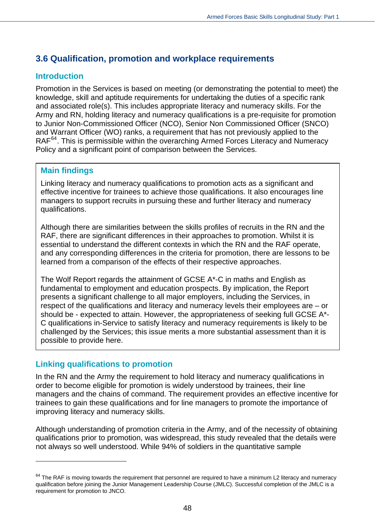# **3.6 Qualification, promotion and workplace requirements**

## **Introduction**

Promotion in the Services is based on meeting (or demonstrating the potential to meet) the knowledge, skill and aptitude requirements for undertaking the duties of a specific rank and associated role(s). This includes appropriate literacy and numeracy skills. For the Army and RN, holding literacy and numeracy qualifications is a pre-requisite for promotion to Junior Non-Commissioned Officer (NCO), Senior Non Commissioned Officer (SNCO) and Warrant Officer (WO) ranks, a requirement that has not previously applied to the RAF<sup>[64](#page-47-0)</sup>. This is permissible within the overarching Armed Forces Literacy and Numeracy Policy and a significant point of comparison between the Services.

## **Main findings**

Linking literacy and numeracy qualifications to promotion acts as a significant and effective incentive for trainees to achieve those qualifications. It also encourages line managers to support recruits in pursuing these and further literacy and numeracy qualifications.

Although there are similarities between the skills profiles of recruits in the RN and the RAF, there are significant differences in their approaches to promotion. Whilst it is essential to understand the different contexts in which the RN and the RAF operate, and any corresponding differences in the criteria for promotion, there are lessons to be learned from a comparison of the effects of their respective approaches.

The Wolf Report regards the attainment of GCSE A\*-C in maths and English as fundamental to employment and education prospects. By implication, the Report presents a significant challenge to all major employers, including the Services, in respect of the qualifications and literacy and numeracy levels their employees are – or should be - expected to attain. However, the appropriateness of seeking full GCSE A\*- C qualifications in-Service to satisfy literacy and numeracy requirements is likely to be challenged by the Services; this issue merits a more substantial assessment than it is possible to provide here.

## **Linking qualifications to promotion**

 $\overline{a}$ 

In the RN and the Army the requirement to hold literacy and numeracy qualifications in order to become eligible for promotion is widely understood by trainees, their line managers and the chains of command. The requirement provides an effective incentive for trainees to gain these qualifications and for line managers to promote the importance of improving literacy and numeracy skills.

Although understanding of promotion criteria in the Army, and of the necessity of obtaining qualifications prior to promotion, was widespread, this study revealed that the details were not always so well understood. While 94% of soldiers in the quantitative sample

<span id="page-47-0"></span> $64$  The RAF is moving towards the requirement that personnel are required to have a minimum L2 literacy and numeracy qualification before joining the Junior Management Leadership Course (JMLC). Successful completion of the JMLC is a requirement for promotion to JNCO.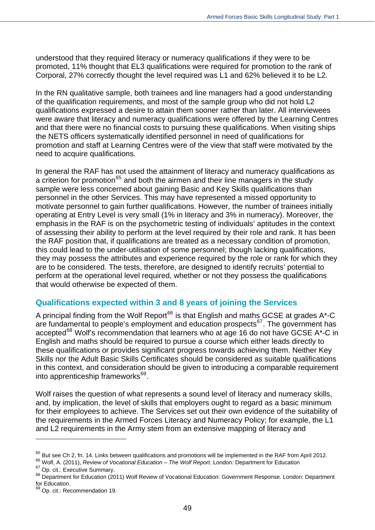understood that they required literacy or numeracy qualifications if they were to be promoted, 11% thought that EL3 qualifications were required for promotion to the rank of Corporal, 27% correctly thought the level required was L1 and 62% believed it to be L2.

In the RN qualitative sample, both trainees and line managers had a good understanding of the qualification requirements, and most of the sample group who did not hold L2 qualifications expressed a desire to attain them sooner rather than later. All interviewees were aware that literacy and numeracy qualifications were offered by the Learning Centres and that there were no financial costs to pursuing these qualifications. When visiting ships the NETS officers systematically identified personnel in need of qualifications for promotion and staff at Learning Centres were of the view that staff were motivated by the need to acquire qualifications.

In general the RAF has not used the attainment of literacy and numeracy qualifications as a criterion for promotion<sup>[65](#page-48-0)</sup> and both the airmen and their line managers in the study sample were less concerned about gaining Basic and Key Skills qualifications than personnel in the other Services. This may have represented a missed opportunity to motivate personnel to gain further qualifications. However, the number of trainees initially operating at Entry Level is very small (1% in literacy and 3% in numeracy). Moreover, the emphasis in the RAF is on the psychometric testing of individuals' aptitudes in the conte xt of assessing their ability to perform at the level required by their role and rank. It has be en the RAF position that, if qualifications are treated as a necessary condition of promotion, this could lead to the under-utilisation of some personnel; though lacking qualifications, they may possess the attributes and experience required by the role or rank for which they are to be considered. The tests, therefore, are designed to identify recruits' potential to perform at the operational level required, whether or not they possess the qualifications that would otherwise be expected of them.

#### **Qualifications expected within 3 and 8 years of joining the Services**

A principal finding from the Wolf Report<sup>[66](#page-48-1)</sup> is that English and maths GCSE at grades  $A^*$ -C are fundamental to people's employment and education prospects<sup>[67](#page-48-2)</sup>. The government has accepted<sup>[68](#page-48-3)</sup> Wolf's recommendation that learners who at age 16 do not have GCSE  $A^*$ -C in English and maths should be required to pursue a course which either leads directly to these qualifications or provides significant progress towards achieving them. Neither Key Skills nor the Adult Basic Skills Certificates should be considered as suitable qualifications in this context, and consideration should be given to introducing a comparable requirement into apprenticeship frameworks<sup>[69](#page-48-4)</sup>.

Wolf raises the question of what represents a sound level of literacy and numeracy skills, and, by implication, the level of skills that employers ought to regard as a basic minimum for their employees to achieve. The Services set out their own evidence of the suitability of the requirements in the Armed Forces Literacy and Numeracy Policy; for example, the L1 and L2 requirements in the Army stem from an extensive mapping of literacy and

 $\overline{a}$ 

<span id="page-48-0"></span> $65$  But see Ch 2, fn. 14. Links between qualifications and promotions will be implemented in the RAF from April 2012.

<span id="page-48-1"></span><sup>66</sup> Wolf, A. (2011), *Review of Vocational Education – The Wolf Report*. London: Department for Education

<span id="page-48-2"></span><sup>&</sup>lt;sup>67</sup> Op. cit.: Executive Summary.

<span id="page-48-3"></span><sup>68</sup> Department for Education (2011) Wolf Review of Vocational Education: Government Response. London: Department for Education.

<span id="page-48-4"></span><sup>&</sup>lt;sup>69</sup> Op. cit.: Recommendation 19.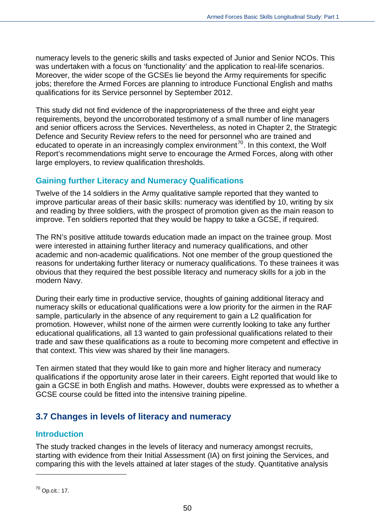numeracy levels to the generic skills and tasks expected of Junior and Senior NCOs. This was undertaken with a focus on 'functionality' and the application to real-life scenarios. Moreover, the wider scope of the GCSEs lie beyond the Army requirements for specific jobs; therefore the Armed Forces are planning to introduce Functional English and maths qualifications for its Service personnel by September 2012.

This study did not find evidence of the inappropriateness of the three and eight year requirements, beyond the uncorroborated testimony of a small number of line managers and senior officers across the Services. Nevertheless, as noted in Chapter 2, the Strategic Defence and Security Review refers to the need for personnel who are trained and educated to operate in an increasingly complex environment<sup>[70](#page-49-0)</sup>. In this context, the Wolf Report's recommendations might serve to encourage the Armed Forces, along with other large employers, to review qualification thresholds.

## **Gaining further Literacy and Numeracy Qualifications**

Twelve of the 14 soldiers in the Army qualitative sample reported that they wanted to improve particular areas of their basic skills: numeracy was identified by 10, writing by six and reading by three soldiers, with the prospect of promotion given as the main reason to improve. Ten soldiers reported that they would be happy to take a GCSE, if required.

The RN's positive attitude towards education made an impact on the trainee group. Most were interested in attaining further literacy and numeracy qualifications, and other academic and non-academic qualifications. Not one member of the group questioned the reasons for undertaking further literacy or numeracy qualifications. To these trainees it was obvious that they required the best possible literacy and numeracy skills for a job in the modern Navy.

During their early time in productive service, thoughts of gaining additional literacy and numeracy skills or educational qualifications were a low priority for the airmen in the RAF sample, particularly in the absence of any requirement to gain a L2 qualification for promotion. However, whilst none of the airmen were currently looking to take any further educational qualifications, all 13 wanted to gain professional qualifications related to their trade and saw these qualifications as a route to becoming more competent and effective in that context. This view was shared by their line managers.

Ten airmen stated that they would like to gain more and higher literacy and numeracy qualifications if the opportunity arose later in their careers. Eight reported that would like to gain a GCSE in both English and maths. However, doubts were expressed as to whether a GCSE course could be fitted into the intensive training pipeline.

# **3.7 Changes in levels of literacy and numeracy**

## **Introduction**

The study tracked changes in the levels of literacy and numeracy amongst recruits, starting with evidence from their Initial Assessment (IA) on first joining the Services, and comparing this with the levels attained at later stages of the study. Quantitative analysis

<span id="page-49-0"></span> $\overline{a}$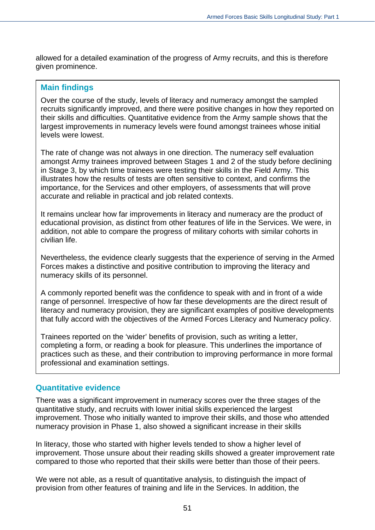allowed for a detailed examination of the progress of Army recruits, and this is therefore given prominence.

#### **Main findings**

Over the course of the study, levels of literacy and numeracy amongst the sampled recruits significantly improved, and there were positive changes in how they reported on their skills and difficulties. Quantitative evidence from the Army sample shows that the largest improvements in numeracy levels were found amongst trainees whose initial levels were lowest.

The rate of change was not always in one direction. The numeracy self evaluation amongst Army trainees improved between Stages 1 and 2 of the study before declining in Stage 3, by which time trainees were testing their skills in the Field Army. This illustrates how the results of tests are often sensitive to context, and confirms the importance, for the Services and other employers, of assessments that will prove accurate and reliable in practical and job related contexts.

It remains unclear how far improvements in literacy and numeracy are the product of educational provision, as distinct from other features of life in the Services. We were, in addition, not able to compare the progress of military cohorts with similar cohorts in civilian life.

Nevertheless, the evidence clearly suggests that the experience of serving in the Armed Forces makes a distinctive and positive contribution to improving the literacy and numeracy skills of its personnel.

A commonly reported benefit was the confidence to speak with and in front of a wide range of personnel. Irrespective of how far these developments are the direct result of literacy and numeracy provision, they are significant examples of positive developments that fully accord with the objectives of the Armed Forces Literacy and Numeracy policy.

Trainees reported on the 'wider' benefits of provision, such as writing a letter, completing a form, or reading a book for pleasure. This underlines the importance of practices such as these, and their contribution to improving performance in more formal professional and examination settings.

#### **Quantitative evidence**

There was a significant improvement in numeracy scores over the three stages of the quantitative study, and recruits with lower initial skills experienced the largest improvement. Those who initially wanted to improve their skills, and those who attended numeracy provision in Phase 1, also showed a significant increase in their skills

In literacy, those who started with higher levels tended to show a higher level of improvement. Those unsure about their reading skills showed a greater improvement rate compared to those who reported that their skills were better than those of their peers.

We were not able, as a result of quantitative analysis, to distinguish the impact of provision from other features of training and life in the Services. In addition, the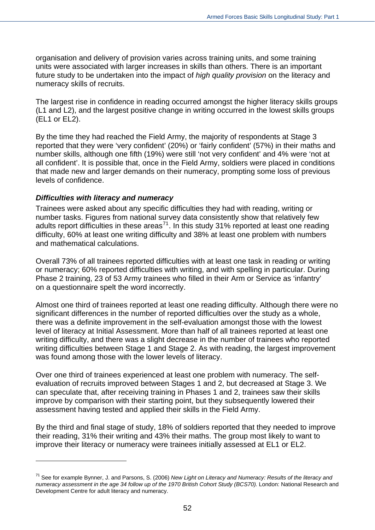organisation and delivery of provision varies across training units, and some training units were associated with larger increases in skills than others. There is an important future study to be undertaken into the impact of *high quality provision* on the literacy and numeracy skills of recruits.

The largest rise in confidence in reading occurred amongst the higher literacy skills groups (L1 and L2), and the largest positive change in writing occurred in the lowest skills groups (EL1 or EL2).

By the time they had reached the Field Army, the majority of respondents at Stage 3 reported that they were 'very confident' (20%) or 'fairly confident' (57%) in their maths and number skills, although one fifth (19%) were still 'not very confident' and 4% were 'not at all confident'. It is possible that, once in the Field Army, soldiers were placed in conditions that made new and larger demands on their numeracy, prompting some loss of previous levels of confidence.

#### *Difficulties with literacy and numeracy*

 $\overline{a}$ 

Trainees were asked about any specific difficulties they had with reading, writing or number tasks. Figures from national survey data consistently show that relatively few adults report difficulties in these areas<sup>[71](#page-51-0)</sup>. In this study 31% reported at least one reading difficulty, 60% at least one writing difficulty and 38% at least one problem with numbers and mathematical calculations.

Overall 73% of all trainees reported difficulties with at least one task in reading or writing or numeracy; 60% reported difficulties with writing, and with spelling in particular. During Phase 2 training, 23 of 53 Army trainees who filled in their Arm or Service as 'infantry' on a questionnaire spelt the word incorrectly.

Almost one third of trainees reported at least one reading difficulty. Although there were no significant differences in the number of reported difficulties over the study as a whole, there was a definite improvement in the self-evaluation amongst those with the lowest level of literacy at Initial Assessment. More than half of all trainees reported at least one writing difficulty, and there was a slight decrease in the number of trainees who reported writing difficulties between Stage 1 and Stage 2. As with reading, the largest improvement was found among those with the lower levels of literacy.

Over one third of trainees experienced at least one problem with numeracy. The selfevaluation of recruits improved between Stages 1 and 2, but decreased at Stage 3. We can speculate that, after receiving training in Phases 1 and 2, trainees saw their skills improve by comparison with their starting point, but they subsequently lowered their assessment having tested and applied their skills in the Field Army.

By the third and final stage of study, 18% of soldiers reported that they needed to improve their reading, 31% their writing and 43% their maths. The group most likely to want to improve their literacy or numeracy were trainees initially assessed at EL1 or EL2.

<span id="page-51-0"></span><sup>71</sup> See for example Bynner, J. and Parsons, S. (2006) *New Light on Literacy and Numeracy: Results of the literacy and*  numeracy assessment in the age 34 follow up of the 1970 British Cohort Study (BCS70). London: National Research and Development Centre for adult literacy and numeracy.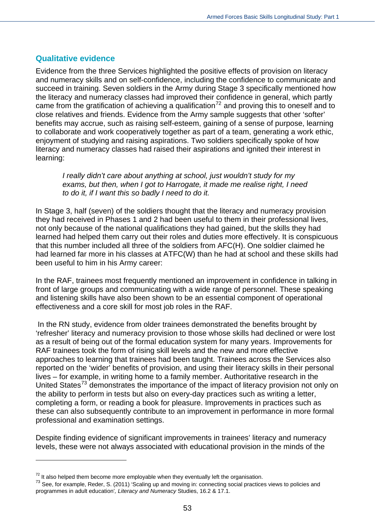## **Qualitative evidence**

Evidence from the three Services highlighted the positive effects of provision on literacy and numeracy skills and on self-confidence, including the confidence to communicate and succeed in training. Seven soldiers in the Army during Stage 3 specifically mentioned how the literacy and numeracy classes had improved their confidence in general, which partly came from the gratification of achieving a qualification<sup>[72](#page-52-0)</sup> and proving this to oneself and to close relatives and friends. Evidence from the Army sample suggests that other 'softer' benefits may accrue, such as raising self-esteem, gaining of a sense of purpose, learning to collaborate and work cooperatively together as part of a team, generating a work ethic, enjoyment of studying and raising aspirations. Two soldiers specifically spoke of how literacy and numeracy classes had raised their aspirations and ignited their interest in learning:

*I really didn't care about anything at school, just wouldn't study for my exams, but then, when I got to Harrogate, it made me realise right, I need to do it, if I want this so badly I need to do it.* 

In Stage 3, half (seven) of the soldiers thought that the literacy and numeracy provision they had received in Phases 1 and 2 had been useful to them in their professional lives, not only because of the national qualifications they had gained, but the skills they had learned had helped them carry out their roles and duties more effectively. It is conspicuous that this number included all three of the soldiers from AFC(H). One soldier claimed he had learned far more in his classes at ATFC(W) than he had at school and these skills had been useful to him in his Army career:

In the RAF, trainees most frequently mentioned an improvement in confidence in talking in front of large groups and communicating with a wide range of personnel. These speaking and listening skills have also been shown to be an essential component of operational effectiveness and a core skill for most job roles in the RAF.

 In the RN study, evidence from older trainees demonstrated the benefits brought by 'refresher' literacy and numeracy provision to those whose skills had declined or were lost as a result of being out of the formal education system for many years. Improvements for RAF trainees took the form of rising skill levels and the new and more effective approaches to learning that trainees had been taught. Trainees across the Services also reported on the 'wider' benefits of provision, and using their literacy skills in their personal lives – for example, in writing home to a family member. Authoritative research in the United States<sup>[73](#page-52-1)</sup> demonstrates the importance of the impact of literacy provision not only on the ability to perform in tests but also on every-day practices such as writing a letter, completing a form, or reading a book for pleasure. Improvements in practices such as these can also subsequently contribute to an improvement in performance in more formal professional and examination settings.

Despite finding evidence of significant improvements in trainees' literacy and numeracy levels, these were not always associated with educational provision in the minds of the

 $\overline{a}$ 

<span id="page-52-0"></span> $72$  It also helped them become more employable when they eventually left the organisation.

<span id="page-52-1"></span><sup>&</sup>lt;sup>73</sup> See, for example, Reder, S. (2011) 'Scaling up and moving in: connecting social practices views to policies and programmes in adult education'*, Literacy and Numeracy* Studies, 16.2 & 17.1.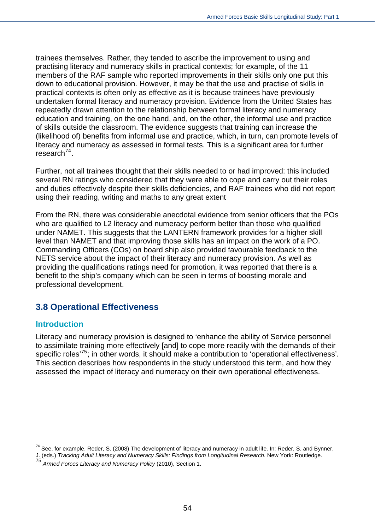trainees themselves. Rather, they tended to ascribe the improvement to using and practising literacy and numeracy skills in practical contexts; for example, of the 11 members of the RAF sample who reported improvements in their skills only one put this down to educational provision. However, it may be that the use and practise of skills in practical contexts is often only as effective as it is because trainees have previously undertaken formal literacy and numeracy provision. Evidence from the United States has repeatedly drawn attention to the relationship between formal literacy and numeracy education and training, on the one hand, and, on the other, the informal use and practice of skills outside the classroom. The evidence suggests that training can increase the (likelihood of) benefits from informal use and practice, which, in turn, can promote levels of literacy and numeracy as assessed in formal tests. This is a significant area for further research $^{74}$  $^{74}$  $^{74}$ .

Further, not all trainees thought that their skills needed to or had improved: this included several RN ratings who considered that they were able to cope and carry out their roles and duties effectively despite their skills deficiencies, and RAF trainees who did not report using their reading, writing and maths to any great extent

From the RN, there was considerable anecdotal evidence from senior officers that the POs who are qualified to L2 literacy and numeracy perform better than those who qualified under NAMET. This suggests that the LANTERN framework provides for a higher skill level than NAMET and that improving those skills has an impact on the work of a PO. Commanding Officers (COs) on board ship also provided favourable feedback to the NETS service about the impact of their literacy and numeracy provision. As well as providing the qualifications ratings need for promotion, it was reported that there is a benefit to the ship's company which can be seen in terms of boosting morale and professional development.

# **3.8 Operational Effectiveness**

## **Introduction**

 $\overline{a}$ 

Literacy and numeracy provision is designed to 'enhance the ability of Service personnel to assimilate training more effectively [and] to cope more readily with the demands of their specific roles'[75](#page-53-1); in other words, it should make a contribution to 'operational effectiveness'. This section describes how respondents in the study understood this term, and how they assessed the impact of literacy and numeracy on their own operational effectiveness.

<sup>&</sup>lt;sup>74</sup> See, for example, Reder, S. (2008) The development of literacy and numeracy in adult life. In: Reder, S. and Bynner,

<span id="page-53-1"></span><span id="page-53-0"></span>J. (eds.) *Tracking Adult Literacy and Numeracy Skills: Findings from Longitudinal Research*. New York: Routledge. <sup>75</sup> *Armed Forces Literacy and Numeracy Policy* (2010), Section 1.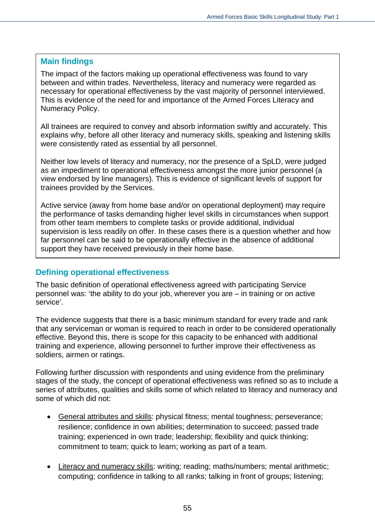#### **Main findings**

The impact of the factors making up operational effectiveness was found to vary between and within trades. Nevertheless, literacy and numeracy were regarded as necessary for operational effectiveness by the vast majority of personnel interviewed. This is evidence of the need for and importance of the Armed Forces Literacy and Numeracy Policy.

All trainees are required to convey and absorb information swiftly and accurately. This explains why, before all other literacy and numeracy skills, speaking and listening skills were consistently rated as essential by all personnel.

Neither low levels of literacy and numeracy, nor the presence of a SpLD, were judged as an impediment to operational effectiveness amongst the more junior personnel (a view endorsed by line managers). This is evidence of significant levels of support for trainees provided by the Services.

Active service (away from home base and/or on operational deployment) may require the performance of tasks demanding higher level skills in circumstances when support from other team members to complete tasks or provide additional, individual supervision is less readily on offer. In these cases there is a question whether and how far personnel can be said to be operationally effective in the absence of additional support they have received previously in their home base.

#### **Defining operational effectiveness**

The basic definition of operational effectiveness agreed with participating Service personnel was: 'the ability to do your job, wherever you are – in training or on active service'.

The evidence suggests that there is a basic minimum standard for every trade and rank that any serviceman or woman is required to reach in order to be considered operationally effective. Beyond this, there is scope for this capacity to be enhanced with additional training and experience, allowing personnel to further improve their effectiveness as soldiers, airmen or ratings.

Following further discussion with respondents and using evidence from the preliminary stages of the study, the concept of operational effectiveness was refined so as to include a series of attributes, qualities and skills some of which related to literacy and numeracy and some of which did not:

- General attributes and skills: physical fitness; mental toughness; perseverance; resilience; confidence in own abilities; determination to succeed; passed trade training; experienced in own trade; leadership; flexibility and quick thinking; commitment to team; quick to learn; working as part of a team.
- Literacy and numeracy skills: writing; reading; maths/numbers; mental arithmetic; computing; confidence in talking to all ranks; talking in front of groups; listening;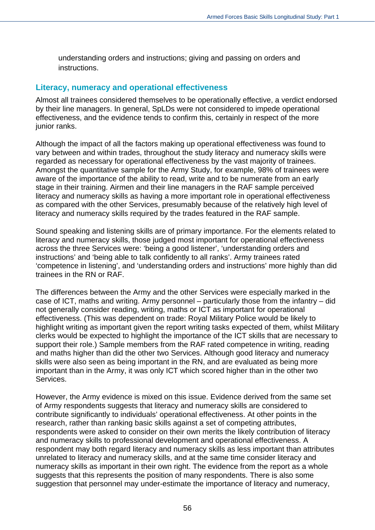understanding orders and instructions; giving and passing on orders and **instructions** 

#### **Literacy, numeracy and operational effectiveness**

Almost all trainees considered themselves to be operationally effective, a verdict endorsed by their line managers. In general, SpLDs were not considered to impede operational effectiveness, and the evidence tends to confirm this, certainly in respect of the more junior ranks.

Although the impact of all the factors making up operational effectiveness was found to vary between and within trades, throughout the study literacy and numeracy skills were regarded as necessary for operational effectiveness by the vast majority of trainees. Amongst the quantitative sample for the Army Study, for example, 98% of trainees were aware of the importance of the ability to read, write and to be numerate from an early stage in their training. Airmen and their line managers in the RAF sample perceived literacy and numeracy skills as having a more important role in operational effectiveness as compared with the other Services, presumably because of the relatively high level of literacy and numeracy skills required by the trades featured in the RAF sample.

Sound speaking and listening skills are of primary importance. For the elements related to literacy and numeracy skills, those judged most important for operational effectiveness across the three Services were: 'being a good listener', 'understanding orders and instructions' and 'being able to talk confidently to all ranks'. Army trainees rated 'competence in listening', and 'understanding orders and instructions' more highly than did trainees in the RN or RAF.

The differences between the Army and the other Services were especially marked in the case of ICT, maths and writing. Army personnel – particularly those from the infantry – did not generally consider reading, writing, maths or ICT as important for operational effectiveness. (This was dependent on trade: Royal Military Police would be likely to highlight writing as important given the report writing tasks expected of them, whilst Military clerks would be expected to highlight the importance of the ICT skills that are necessary to support their role.) Sample members from the RAF rated competence in writing, reading and maths higher than did the other two Services. Although good literacy and numeracy skills were also seen as being important in the RN, and are evaluated as being more important than in the Army, it was only ICT which scored higher than in the other two Services.

However, the Army evidence is mixed on this issue. Evidence derived from the same set of Army respondents suggests that literacy and numeracy skills are considered to contribute significantly to individuals' operational effectiveness. At other points in the research, rather than ranking basic skills against a set of competing attributes, respondents were asked to consider on their own merits the likely contribution of literacy and numeracy skills to professional development and operational effectiveness. A respondent may both regard literacy and numeracy skills as less important than attributes unrelated to literacy and numeracy skills, and at the same time consider literacy and numeracy skills as important in their own right. The evidence from the report as a whole suggests that this represents the position of many respondents. There is also some suggestion that personnel may under-estimate the importance of literacy and numeracy,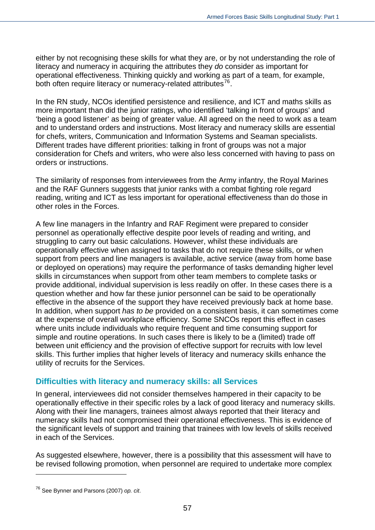either by not recognising these skills for what they are, or by not understanding the role of literacy and numeracy in acquiring the attributes they *do* consider as important for operational effectiveness. Thinking quickly and working as part of a team, for example, both often require literacy or numeracy-related attributes $^{76}$  $^{76}$  $^{76}$ .

In the RN study, NCOs identified persistence and resilience, and ICT and maths skills as more important than did the junior ratings, who identified 'talking in front of groups' and 'being a good listener' as being of greater value. All agreed on the need to work as a team and to understand orders and instructions. Most literacy and numeracy skills are essential for chefs, writers, Communication and Information Systems and Seaman specialists. Different trades have different priorities: talking in front of groups was not a major consideration for Chefs and writers, who were also less concerned with having to pass on orders or instructions.

The similarity of responses from interviewees from the Army infantry, the Royal Marines and the RAF Gunners suggests that junior ranks with a combat fighting role regard reading, writing and ICT as less important for operational effectiveness than do those in other roles in the Forces.

A few line managers in the Infantry and RAF Regiment were prepared to consider personnel as operationally effective despite poor levels of reading and writing, and struggling to carry out basic calculations. However, whilst these individuals are operationally effective when assigned to tasks that do not require these skills, or when support from peers and line managers is available, active service (away from home base or deployed on operations) may require the performance of tasks demanding higher level skills in circumstances when support from other team members to complete tasks or provide additional, individual supervision is less readily on offer. In these cases there is a question whether and how far these junior personnel can be said to be operationally effective in the absence of the support they have received previously back at home base. In addition, when support *has to be* provided on a consistent basis, it can sometimes come at the expense of overall workplace efficiency. Some SNCOs report this effect in cases where units include individuals who require frequent and time consuming support for simple and routine operations. In such cases there is likely to be a (limited) trade off between unit efficiency and the provision of effective support for recruits with low level skills. This further implies that higher levels of literacy and numeracy skills enhance the utility of recruits for the Services.

#### **Difficulties with literacy and numeracy skills: all Services**

In general, interviewees did not consider themselves hampered in their capacity to be operationally effective in their specific roles by a lack of good literacy and numeracy skills. Along with their line managers, trainees almost always reported that their literacy and numeracy skills had not compromised their operational effectiveness. This is evidence of the significant levels of support and training that trainees with low levels of skills received in each of the Services.

As suggested elsewhere, however, there is a possibility that this assessment will have to be revised following promotion, when personnel are required to undertake more complex

 $\overline{a}$ 

<span id="page-56-0"></span><sup>76</sup> See Bynner and Parsons (2007) *op. cit*.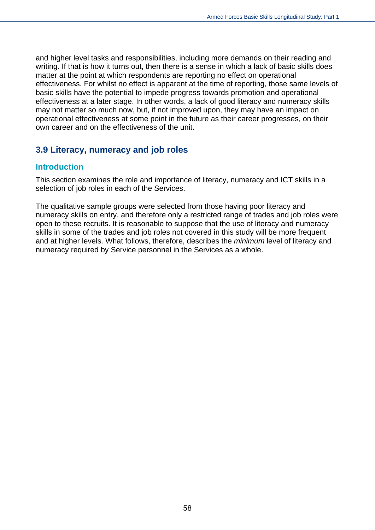and higher level tasks and responsibilities, including more demands on their reading and writing. If that is how it turns out, then there is a sense in which a lack of basic skills does matter at the point at which respondents are reporting no effect on operational effectiveness. For whilst no effect is apparent at the time of reporting, those same levels of basic skills have the potential to impede progress towards promotion and operational effectiveness at a later stage. In other words, a lack of good literacy and numeracy skills may not matter so much now, but, if not improved upon, they may have an impact on operational effectiveness at some point in the future as their career progresses, on their own career and on the effectiveness of the unit.

## **3.9 Literacy, numeracy and job roles**

#### **Introduction**

This section examines the role and importance of literacy, numeracy and ICT skills in a selection of job roles in each of the Services.

The qualitative sample groups were selected from those having poor literacy and numeracy skills on entry, and therefore only a restricted range of trades and job roles were open to these recruits. It is reasonable to suppose that the use of literacy and numeracy skills in some of the trades and job roles not covered in this study will be more frequent and at higher levels. What follows, therefore, describes the *minimum* level of literacy and numeracy required by Service personnel in the Services as a whole.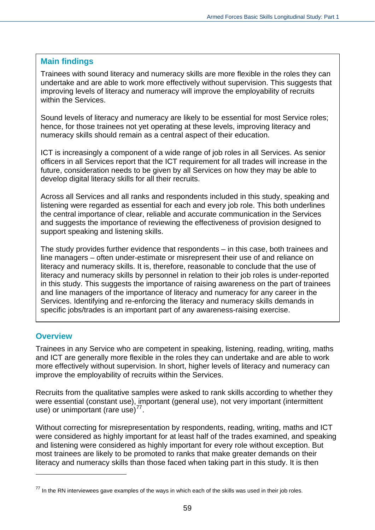#### **Main findings**

Trainees with sound literacy and numeracy skills are more flexible in the roles they can undertake and are able to work more effectively without supervision. This suggests that improving levels of literacy and numeracy will improve the employability of recruits within the Services.

Sound levels of literacy and numeracy are likely to be essential for most Service roles; hence, for those trainees not yet operating at these levels, improving literacy and numeracy skills should remain as a central aspect of their education.

ICT is increasingly a component of a wide range of job roles in all Services. As senior officers in all Services report that the ICT requirement for all trades will increase in the future, consideration needs to be given by all Services on how they may be able to develop digital literacy skills for all their recruits.

Across all Services and all ranks and respondents included in this study, speaking and listening were regarded as essential for each and every job role. This both underlines the central importance of clear, reliable and accurate communication in the Services and suggests the importance of reviewing the effectiveness of provision designed to support speaking and listening skills.

The study provides further evidence that respondents – in this case, both trainees and line managers – often under-estimate or misrepresent their use of and reliance on literacy and numeracy skills. It is, therefore, reasonable to conclude that the use of literacy and numeracy skills by personnel in relation to their job roles is under-reported in this study. This suggests the importance of raising awareness on the part of trainees and line managers of the importance of literacy and numeracy for any career in the Services. Identifying and re-enforcing the literacy and numeracy skills demands in specific jobs/trades is an important part of any awareness-raising exercise.

## **Overview**

 $\overline{a}$ 

Trainees in any Service who are competent in speaking, listening, reading, writing, maths and ICT are generally more flexible in the roles they can undertake and are able to work more effectively without supervision. In short, higher levels of literacy and numeracy can improve the employability of recruits within the Services.

Recruits from the qualitative samples were asked to rank skills according to whether they were essential (constant use), important (general use), not very important (intermittent use) or unimportant (rare use) $^{77}$  $^{77}$  $^{77}$ .

Without correcting for misrepresentation by respondents, reading, writing, maths and ICT were considered as highly important for at least half of the trades examined, and speaking and listening were considered as highly important for every role without exception. But most trainees are likely to be promoted to ranks that make greater demands on their literacy and numeracy skills than those faced when taking part in this study. It is then

<span id="page-58-0"></span> $77$  In the RN interviewees gave examples of the ways in which each of the skills was used in their job roles.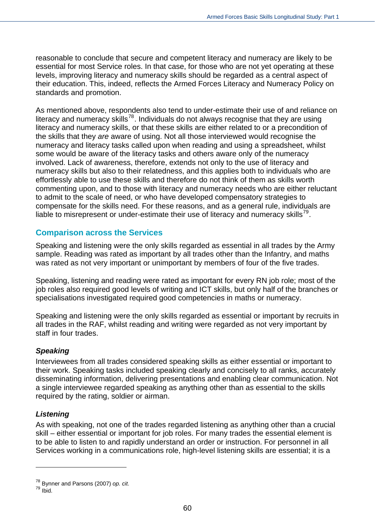reasonable to conclude that secure and competent literacy and numeracy are likely to be essential for most Service roles. In that case, for those who are not yet operating at these levels, improving literacy and numeracy skills should be regarded as a central aspect of their education. This, indeed, reflects the Armed Forces Literacy and Numeracy Policy on standards and promotion.

As mentioned above, respondents also tend to under-estimate their use of and reliance on literacy and numeracy skills<sup>[78](#page-59-0)</sup>. Individuals do not always recognise that they are using literacy and numeracy skills, or that these skills are either related to or a precondition of the skills that they *are* aware of using. Not all those interviewed would recognise the numeracy and literacy tasks called upon when reading and using a spreadsheet, whilst some would be aware of the literacy tasks and others aware only of the numeracy involved. Lack of awareness, therefore, extends not only to the use of literacy and numeracy skills but also to their relatedness, and this applies both to individuals who are effortlessly able to use these skills and therefore do not think of them as skills worth commenting upon, and to those with literacy and numeracy needs who are either reluctant to admit to the scale of need, or who have developed compensatory strategies to compensate for the skills need. For these reasons, and as a general rule, individuals are liable to misrepresent or under-estimate their use of literacy and numeracy skills<sup>[79](#page-59-1)</sup>.

## **Comparison across the Services**

Speaking and listening were the only skills regarded as essential in all trades by the Army sample. Reading was rated as important by all trades other than the Infantry, and maths was rated as not very important or unimportant by members of four of the five trades.

Speaking, listening and reading were rated as important for every RN job role; most of the job roles also required good levels of writing and ICT skills, but only half of the branches or specialisations investigated required good competencies in maths or numeracy.

Speaking and listening were the only skills regarded as essential or important by recruits in all trades in the RAF, whilst reading and writing were regarded as not very important by staff in four trades.

#### *Speaking*

Interviewees from all trades considered speaking skills as either essential or important to their work. Speaking tasks included speaking clearly and concisely to all ranks, accurately disseminating information, delivering presentations and enabling clear communication. Not a single interviewee regarded speaking as anything other than as essential to the skills required by the rating, soldier or airman.

## *Listening*

As with speaking, not one of the trades regarded listening as anything other than a crucial skill – either essential or important for job roles. For many trades the essential element is to be able to listen to and rapidly understand an order or instruction. For personnel in all Services working in a communications role, high-level listening skills are essential; it is a

 $\overline{a}$ 

<span id="page-59-1"></span><span id="page-59-0"></span><sup>78</sup> Bynner and Parsons (2007) *op. cit*. 79 Ibid.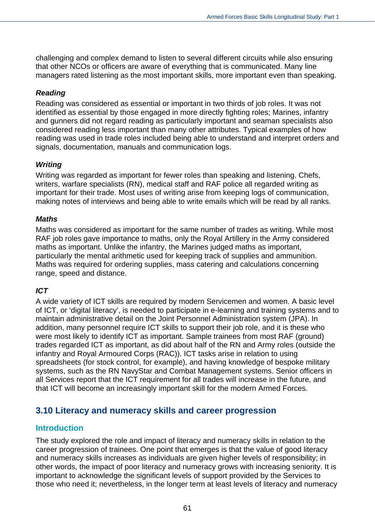challenging and complex demand to listen to several different circuits while also ensuring that other NCOs or officers are aware of everything that is communicated. Many line managers rated listening as the most important skills, more important even than speaking.

#### *Reading*

Reading was considered as essential or important in two thirds of job roles. It was not identified as essential by those engaged in more directly fighting roles; Marines, infantry and gunners did not regard reading as particularly important and seaman specialists also considered reading less important than many other attributes. Typical examples of how reading was used in trade roles included being able to understand and interpret orders and signals, documentation, manuals and communication logs.

#### *Writing*

Writing was regarded as important for fewer roles than speaking and listening. Chefs, writers, warfare specialists (RN), medical staff and RAF police all regarded writing as important for their trade. Most uses of writing arise from keeping logs of communication, making notes of interviews and being able to write emails which will be read by all ranks.

#### *Maths*

Maths was considered as important for the same number of trades as writing. While most RAF job roles gave importance to maths, only the Royal Artillery in the Army considered maths as important. Unlike the infantry, the Marines judged maths as important, particularly the mental arithmetic used for keeping track of supplies and ammunition. Maths was required for ordering supplies, mass catering and calculations concerning range, speed and distance.

#### *ICT*

A wide variety of ICT skills are required by modern Servicemen and women. A basic level of ICT, or 'digital literacy', is needed to participate in e-learning and training systems and to maintain administrative detail on the Joint Personnel Administration system (JPA). In addition, many personnel require ICT skills to support their job role, and it is these who were most likely to identify ICT as important. Sample trainees from most RAF (ground) trades regarded ICT as important, as did about half of the RN and Army roles (outside the infantry and Royal Armoured Corps (RAC)). ICT tasks arise in relation to using spreadsheets (for stock control, for example), and having knowledge of bespoke military systems, such as the RN NavyStar and Combat Management systems. Senior officers in all Services report that the ICT requirement for all trades will increase in the future, and that ICT will become an increasingly important skill for the modern Armed Forces.

## **3.10 Literacy and numeracy skills and career progression**

## **Introduction**

The study explored the role and impact of literacy and numeracy skills in relation to the career progression of trainees. One point that emerges is that the value of good literacy and numeracy skills increases as individuals are given higher levels of responsibility; in other words, the impact of poor literacy and numeracy grows with increasing seniority. It is important to acknowledge the significant levels of support provided by the Services to those who need it; nevertheless, in the longer term at least levels of literacy and numeracy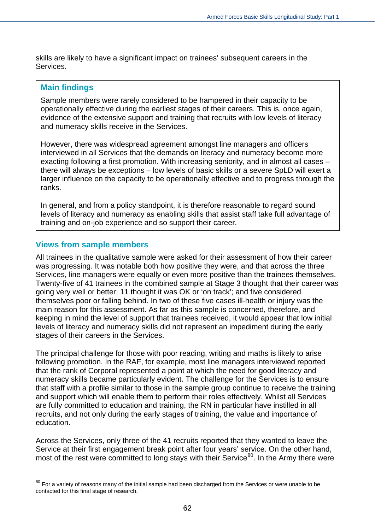skills are likely to have a significant impact on trainees' subsequent careers in the Services.

#### **Main findings**

Sample members were rarely considered to be hampered in their capacity to be operationally effective during the earliest stages of their careers. This is, once again, evidence of the extensive support and training that recruits with low levels of literacy and numeracy skills receive in the Services.

However, there was widespread agreement amongst line managers and officers interviewed in all Services that the demands on literacy and numeracy become more exacting following a first promotion. With increasing seniority, and in almost all cases – there will always be exceptions – low levels of basic skills or a severe SpLD will exert a larger influence on the capacity to be operationally effective and to progress through the ranks.

In general, and from a policy standpoint, it is therefore reasonable to regard sound levels of literacy and numeracy as enabling skills that assist staff take full advantage of training and on-job experience and so support their career.

#### **Views from sample members**

 $\overline{a}$ 

All trainees in the qualitative sample were asked for their assessment of how their career was progressing. It was notable both how positive they were, and that across the three Services, line managers were equally or even more positive than the trainees themselves. Twenty-five of 41 trainees in the combined sample at Stage 3 thought that their career was going very well or better; 11 thought it was OK or 'on track'; and five considered themselves poor or falling behind. In two of these five cases ill-health or injury was the main reason for this assessment. As far as this sample is concerned, therefore, and keeping in mind the level of support that trainees received, it would appear that low initial levels of literacy and numeracy skills did not represent an impediment during the early stages of their careers in the Services.

The principal challenge for those with poor reading, writing and maths is likely to arise following promotion. In the RAF, for example, most line managers interviewed reported that the rank of Corporal represented a point at which the need for good literacy and numeracy skills became particularly evident. The challenge for the Services is to ensure that staff with a profile similar to those in the sample group continue to receive the training and support which will enable them to perform their roles effectively. Whilst all Services are fully committed to education and training, the RN in particular have instilled in all recruits, and not only during the early stages of training, the value and importance of education.

Across the Services, only three of the 41 recruits reported that they wanted to leave the Service at their first engagement break point after four years' service. On the other hand, most of the rest were committed to long stays with their Service<sup>[80](#page-61-0)</sup>. In the Army there were

<span id="page-61-0"></span> $80$  For a variety of reasons many of the initial sample had been discharged from the Services or were unable to be contacted for this final stage of research.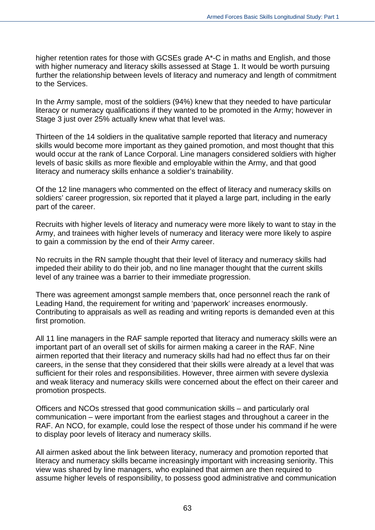higher retention rates for those with GCSEs grade A\*-C in maths and English, and those with higher numeracy and literacy skills assessed at Stage 1. It would be worth pursuing further the relationship between levels of literacy and numeracy and length of commitment to the Services.

In the Army sample, most of the soldiers (94%) knew that they needed to have particular literacy or numeracy qualifications if they wanted to be promoted in the Army; however in Stage 3 just over 25% actually knew what that level was.

Thirteen of the 14 soldiers in the qualitative sample reported that literacy and numeracy skills would become more important as they gained promotion, and most thought that this would occur at the rank of Lance Corporal. Line managers considered soldiers with higher levels of basic skills as more flexible and employable within the Army, and that good literacy and numeracy skills enhance a soldier's trainability.

Of the 12 line managers who commented on the effect of literacy and numeracy skills on soldiers' career progression, six reported that it played a large part, including in the early part of the career.

Recruits with higher levels of literacy and numeracy were more likely to want to stay in the Army, and trainees with higher levels of numeracy and literacy were more likely to aspire to gain a commission by the end of their Army career.

No recruits in the RN sample thought that their level of literacy and numeracy skills had impeded their ability to do their job, and no line manager thought that the current skills level of any trainee was a barrier to their immediate progression.

There was agreement amongst sample members that, once personnel reach the rank of Leading Hand, the requirement for writing and 'paperwork' increases enormously. Contributing to appraisals as well as reading and writing reports is demanded even at this first promotion.

All 11 line managers in the RAF sample reported that literacy and numeracy skills were an important part of an overall set of skills for airmen making a career in the RAF. Nine airmen reported that their literacy and numeracy skills had had no effect thus far on their careers, in the sense that they considered that their skills were already at a level that was sufficient for their roles and responsibilities. However, three airmen with severe dyslexia and weak literacy and numeracy skills were concerned about the effect on their career and promotion prospects.

Officers and NCOs stressed that good communication skills – and particularly oral communication – were important from the earliest stages and throughout a career in the RAF. An NCO, for example, could lose the respect of those under his command if he were to display poor levels of literacy and numeracy skills.

All airmen asked about the link between literacy, numeracy and promotion reported that literacy and numeracy skills became increasingly important with increasing seniority. This view was shared by line managers, who explained that airmen are then required to assume higher levels of responsibility, to possess good administrative and communication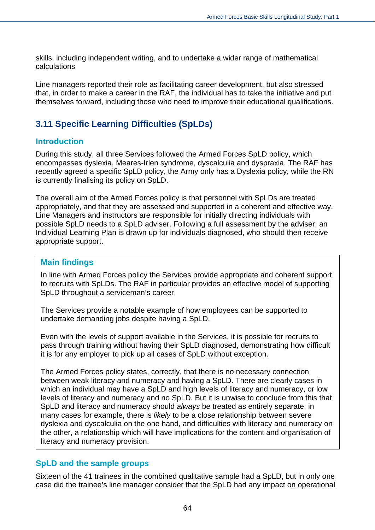skills, including independent writing, and to undertake a wider range of mathematical calculations

Line managers reported their role as facilitating career development, but also stressed that, in order to make a career in the RAF, the individual has to take the initiative and put themselves forward, including those who need to improve their educational qualifications.

# **3.11 Specific Learning Difficulties (SpLDs)**

#### **Introduction**

During this study, all three Services followed the Armed Forces SpLD policy, which encompasses dyslexia, Meares-Irlen syndrome, dyscalculia and dyspraxia. The RAF has recently agreed a specific SpLD policy, the Army only has a Dyslexia policy, while the RN is currently finalising its policy on SpLD.

The overall aim of the Armed Forces policy is that personnel with SpLDs are treated appropriately, and that they are assessed and supported in a coherent and effective way. Line Managers and instructors are responsible for initially directing individuals with possible SpLD needs to a SpLD adviser. Following a full assessment by the adviser, an Individual Learning Plan is drawn up for individuals diagnosed, who should then receive appropriate support.

#### **Main findings**

In line with Armed Forces policy the Services provide appropriate and coherent support to recruits with SpLDs. The RAF in particular provides an effective model of supporting SpLD throughout a serviceman's career.

The Services provide a notable example of how employees can be supported to undertake demanding jobs despite having a SpLD.

Even with the levels of support available in the Services, it is possible for recruits to pass through training without having their SpLD diagnosed, demonstrating how difficult it is for any employer to pick up all cases of SpLD without exception.

The Armed Forces policy states, correctly, that there is no necessary connection between weak literacy and numeracy and having a SpLD. There are clearly cases in which an individual may have a SpLD and high levels of literacy and numeracy, or low levels of literacy and numeracy and no SpLD. But it is unwise to conclude from this that SpLD and literacy and numeracy should *always* be treated as entirely separate; in many cases for example, there is *likely* to be a close relationship between severe dyslexia and dyscalculia on the one hand, and difficulties with literacy and numeracy on the other, a relationship which will have implications for the content and organisation of literacy and numeracy provision.

## **SpLD and the sample groups**

Sixteen of the 41 trainees in the combined qualitative sample had a SpLD, but in only one case did the trainee's line manager consider that the SpLD had any impact on operational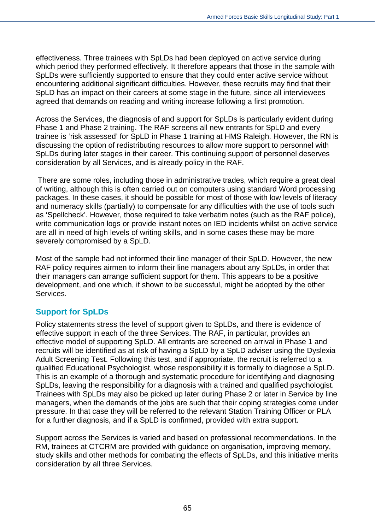effectiveness. Three trainees with SpLDs had been deployed on active service during which period they performed effectively. It therefore appears that those in the sample with SpLDs were sufficiently supported to ensure that they could enter active service without encountering additional significant difficulties. However, these recruits may find that their SpLD has an impact on their careers at some stage in the future, since all interviewees agreed that demands on reading and writing increase following a first promotion.

Across the Services, the diagnosis of and support for SpLDs is particularly evident during Phase 1 and Phase 2 training. The RAF screens all new entrants for SpLD and every trainee is 'risk assessed' for SpLD in Phase 1 training at HMS Raleigh. However, the RN is discussing the option of redistributing resources to allow more support to personnel with SpLDs during later stages in their career. This continuing support of personnel deserves consideration by all Services, and is already policy in the RAF.

 There are some roles, including those in administrative trades, which require a great deal of writing, although this is often carried out on computers using standard Word processing packages. In these cases, it should be possible for most of those with low levels of literacy and numeracy skills (partially) to compensate for any difficulties with the use of tools such as 'Spellcheck'. However, those required to take verbatim notes (such as the RAF police), write communication logs or provide instant notes on IED incidents whilst on active service are all in need of high levels of writing skills, and in some cases these may be more severely compromised by a SpLD.

Most of the sample had not informed their line manager of their SpLD. However, the new RAF policy requires airmen to inform their line managers about any SpLDs, in order that their managers can arrange sufficient support for them. This appears to be a positive development, and one which, if shown to be successful, might be adopted by the other Services.

## **Support for SpLDs**

Policy statements stress the level of support given to SpLDs, and there is evidence of effective support in each of the three Services. The RAF, in particular, provides an effective model of supporting SpLD. All entrants are screened on arrival in Phase 1 and recruits will be identified as at risk of having a SpLD by a SpLD adviser using the Dyslexia Adult Screening Test. Following this test, and if appropriate, the recruit is referred to a qualified Educational Psychologist, whose responsibility it is formally to diagnose a SpLD. This is an example of a thorough and systematic procedure for identifying and diagnosing SpLDs, leaving the responsibility for a diagnosis with a trained and qualified psychologist. Trainees with SpLDs may also be picked up later during Phase 2 or later in Service by line managers, when the demands of the jobs are such that their coping strategies come under pressure. In that case they will be referred to the relevant Station Training Officer or PLA for a further diagnosis, and if a SpLD is confirmed, provided with extra support.

Support across the Services is varied and based on professional recommendations. In the RM, trainees at CTCRM are provided with guidance on organisation, improving memory, study skills and other methods for combating the effects of SpLDs, and this initiative merits consideration by all three Services.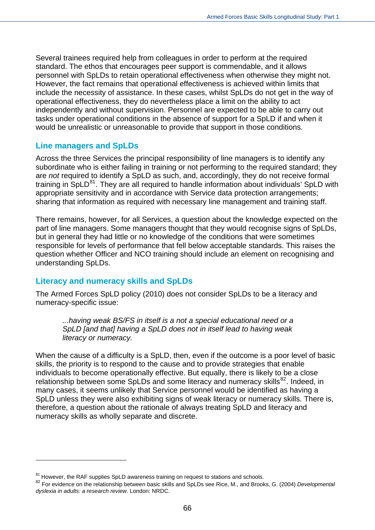Several trainees required help from colleagues in order to perform at the required standard. The ethos that encourages peer support is commendable, and it allows personnel with SpLDs to retain operational effectiveness when otherwise they might not. However, the fact remains that operational effectiveness is achieved within limits that include the necessity of assistance. In these cases, whilst SpLDs do not get in the way of operational effectiveness, they do nevertheless place a limit on the ability to act independently and without supervision. Personnel are expected to be able to carry out tasks under operational conditions in the absence of support for a SpLD if and when it would be unrealistic or unreasonable to provide that support in those conditions.

## **Line managers and SpLDs**

Across the three Services the principal responsibility of line managers is to identify any subordinate who is either failing in training or not performing to the required standard; they are *not* required to identify a SpLD as such, and, accordingly, they do not receive formal training in  $SpLD<sup>81</sup>$  $SpLD<sup>81</sup>$  $SpLD<sup>81</sup>$ . They are all required to handle information about individuals' SpLD with appropriate sensitivity and in accordance with Service data protection arrangements; sharing that information as required with necessary line management and training staff.

There remains, however, for all Services, a question about the knowledge expected on the part of line managers. Some managers thought that they would recognise signs of SpLDs, but in general they had little or no knowledge of the conditions that were sometimes responsible for levels of performance that fell below acceptable standards. This raises the question whether Officer and NCO training should include an element on recognising and understanding SpLDs.

## **Literacy and numeracy skills and SpLDs**

 $\overline{a}$ 

The Armed Forces SpLD policy (2010) does not consider SpLDs to be a literacy and numeracy-specific issue:

*...having weak BS/FS in itself is a not a special educational need or a SpLD [and that] having a SpLD does not in itself lead to having weak literacy or numeracy.* 

When the cause of a difficulty is a SpLD, then, even if the outcome is a poor level of basic skills, the priority is to respond to the cause and to provide strategies that enable individuals to become operationally effective. But equally, there is likely to be a close relationship between some SpLDs and some literacy and numeracy skills<sup>[82](#page-65-1)</sup>. Indeed, in many cases, it seems unlikely that Service personnel would be identified as having a SpLD unless they were also exhibiting signs of weak literacy or numeracy skills. There is, therefore, a question about the rationale of always treating SpLD and literacy and numeracy skills as wholly separate and discrete.

<span id="page-65-0"></span> $81$  However, the RAF supplies SpLD awareness training on request to stations and schools.

<span id="page-65-1"></span><sup>82</sup> For evidence on the relationship between basic skills and SpLDs see Rice, M., and Brooks, G. (2004) *Developmental dyslexia in adults: a research review*. London: NRDC.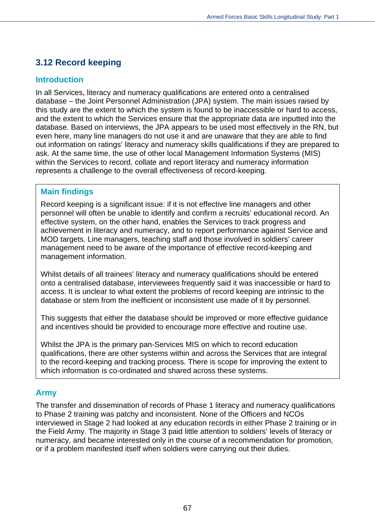# **3.12 Record keeping**

## **Introduction**

In all Services, literacy and numeracy qualifications are entered onto a centralised database – the Joint Personnel Administration (JPA) system. The main issues raised by this study are the extent to which the system is found to be inaccessible or hard to access, and the extent to which the Services ensure that the appropriate data are inputted into the database. Based on interviews, the JPA appears to be used most effectively in the RN, but even here, many line managers do not use it and are unaware that they are able to find out information on ratings' literacy and numeracy skills qualifications if they are prepared to ask. At the same time, the use of other local Management Information Systems (MIS) within the Services to record, collate and report literacy and numeracy information represents a challenge to the overall effectiveness of record-keeping.

## **Main findings**

Record keeping is a significant issue: if it is not effective line managers and other personnel will often be unable to identify and confirm a recruits' educational record. An effective system, on the other hand, enables the Services to track progress and achievement in literacy and numeracy, and to report performance against Service and MOD targets. Line managers, teaching staff and those involved in soldiers' career management need to be aware of the importance of effective record-keeping and management information.

Whilst details of all trainees' literacy and numeracy qualifications should be entered onto a centralised database, interviewees frequently said it was inaccessible or hard to access. It is unclear to what extent the problems of record keeping are intrinsic to the database or stem from the inefficient or inconsistent use made of it by personnel.

This suggests that either the database should be improved or more effective guidance and incentives should be provided to encourage more effective and routine use.

Whilst the JPA is the primary pan-Services MIS on which to record education qualifications, there are other systems within and across the Services that are integral to the record-keeping and tracking process. There is scope for improving the extent to which information is co-ordinated and shared across these systems.

## **Army**

The transfer and dissemination of records of Phase 1 literacy and numeracy qualifications to Phase 2 training was patchy and inconsistent. None of the Officers and NCOs interviewed in Stage 2 had looked at any education records in either Phase 2 training or in the Field Army. The majority in Stage 3 paid little attention to soldiers' levels of literacy or numeracy, and became interested only in the course of a recommendation for promotion, or if a problem manifested itself when soldiers were carrying out their duties.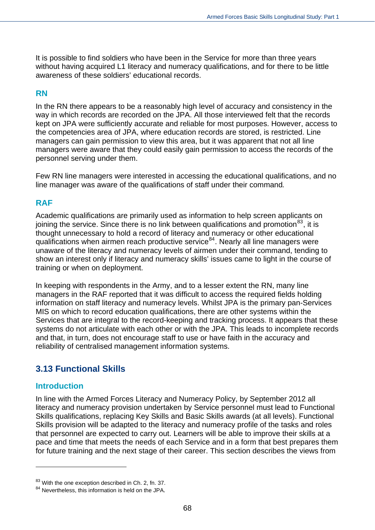It is possible to find soldiers who have been in the Service for more than three years without having acquired L1 literacy and numeracy qualifications, and for there to be little awareness of these soldiers' educational records.

#### **RN**

In the RN there appears to be a reasonably high level of accuracy and consistency in the way in which records are recorded on the JPA. All those interviewed felt that the records kept on JPA were sufficiently accurate and reliable for most purposes. However, access to the competencies area of JPA, where education records are stored, is restricted. Line managers can gain permission to view this area, but it was apparent that not all line managers were aware that they could easily gain permission to access the records of the personnel serving under them.

Few RN line managers were interested in accessing the educational qualifications, and no line manager was aware of the qualifications of staff under their command*.* 

#### **RAF**

Academic qualifications are primarily used as information to help screen applicants on joining the service. Since there is no link between qualifications and promotion<sup>[83](#page-67-0)</sup>, it is thought unnecessary to hold a record of literacy and numeracy or other educational qualifications when airmen reach productive service<sup>[84](#page-67-1)</sup>. Nearly all line managers were unaware of the literacy and numeracy levels of airmen under their command, tending to show an interest only if literacy and numeracy skills' issues came to light in the course of training or when on deployment.

In keeping with respondents in the Army, and to a lesser extent the RN, many line managers in the RAF reported that it was difficult to access the required fields holding information on staff literacy and numeracy levels. Whilst JPA is the primary pan-Services MIS on which to record education qualifications, there are other systems within the Services that are integral to the record-keeping and tracking process. It appears that these systems do not articulate with each other or with the JPA. This leads to incomplete records and that, in turn, does not encourage staff to use or have faith in the accuracy and reliability of centralised management information systems.

## **3.13 Functional Skills**

#### **Introduction**

 $\overline{a}$ 

In line with the Armed Forces Literacy and Numeracy Policy, by September 2012 all literacy and numeracy provision undertaken by Service personnel must lead to Functional Skills qualifications, replacing Key Skills and Basic Skills awards (at all levels). Functional Skills provision will be adapted to the literacy and numeracy profile of the tasks and roles that personnel are expected to carry out. Learners will be able to improve their skills at a pace and time that meets the needs of each Service and in a form that best prepares them for future training and the next stage of their career. This section describes the views from

<span id="page-67-0"></span><sup>&</sup>lt;sup>83</sup> With the one exception described in Ch. 2, fn. 37.

<span id="page-67-1"></span><sup>&</sup>lt;sup>84</sup> Nevertheless, this information is held on the JPA.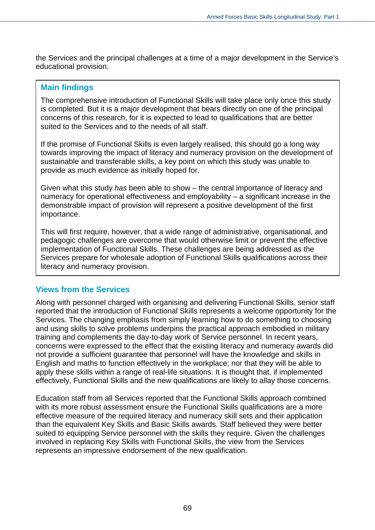the Services and the principal challenges at a time of a major development in the Service's educational provision.

#### **Main findings**

The comprehensive introduction of Functional Skills will take place only once this study is completed. But it is a major development that bears directly on one of the principal concerns of this research, for it is expected to lead to qualifications that are better suited to the Services and to the needs of all staff.

If the promise of Functional Skills is even largely realised, this should go a long way towards improving the impact of literacy and numeracy provision on the development of sustainable and transferable skills, a key point on which this study was unable to provide as much evidence as initially hoped for.

Given what this study *has* been able to show – the central importance of literacy and numeracy for operational effectiveness and employability – a significant increase in the demonstrable impact of provision will represent a positive development of the first importance.

This will first require, however, that a wide range of administrative, organisational, and pedagogic challenges are overcome that would otherwise limit or prevent the effective implementation of Functional Skills. These challenges are being addressed as the Services prepare for wholesale adoption of Functional Skills qualifications across their literacy and numeracy provision.

#### **Views from the Services**

Along with personnel charged with organising and delivering Functional Skills, senior staff reported that the introduction of Functional Skills represents a welcome opportunity for the Services. The changing emphasis from simply learning how to do something to choosing and using skills to solve problems underpins the practical approach embodied in military training and complements the day-to-day work of Service personnel. In recent years, concerns were expressed to the effect that the existing literacy and numeracy awards did not provide a sufficient guarantee that personnel will have the knowledge and skills in English and maths to function effectively in the workplace; nor that they will be able to apply these skills within a range of real-life situations. It is thought that, if implemented effectively, Functional Skills and the new qualifications are likely to allay those concerns.

Education staff from all Services reported that the Functional Skills approach combined with its more robust assessment ensure the Functional Skills qualifications are a more effective measure of the required literacy and numeracy skill sets and their application than the equivalent Key Skills and Basic Skills awards. Staff believed they were better suited to equipping Service personnel with the skills they require. Given the challenges involved in replacing Key Skills with Functional Skills, the view from the Services represents an impressive endorsement of the new qualification.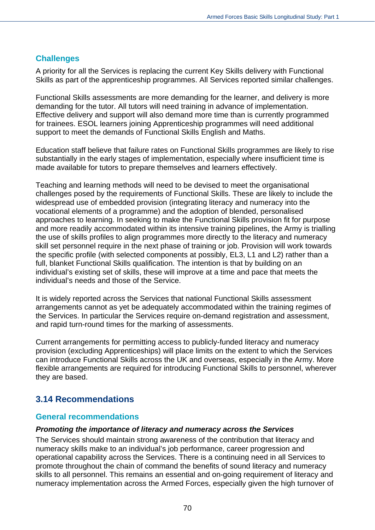## **Challenges**

A priority for all the Services is replacing the current Key Skills delivery with Functional Skills as part of the apprenticeship programmes. All Services reported similar challenges.

Functional Skills assessments are more demanding for the learner, and delivery is more demanding for the tutor. All tutors will need training in advance of implementation. Effective delivery and support will also demand more time than is currently programmed for trainees. ESOL learners joining Apprenticeship programmes will need additional support to meet the demands of Functional Skills English and Maths.

Education staff believe that failure rates on Functional Skills programmes are likely to rise substantially in the early stages of implementation, especially where insufficient time is made available for tutors to prepare themselves and learners effectively.

Teaching and learning methods will need to be devised to meet the organisational challenges posed by the requirements of Functional Skills. These are likely to include the widespread use of embedded provision (integrating literacy and numeracy into the vocational elements of a programme) and the adoption of blended, personalised approaches to learning. In seeking to make the Functional Skills provision fit for purpose and more readily accommodated within its intensive training pipelines, the Army is trialling the use of skills profiles to align programmes more directly to the literacy and numeracy skill set personnel require in the next phase of training or job. Provision will work towards the specific profile (with selected components at possibly, EL3, L1 and L2) rather than a full, blanket Functional Skills qualification. The intention is that by building on an individual's existing set of skills, these will improve at a time and pace that meets the individual's needs and those of the Service.

It is widely reported across the Services that national Functional Skills assessment arrangements cannot as yet be adequately accommodated within the training regimes of the Services. In particular the Services require on-demand registration and assessment, and rapid turn-round times for the marking of assessments.

Current arrangements for permitting access to publicly-funded literacy and numeracy provision (excluding Apprenticeships) will place limits on the extent to which the Services can introduce Functional Skills across the UK and overseas, especially in the Army. More flexible arrangements are required for introducing Functional Skills to personnel, wherever they are based.

# **3.14 Recommendations**

#### **General recommendations**

#### *Promoting the importance of literacy and numeracy across the Services*

The Services should maintain strong awareness of the contribution that literacy and numeracy skills make to an individual's job performance, career progression and operational capability across the Services. There is a continuing need in all Services to promote throughout the chain of command the benefits of sound literacy and numeracy skills to all personnel. This remains an essential and on-going requirement of literacy and numeracy implementation across the Armed Forces, especially given the high turnover of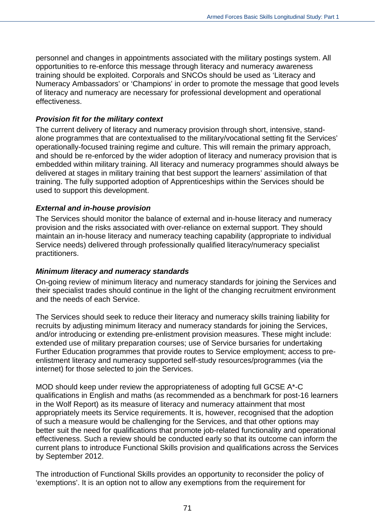personnel and changes in appointments associated with the military postings system. All opportunities to re-enforce this message through literacy and numeracy awareness training should be exploited. Corporals and SNCOs should be used as 'Literacy and Numeracy Ambassadors' or 'Champions' in order to promote the message that good levels of literacy and numeracy are necessary for professional development and operational effectiveness.

#### *Provision fit for the military context*

The current delivery of literacy and numeracy provision through short, intensive, standalone programmes that are contextualised to the military/vocational setting fit the Services' operationally-focused training regime and culture. This will remain the primary approach, and should be re-enforced by the wider adoption of literacy and numeracy provision that is embedded within military training. All literacy and numeracy programmes should always be delivered at stages in military training that best support the learners' assimilation of that training. The fully supported adoption of Apprenticeships within the Services should be used to support this development.

#### *External and in-house provision*

The Services should monitor the balance of external and in-house literacy and numeracy provision and the risks associated with over-reliance on external support. They should maintain an in-house literacy and numeracy teaching capability (appropriate to individual Service needs) delivered through professionally qualified literacy/numeracy specialist practitioners.

#### *Minimum literacy and numeracy standards*

On-going review of minimum literacy and numeracy standards for joining the Services and their specialist trades should continue in the light of the changing recruitment environment and the needs of each Service.

The Services should seek to reduce their literacy and numeracy skills training liability for recruits by adjusting minimum literacy and numeracy standards for joining the Services, and/or introducing or extending pre-enlistment provision measures. These might include: extended use of military preparation courses; use of Service bursaries for undertaking Further Education programmes that provide routes to Service employment; access to preenlistment literacy and numeracy supported self-study resources/programmes (via the internet) for those selected to join the Services.

MOD should keep under review the appropriateness of adopting full GCSE A\*-C qualifications in English and maths (as recommended as a benchmark for post-16 learners in the Wolf Report) as its measure of literacy and numeracy attainment that most appropriately meets its Service requirements. It is, however, recognised that the adoption of such a measure would be challenging for the Services, and that other options may better suit the need for qualifications that promote job-related functionality and operational effectiveness. Such a review should be conducted early so that its outcome can inform the current plans to introduce Functional Skills provision and qualifications across the Services by September 2012.

The introduction of Functional Skills provides an opportunity to reconsider the policy of 'exemptions'. It is an option not to allow any exemptions from the requirement for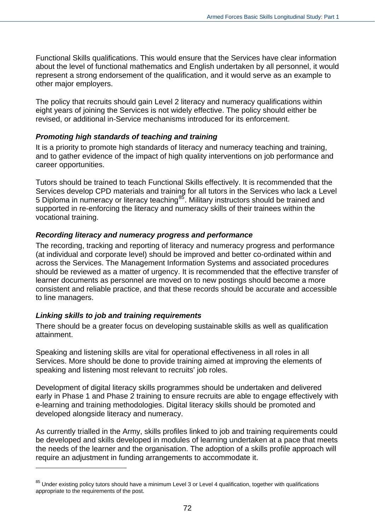Functional Skills qualifications. This would ensure that the Services have clear information about the level of functional mathematics and English undertaken by all personnel, it would represent a strong endorsement of the qualification, and it would serve as an example to other major employers.

The policy that recruits should gain Level 2 literacy and numeracy qualifications within eight years of joining the Services is not widely effective. The policy should either be revised, or additional in-Service mechanisms introduced for its enforcement.

#### *Promoting high standards of teaching and training*

It is a priority to promote high standards of literacy and numeracy teaching and training, and to gather evidence of the impact of high quality interventions on job performance and career opportunities.

Tutors should be trained to teach Functional Skills effectively. It is recommended that the Services develop CPD materials and training for all tutors in the Services who lack a Level 5 Diploma in numeracy or literacy teaching<sup>[85](#page-71-0)</sup>. Military instructors should be trained and supported in re-enforcing the literacy and numeracy skills of their trainees within the vocational training.

## *Recording literacy and numeracy progress and performance*

The recording, tracking and reporting of literacy and numeracy progress and performance (at individual and corporate level) should be improved and better co-ordinated within and across the Services. The Management Information Systems and associated procedures should be reviewed as a matter of urgency. It is recommended that the effective transfer of learner documents as personnel are moved on to new postings should become a more consistent and reliable practice, and that these records should be accurate and accessible to line managers.

## *Linking skills to job and training requirements*

 $\overline{a}$ 

There should be a greater focus on developing sustainable skills as well as qualification attainment.

Speaking and listening skills are vital for operational effectiveness in all roles in all Services. More should be done to provide training aimed at improving the elements of speaking and listening most relevant to recruits' job roles.

Development of digital literacy skills programmes should be undertaken and delivered early in Phase 1 and Phase 2 training to ensure recruits are able to engage effectively with e-learning and training methodologies. Digital literacy skills should be promoted and developed alongside literacy and numeracy.

As currently trialled in the Army, skills profiles linked to job and training requirements could be developed and skills developed in modules of learning undertaken at a pace that meets the needs of the learner and the organisation. The adoption of a skills profile approach will require an adjustment in funding arrangements to accommodate it.

<span id="page-71-0"></span> $85$  Under existing policy tutors should have a minimum Level 3 or Level 4 qualification, together with qualifications appropriate to the requirements of the post.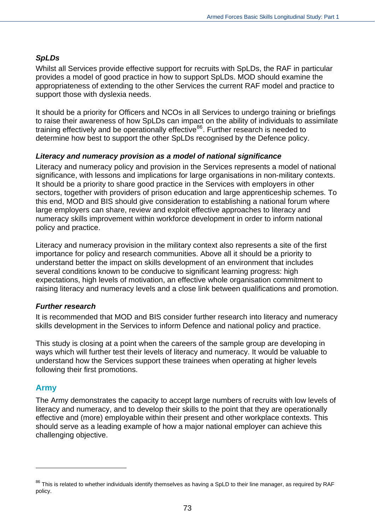#### *SpLDs*

Whilst all Services provide effective support for recruits with SpLDs, the RAF in particular provides a model of good practice in how to support SpLDs. MOD should examine the appropriateness of extending to the other Services the current RAF model and practice to support those with dyslexia needs.

It should be a priority for Officers and NCOs in all Services to undergo training or briefings to raise their awareness of how SpLDs can impact on the ability of individuals to assimilate training effectively and be operationally effective<sup>[86](#page-72-0)</sup>. Further research is needed to determine how best to support the other SpLDs recognised by the Defence policy.

#### *Literacy and numeracy provision as a model of national significance*

Literacy and numeracy policy and provision in the Services represents a model of national significance, with lessons and implications for large organisations in non-military contexts. It should be a priority to share good practice in the Services with employers in other sectors, together with providers of prison education and large apprenticeship schemes. To this end, MOD and BIS should give consideration to establishing a national forum where large employers can share, review and exploit effective approaches to literacy and numeracy skills improvement within workforce development in order to inform national policy and practice.

Literacy and numeracy provision in the military context also represents a site of the first importance for policy and research communities. Above all it should be a priority to understand better the impact on skills development of an environment that includes several conditions known to be conducive to significant learning progress: high expectations, high levels of motivation, an effective whole organisation commitment to raising literacy and numeracy levels and a close link between qualifications and promotion.

#### *Further research*

It is recommended that MOD and BIS consider further research into literacy and numeracy skills development in the Services to inform Defence and national policy and practice.

This study is closing at a point when the careers of the sample group are developing in ways which will further test their levels of literacy and numeracy. It would be valuable to understand how the Services support these trainees when operating at higher levels following their first promotions.

#### **Army**

 $\overline{a}$ 

The Army demonstrates the capacity to accept large numbers of recruits with low levels of literacy and numeracy, and to develop their skills to the point that they are operationally effective and (more) employable within their present and other workplace contexts. This should serve as a leading example of how a major national employer can achieve this challenging objective.

<span id="page-72-0"></span><sup>&</sup>lt;sup>86</sup> This is related to whether individuals identify themselves as having a SpLD to their line manager, as required by RAF policy.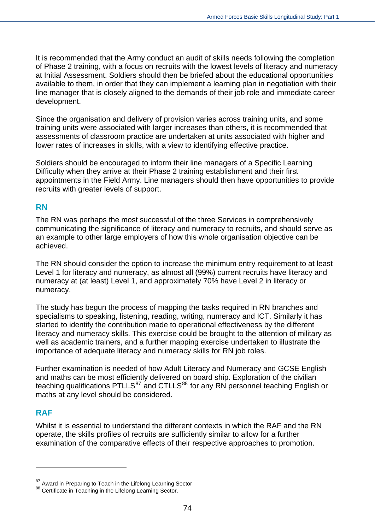It is recommended that the Army conduct an audit of skills needs following the completion of Phase 2 training, with a focus on recruits with the lowest levels of literacy and numeracy at Initial Assessment. Soldiers should then be briefed about the educational opportunities available to them, in order that they can implement a learning plan in negotiation with their line manager that is closely aligned to the demands of their job role and immediate career development.

Since the organisation and delivery of provision varies across training units, and some training units were associated with larger increases than others, it is recommended that assessments of classroom practice are undertaken at units associated with higher and lower rates of increases in skills, with a view to identifying effective practice.

Soldiers should be encouraged to inform their line managers of a Specific Learning Difficulty when they arrive at their Phase 2 training establishment and their first appointments in the Field Army. Line managers should then have opportunities to provide recruits with greater levels of support.

#### **RN**

The RN was perhaps the most successful of the three Services in comprehensively communicating the significance of literacy and numeracy to recruits, and should serve as an example to other large employers of how this whole organisation objective can be achieved.

The RN should consider the option to increase the minimum entry requirement to at least Level 1 for literacy and numeracy, as almost all (99%) current recruits have literacy and numeracy at (at least) Level 1, and approximately 70% have Level 2 in literacy or numeracy.

The study has begun the process of mapping the tasks required in RN branches and specialisms to speaking, listening, reading, writing, numeracy and ICT. Similarly it has started to identify the contribution made to operational effectiveness by the different literacy and numeracy skills. This exercise could be brought to the attention of military as well as academic trainers, and a further mapping exercise undertaken to illustrate the importance of adequate literacy and numeracy skills for RN job roles.

Further examination is needed of how Adult Literacy and Numeracy and GCSE English and maths can be most efficiently delivered on board ship. Exploration of the civilian teaching qualifications PTLLS<sup>[87](#page-73-0)</sup> and CTLLS<sup>[88](#page-73-1)</sup> for any RN personnel teaching English or maths at any level should be considered.

#### **RAF**

 $\overline{a}$ 

Whilst it is essential to understand the different contexts in which the RAF and the RN operate, the skills profiles of recruits are sufficiently similar to allow for a further examination of the comparative effects of their respective approaches to promotion.

<span id="page-73-0"></span><sup>&</sup>lt;sup>87</sup> Award in Preparing to Teach in the Lifelong Learning Sector

<span id="page-73-1"></span><sup>88</sup> Certificate in Teaching in the Lifelong Learning Sector.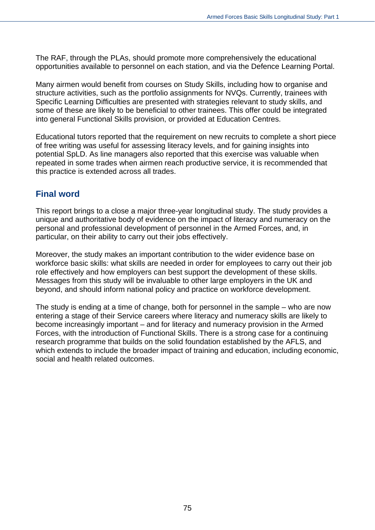The RAF, through the PLAs, should promote more comprehensively the educational opportunities available to personnel on each station, and via the Defence Learning Portal.

Many airmen would benefit from courses on Study Skills, including how to organise and structure activities, such as the portfolio assignments for NVQs. Currently, trainees with Specific Learning Difficulties are presented with strategies relevant to study skills, and some of these are likely to be beneficial to other trainees. This offer could be integrated into general Functional Skills provision, or provided at Education Centres.

Educational tutors reported that the requirement on new recruits to complete a short piece of free writing was useful for assessing literacy levels, and for gaining insights into potential SpLD. As line managers also reported that this exercise was valuable when repeated in some trades when airmen reach productive service, it is recommended that this practice is extended across all trades.

#### **Final word**

This report brings to a close a major three-year longitudinal study. The study provides a unique and authoritative body of evidence on the impact of literacy and numeracy on the personal and professional development of personnel in the Armed Forces, and, in particular, on their ability to carry out their jobs effectively.

Moreover, the study makes an important contribution to the wider evidence base on workforce basic skills: what skills are needed in order for employees to carry out their job role effectively and how employers can best support the development of these skills. Messages from this study will be invaluable to other large employers in the UK and beyond, and should inform national policy and practice on workforce development.

The study is ending at a time of change, both for personnel in the sample – who are now entering a stage of their Service careers where literacy and numeracy skills are likely to become increasingly important – and for literacy and numeracy provision in the Armed Forces, with the introduction of Functional Skills. There is a strong case for a continuing research programme that builds on the solid foundation established by the AFLS, and which extends to include the broader impact of training and education, including economic, social and health related outcomes.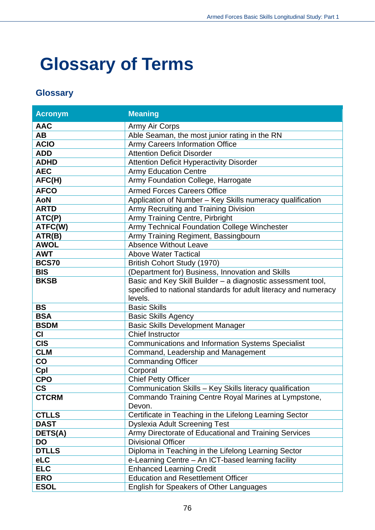# **Glossary of Terms**

### **Glossary**

| <b>Acronym</b> | <b>Meaning</b>                                                  |  |  |
|----------------|-----------------------------------------------------------------|--|--|
| <b>AAC</b>     | Army Air Corps                                                  |  |  |
| AВ             | Able Seaman, the most junior rating in the RN                   |  |  |
| <b>ACIO</b>    | <b>Army Careers Information Office</b>                          |  |  |
| <b>ADD</b>     | <b>Attention Deficit Disorder</b>                               |  |  |
| <b>ADHD</b>    | <b>Attention Deficit Hyperactivity Disorder</b>                 |  |  |
| <b>AEC</b>     | <b>Army Education Centre</b>                                    |  |  |
| AFC(H)         | Army Foundation College, Harrogate                              |  |  |
| <b>AFCO</b>    | <b>Armed Forces Careers Office</b>                              |  |  |
| <b>AoN</b>     | Application of Number - Key Skills numeracy qualification       |  |  |
| <b>ARTD</b>    | Army Recruiting and Training Division                           |  |  |
| ATC(P)         | Army Training Centre, Pirbright                                 |  |  |
| ATFC(W)        | Army Technical Foundation College Winchester                    |  |  |
| ATR(B)         | Army Training Regiment, Bassingbourn                            |  |  |
| <b>AWOL</b>    | <b>Absence Without Leave</b>                                    |  |  |
| <b>AWT</b>     | <b>Above Water Tactical</b>                                     |  |  |
| <b>BCS70</b>   | British Cohort Study (1970)                                     |  |  |
| <b>BIS</b>     | (Department for) Business, Innovation and Skills                |  |  |
| <b>BKSB</b>    | Basic and Key Skill Builder - a diagnostic assessment tool,     |  |  |
|                | specified to national standards for adult literacy and numeracy |  |  |
|                | levels.                                                         |  |  |
| <b>BS</b>      | <b>Basic Skills</b>                                             |  |  |
| <b>BSA</b>     | <b>Basic Skills Agency</b>                                      |  |  |
| <b>BSDM</b>    | <b>Basic Skills Development Manager</b>                         |  |  |
| <b>CI</b>      | <b>Chief Instructor</b>                                         |  |  |
| <b>CIS</b>     | <b>Communications and Information Systems Specialist</b>        |  |  |
| <b>CLM</b>     | Command, Leadership and Management                              |  |  |
| $\mathbf{CO}$  | <b>Commanding Officer</b>                                       |  |  |
| Cpl            | Corporal                                                        |  |  |
| <b>CPO</b>     | <b>Chief Petty Officer</b>                                      |  |  |
| <b>CS</b>      | Communication Skills - Key Skills literacy qualification        |  |  |
| <b>CTCRM</b>   | Commando Training Centre Royal Marines at Lympstone,            |  |  |
|                | Devon.                                                          |  |  |
| <b>CTLLS</b>   | Certificate in Teaching in the Lifelong Learning Sector         |  |  |
| <b>DAST</b>    | <b>Dyslexia Adult Screening Test</b>                            |  |  |
| DETS(A)        | Army Directorate of Educational and Training Services           |  |  |
| DO             | <b>Divisional Officer</b>                                       |  |  |
| <b>DTLLS</b>   | Diploma in Teaching in the Lifelong Learning Sector             |  |  |
| <b>eLC</b>     | e-Learning Centre - An ICT-based learning facility              |  |  |
| <b>ELC</b>     | <b>Enhanced Learning Credit</b>                                 |  |  |
| <b>ERO</b>     | <b>Education and Resettlement Officer</b>                       |  |  |
| <b>ESOL</b>    | English for Speakers of Other Languages                         |  |  |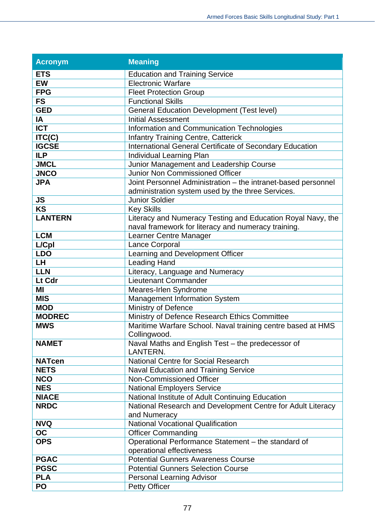| <b>Acronym</b> | <b>Meaning</b>                                                              |  |  |
|----------------|-----------------------------------------------------------------------------|--|--|
| <b>ETS</b>     | <b>Education and Training Service</b>                                       |  |  |
| <b>EW</b>      | <b>Electronic Warfare</b>                                                   |  |  |
| <b>FPG</b>     | <b>Fleet Protection Group</b>                                               |  |  |
| <b>FS</b>      | <b>Functional Skills</b>                                                    |  |  |
| <b>GED</b>     | <b>General Education Development (Test level)</b>                           |  |  |
| <b>IA</b>      | <b>Initial Assessment</b>                                                   |  |  |
| <b>ICT</b>     | Information and Communication Technologies                                  |  |  |
| ITC(C)         | <b>Infantry Training Centre, Catterick</b>                                  |  |  |
| <b>IGCSE</b>   | International General Certificate of Secondary Education                    |  |  |
| <b>ILP</b>     | Individual Learning Plan                                                    |  |  |
| <b>JMCL</b>    | Junior Management and Leadership Course                                     |  |  |
| <b>JNCO</b>    | <b>Junior Non Commissioned Officer</b>                                      |  |  |
| <b>JPA</b>     | Joint Personnel Administration - the intranet-based personnel               |  |  |
|                | administration system used by the three Services.                           |  |  |
| <b>JS</b>      | <b>Junior Soldier</b>                                                       |  |  |
| <b>KS</b>      | <b>Key Skills</b>                                                           |  |  |
| <b>LANTERN</b> | Literacy and Numeracy Testing and Education Royal Navy, the                 |  |  |
|                | naval framework for literacy and numeracy training.                         |  |  |
| <b>LCM</b>     | Learner Centre Manager                                                      |  |  |
| L/Cpl          | Lance Corporal                                                              |  |  |
| <b>LDO</b>     | Learning and Development Officer                                            |  |  |
| <b>LH</b>      | <b>Leading Hand</b>                                                         |  |  |
| <b>LLN</b>     | Literacy, Language and Numeracy                                             |  |  |
| Lt Cdr         | Lieutenant Commander                                                        |  |  |
| MI             | Meares-Irlen Syndrome                                                       |  |  |
| <b>MIS</b>     | <b>Management Information System</b>                                        |  |  |
| <b>MOD</b>     | Ministry of Defence                                                         |  |  |
| <b>MODREC</b>  | Ministry of Defence Research Ethics Committee                               |  |  |
| <b>MWS</b>     | Maritime Warfare School. Naval training centre based at HMS<br>Collingwood. |  |  |
| <b>NAMET</b>   | Naval Maths and English Test - the predecessor of                           |  |  |
|                | LANTERN.                                                                    |  |  |
| <b>NATcen</b>  | <b>National Centre for Social Research</b>                                  |  |  |
| <b>NETS</b>    | <b>Naval Education and Training Service</b>                                 |  |  |
| <b>NCO</b>     | Non-Commissioned Officer                                                    |  |  |
| <b>NES</b>     | <b>National Employers Service</b>                                           |  |  |
| <b>NIACE</b>   | National Institute of Adult Continuing Education                            |  |  |
| <b>NRDC</b>    | National Research and Development Centre for Adult Literacy                 |  |  |
|                | and Numeracy                                                                |  |  |
| <b>NVQ</b>     | <b>National Vocational Qualification</b>                                    |  |  |
| OC             | <b>Officer Commanding</b>                                                   |  |  |
| <b>OPS</b>     | Operational Performance Statement - the standard of                         |  |  |
|                | operational effectiveness                                                   |  |  |
| <b>PGAC</b>    | <b>Potential Gunners Awareness Course</b>                                   |  |  |
| <b>PGSC</b>    | <b>Potential Gunners Selection Course</b>                                   |  |  |
| <b>PLA</b>     | Personal Learning Advisor                                                   |  |  |
| PO             | <b>Petty Officer</b>                                                        |  |  |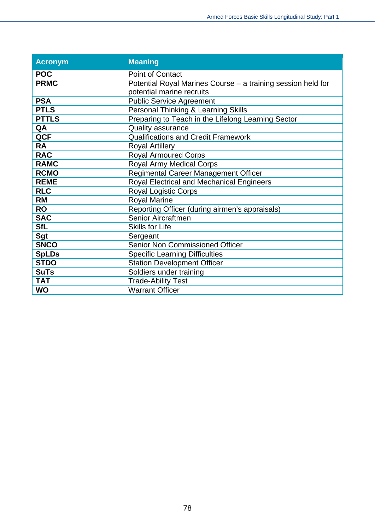| <b>Acronym</b> | <b>Meaning</b>                                               |
|----------------|--------------------------------------------------------------|
| <b>POC</b>     | <b>Point of Contact</b>                                      |
| <b>PRMC</b>    | Potential Royal Marines Course - a training session held for |
|                | potential marine recruits                                    |
| <b>PSA</b>     | <b>Public Service Agreement</b>                              |
| <b>PTLS</b>    | Personal Thinking & Learning Skills                          |
| <b>PTTLS</b>   | Preparing to Teach in the Lifelong Learning Sector           |
| QA             | <b>Quality assurance</b>                                     |
| <b>QCF</b>     | <b>Qualifications and Credit Framework</b>                   |
| <b>RA</b>      | <b>Royal Artillery</b>                                       |
| <b>RAC</b>     | <b>Royal Armoured Corps</b>                                  |
| <b>RAMC</b>    | <b>Royal Army Medical Corps</b>                              |
| <b>RCMO</b>    | Regimental Career Management Officer                         |
| <b>REME</b>    | Royal Electrical and Mechanical Engineers                    |
| <b>RLC</b>     | Royal Logistic Corps                                         |
| <b>RM</b>      | <b>Royal Marine</b>                                          |
| <b>RO</b>      | Reporting Officer (during airmen's appraisals)               |
| <b>SAC</b>     | Senior Aircraftmen                                           |
| <b>SfL</b>     | <b>Skills for Life</b>                                       |
| Sgt            | Sergeant                                                     |
| <b>SNCO</b>    | <b>Senior Non Commissioned Officer</b>                       |
| <b>SpLDs</b>   | <b>Specific Learning Difficulties</b>                        |
| <b>STDO</b>    | <b>Station Development Officer</b>                           |
| <b>SuTs</b>    | Soldiers under training                                      |
| <b>TAT</b>     | <b>Trade-Ability Test</b>                                    |
| <b>WO</b>      | <b>Warrant Officer</b>                                       |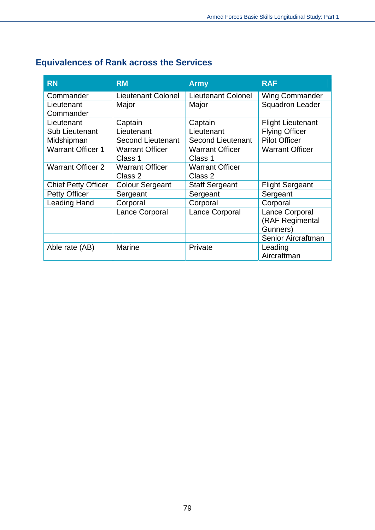| <b>RN</b>                  | <b>RM</b>                 | <b>Army</b>               | <b>RAF</b>               |
|----------------------------|---------------------------|---------------------------|--------------------------|
| Commander                  | <b>Lieutenant Colonel</b> | <b>Lieutenant Colonel</b> | <b>Wing Commander</b>    |
| Lieutenant                 | Major                     | Major                     | <b>Squadron Leader</b>   |
| Commander                  |                           |                           |                          |
| Lieutenant                 | Captain                   | Captain                   | <b>Flight Lieutenant</b> |
| <b>Sub Lieutenant</b>      | Lieutenant                | Lieutenant                | <b>Flying Officer</b>    |
| Midshipman                 | <b>Second Lieutenant</b>  | <b>Second Lieutenant</b>  | <b>Pilot Officer</b>     |
| <b>Warrant Officer 1</b>   | <b>Warrant Officer</b>    | <b>Warrant Officer</b>    | <b>Warrant Officer</b>   |
|                            | Class 1                   | Class 1                   |                          |
| <b>Warrant Officer 2</b>   | <b>Warrant Officer</b>    | <b>Warrant Officer</b>    |                          |
|                            | Class 2                   | Class 2                   |                          |
| <b>Chief Petty Officer</b> | <b>Colour Sergeant</b>    | <b>Staff Sergeant</b>     | <b>Flight Sergeant</b>   |
| <b>Petty Officer</b>       | Sergeant                  | Sergeant                  | Sergeant                 |
| <b>Leading Hand</b>        | Corporal                  | Corporal                  | Corporal                 |
|                            | Lance Corporal            | Lance Corporal            | Lance Corporal           |
|                            |                           |                           | (RAF Regimental          |
|                            |                           |                           | Gunners)                 |
|                            |                           |                           | Senior Aircraftman       |
| Able rate (AB)             | <b>Marine</b>             | Private                   | Leading                  |
|                            |                           |                           | Aircraftman              |

## **Equivalences of Rank across the Services**